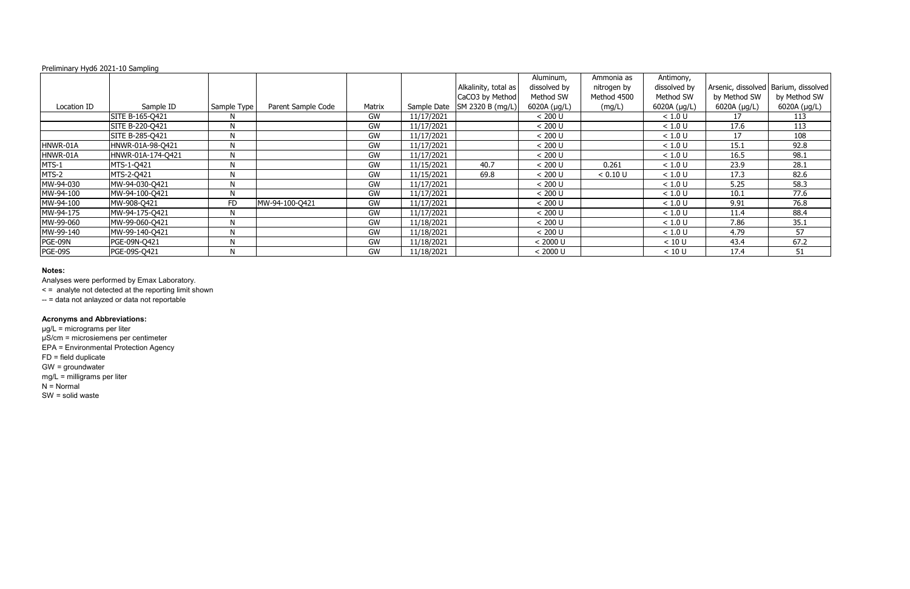|                |                   |              |                    |        |            |                              | Aluminum,      | Ammonia as  | Antimony,    |                   |                                        |
|----------------|-------------------|--------------|--------------------|--------|------------|------------------------------|----------------|-------------|--------------|-------------------|----------------------------------------|
|                |                   |              |                    |        |            | Alkalinity, total as         | dissolved by   | nitrogen by | dissolved by |                   | Arsenic, dissolved   Barium, dissolved |
|                |                   |              |                    |        |            | CaCO3 by Method              | Method SW      | Method 4500 | Method SW    | by Method SW      | by Method SW                           |
| Location ID    | Sample ID         | Sample Type  | Parent Sample Code | Matrix |            | Sample Date SM 2320 B (mg/L) | $6020A$ (µg/L) | (mg/L)      | 6020A (µg/L) | 6020A $(\mu g/L)$ | 6020A (µg/L)                           |
|                | SITE B-165-Q421   | N            |                    | GW     | 11/17/2021 |                              | < 200 U        |             | < 1.0 U      | 17                | 113                                    |
|                | SITE B-220-Q421   | N            |                    | GW     | 11/17/2021 |                              | < 200 U        |             | < 1.0 U      | 17.6              | 113                                    |
|                | SITE B-285-Q421   | $\mathsf{N}$ |                    | GW     | 11/17/2021 |                              | < 200 U        |             | < 1.0 U      | 17                | 108                                    |
| HNWR-01A       | HNWR-01A-98-Q421  | N            |                    | GW     | 11/17/2021 |                              | < 200 U        |             | < 1.0 U      | 15.1              | 92.8                                   |
| HNWR-01A       | HNWR-01A-174-Q421 | $\mathsf{N}$ |                    | GW     | 11/17/2021 |                              | < 200 U        |             | < 1.0 U      | 16.5              | 98.1                                   |
| MTS-1          | MTS-1-Q421        | N            |                    | GW     | 11/15/2021 | 40.7                         | < 200 U        | 0.261       | < 1.0 U      | 23.9              | 28.1                                   |
| MTS-2          | MTS-2-0421        | N            |                    | GW     | 11/15/2021 | 69.8                         | < 200 U        | < 0.10 U    | < 1.0 U      | 17.3              | 82.6                                   |
| MW-94-030      | MW-94-030-Q421    | N            |                    | GW     | 11/17/2021 |                              | < 200 U        |             | < 1.0 U      | 5.25              | 58.3                                   |
| MW-94-100      | MW-94-100-Q421    | N            |                    | GW     | 11/17/2021 |                              | < 200 U        |             | < 1.0 U      | 10.1              | 77.6                                   |
| MW-94-100      | MW-908-Q421       | <b>FD</b>    | MW-94-100-Q421     | GW     | 11/17/2021 |                              | < 200 U        |             | < 1.0 U      | 9.91              | 76.8                                   |
| MW-94-175      | MW-94-175-Q421    | N            |                    | GW     | 11/17/2021 |                              | < 200 U        |             | < 1.0 U      | 11.4              | 88.4                                   |
| MW-99-060      | MW-99-060-Q421    | N            |                    | GW     | 11/18/2021 |                              | < 200 U        |             | < 1.0 U      | 7.86              | 35.1                                   |
| MW-99-140      | MW-99-140-Q421    | N            |                    | GW     | 11/18/2021 |                              | < 200 U        |             | < 1.0 U      | 4.79              | 57                                     |
| PGE-09N        | PGE-09N-Q421      | N            |                    | GW     | 11/18/2021 |                              | < 2000 U       |             | < 10 U       | 43.4              | 67.2                                   |
| <b>PGE-09S</b> | PGE-09S-Q421      | N            |                    | GW     | 11/18/2021 |                              | < 2000 U       |             | < 10 U       | 17.4              | 51                                     |

# **Notes:**

Analyses were performed by Emax Laboratory.

< = analyte not detected at the reporting limit shown

-- = data not anlayzed or data not reportable

# **Acronyms and Abbreviations:**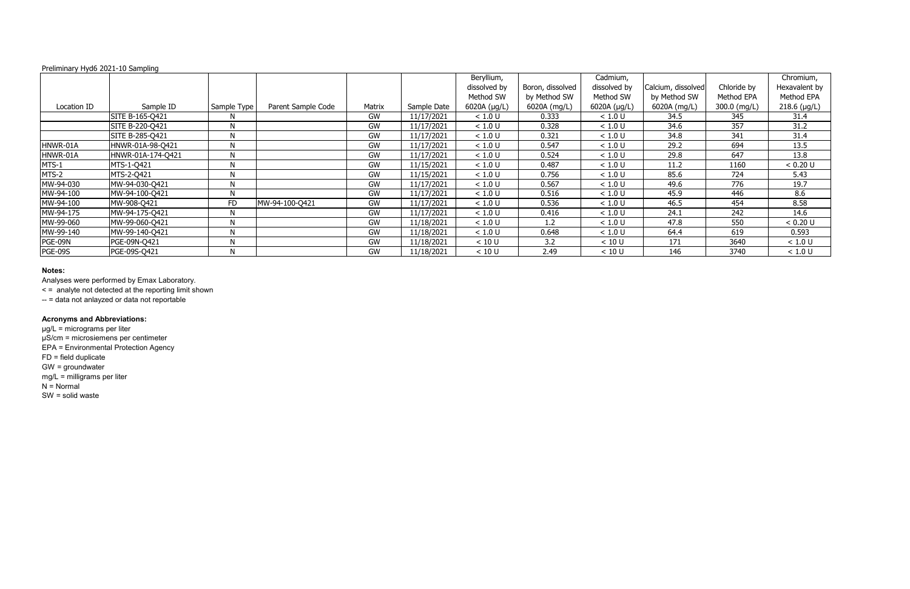# **Notes:**

Analyses were performed by Emax Laboratory.

< = analyte not detected at the reporting limit shown

-- = data not anlayzed or data not reportable

# **Acronyms and Abbreviations:**

|                |                   |             |                    |        |             | Beryllium,        |                  | Cadmium,     |                    |              | Chromium,     |
|----------------|-------------------|-------------|--------------------|--------|-------------|-------------------|------------------|--------------|--------------------|--------------|---------------|
|                |                   |             |                    |        |             | dissolved by      | Boron, dissolved | dissolved by | Calcium, dissolved | Chloride by  | Hexavalent by |
|                |                   |             |                    |        |             | Method SW         | by Method SW     | Method SW    | by Method SW       | Method EPA   | Method EPA    |
| Location ID    | Sample ID         | Sample Type | Parent Sample Code | Matrix | Sample Date | 6020A $(\mu g/L)$ | 6020A (mg/L)     | 6020A (µg/L) | 6020A (mg/L)       | 300.0 (mg/L) | 218.6 (µg/L)  |
|                | SITE B-165-Q421   | N           |                    | GW     | 11/17/2021  | < 1.0 U           | 0.333            | < 1.0 U      | 34.5               | 345          | 31.4          |
|                | SITE B-220-Q421   | N           |                    | GW     | 11/17/2021  | < 1.0 U           | 0.328            | < 1.0 U      | 34.6               | 357          | 31.2          |
|                | SITE B-285-Q421   | N           |                    | GW     | 11/17/2021  | < 1.0 U           | 0.321            | < 1.0 U      | 34.8               | 341          | 31.4          |
| HNWR-01A       | HNWR-01A-98-Q421  | N           |                    | GW     | 11/17/2021  | < 1.0 U           | 0.547            | < 1.0 U      | 29.2               | 694          | 13.5          |
| HNWR-01A       | HNWR-01A-174-Q421 | N           |                    | GW     | 11/17/2021  | < 1.0 U           | 0.524            | < 1.0 U      | 29.8               | 647          | 13.8          |
| MTS-1          | MTS-1-Q421        | N           |                    | GW     | 11/15/2021  | < 1.0 U           | 0.487            | < 1.0 U      | 11.2               | 1160         | < 0.20 U      |
| MTS-2          | MTS-2-0421        | N           |                    | GW     | 11/15/2021  | < 1.0 U           | 0.756            | < 1.0 U      | 85.6               | 724          | 5.43          |
| MW-94-030      | MW-94-030-Q421    | N           |                    | GW     | 11/17/2021  | < 1.0 U           | 0.567            | < 1.0 U      | 49.6               | 776          | 19.7          |
| MW-94-100      | MW-94-100-Q421    | N           |                    | GW     | 11/17/2021  | < 1.0 U           | 0.516            | < 1.0 U      | 45.9               | 446          | 8.6           |
| MW-94-100      | MW-908-Q421       | <b>FD</b>   | MW-94-100-Q421     | GW     | 11/17/2021  | $<1.0$ U          | 0.536            | < 1.0 U      | 46.5               | 454          | 8.58          |
| MW-94-175      | MW-94-175-Q421    | N           |                    | GW     | 11/17/2021  | < 1.0 U           | 0.416            | < 1.0 U      | 24.1               | 242          | 14.6          |
| MW-99-060      | MW-99-060-Q421    | N           |                    | GW     | 11/18/2021  | < 1.0 U           | 1.2              | < 1.0 U      | 47.8               | 550          | < 0.20 U      |
| MW-99-140      | MW-99-140-Q421    | N           |                    | GW     | 11/18/2021  | < 1.0 U           | 0.648            | < 1.0 U      | 64.4               | 619          | 0.593         |
| PGE-09N        | PGE-09N-Q421      | N           |                    | GW     | 11/18/2021  | < 10 U            | 3.2              | < 10 U       | 171                | 3640         | < 1.0 U       |
| <b>PGE-09S</b> | PGE-09S-Q421      | N           |                    | GW     | 11/18/2021  | < 10 U            | 2.49             | < 10 U       | 146                | 3740         | < 1.0 U       |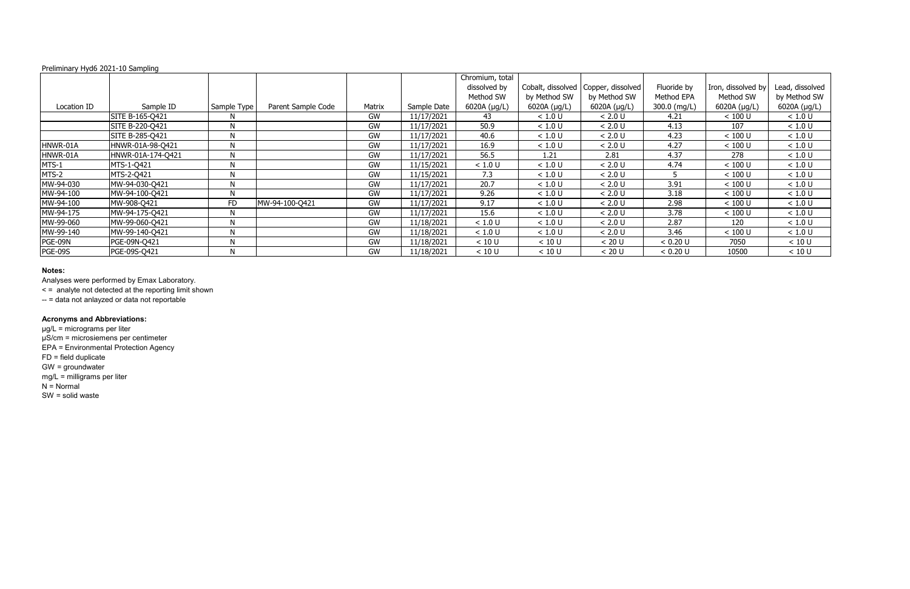# **Notes:**

Analyses were performed by Emax Laboratory.

< = analyte not detected at the reporting limit shown

-- = data not anlayzed or data not reportable

# **Acronyms and Abbreviations:**

|                |                   |             |                    |        |             | Chromium, total   |              |                                       |              |                    |                   |
|----------------|-------------------|-------------|--------------------|--------|-------------|-------------------|--------------|---------------------------------------|--------------|--------------------|-------------------|
|                |                   |             |                    |        |             | dissolved by      |              | Cobalt, dissolved   Copper, dissolved | Fluoride by  | Iron, dissolved by | Lead, dissolved   |
|                |                   |             |                    |        |             | Method SW         | by Method SW | by Method SW                          | Method EPA   | Method SW          | by Method SW      |
| Location ID    | Sample ID         | Sample Type | Parent Sample Code | Matrix | Sample Date | 6020A $(\mu g/L)$ | 6020A (µg/L) | 6020A (µg/L)                          | 300.0 (mg/L) | 6020A (µg/L)       | 6020A $(\mu g/L)$ |
|                | SITE B-165-Q421   | N           |                    | GW     | 11/17/2021  | -43               | < 1.0 U      | < 2.0 U                               | 4.21         | < 100 U            | < 1.0 U           |
|                | SITE B-220-Q421   | N           |                    | GW     | 11/17/2021  | 50.9              | < 1.0 U      | < 2.0 U                               | 4.13         | 107                | < 1.0 U           |
|                | SITE B-285-Q421   | N           |                    | GW     | 11/17/2021  | 40.6              | < 1.0 U      | < 2.0 U                               | 4.23         | < 100 U            | < 1.0 U           |
| HNWR-01A       | HNWR-01A-98-Q421  | N           |                    | GW     | 11/17/2021  | 16.9              | < 1.0 U      | < 2.0 U                               | 4.27         | < 100 U            | < 1.0 U           |
| HNWR-01A       | HNWR-01A-174-Q421 | N           |                    | GW     | 11/17/2021  | 56.5              | 1.21         | 2.81                                  | 4.37         | 278                | < 1.0 U           |
| MTS-1          | MTS-1-Q421        | N           |                    | GW     | 11/15/2021  | < 1.0 U           | < 1.0 U      | < 2.0 U                               | 4.74         | < 100 U            | < 1.0 U           |
| MTS-2          | MTS-2-0421        | N           |                    | GW     | 11/15/2021  | 7.3               | < 1.0 U      | < 2.0 U                               |              | < 100 U            | < 1.0 U           |
| MW-94-030      | MW-94-030-Q421    | N           |                    | GW     | 11/17/2021  | 20.7              | < 1.0 U      | < 2.0 U                               | 3.91         | < 100 U            | < 1.0 U           |
| MW-94-100      | MW-94-100-Q421    | N           |                    | GW     | 11/17/2021  | 9.26              | < 1.0 U      | < 2.0 U                               | 3.18         | < 100 U            | < 1.0 U           |
| MW-94-100      | MW-908-Q421       | <b>FD</b>   | MW-94-100-Q421     | GW     | 11/17/2021  | 9.17              | < 1.0 U      | < 2.0 U                               | 2.98         | < 100 U            | < 1.0 U           |
| MW-94-175      | MW-94-175-Q421    | N           |                    | GW     | 11/17/2021  | 15.6              | < 1.0 U      | < 2.0 U                               | 3.78         | $< 100$ U          | < 1.0 U           |
| MW-99-060      | MW-99-060-Q421    | N           |                    | GW     | 11/18/2021  | < 1.0 U           | < 1.0 U      | < 2.0 U                               | 2.87         | 120                | < 1.0 U           |
| MW-99-140      | MW-99-140-Q421    | N           |                    | GW     | 11/18/2021  | < 1.0 U           | < 1.0 U      | < 2.0 U                               | 3.46         | < 100 U            | < 1.0 U           |
| PGE-09N        | PGE-09N-Q421      | N           |                    | GW     | 11/18/2021  | < 10 U            | < 10 U       | < 20 U                                | < 0.20 U     | 7050               | < 10 U            |
| <b>PGE-09S</b> | PGE-09S-Q421      | N           |                    | GW     | 11/18/2021  | < 10 U            | < 10 U       | < 20 U                                | < 0.20 U     | 10500              | < 10 U            |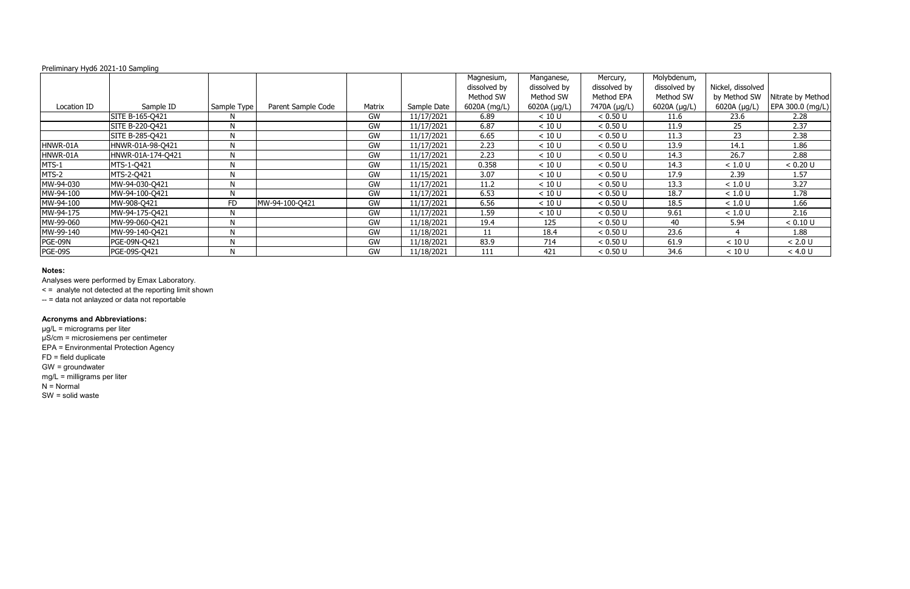# **Notes:**

Analyses were performed by Emax Laboratory.

< = analyte not detected at the reporting limit shown

-- = data not anlayzed or data not reportable

# **Acronyms and Abbreviations:**

|                |                   |              |                    |           |             | Magnesium,   | Manganese,        | Mercury,     | Molybdenum,       |                   |                   |
|----------------|-------------------|--------------|--------------------|-----------|-------------|--------------|-------------------|--------------|-------------------|-------------------|-------------------|
|                |                   |              |                    |           |             | dissolved by | dissolved by      | dissolved by | dissolved by      | Nickel, dissolved |                   |
|                |                   |              |                    |           |             | Method SW    | Method SW         | Method EPA   | Method SW         | by Method SW      | Nitrate by Method |
| Location ID    | Sample ID         | Sample Type  | Parent Sample Code | Matrix    | Sample Date | 6020A (mg/L) | 6020A $(\mu g/L)$ | 7470A (µg/L) | 6020A $(\mu g/L)$ | 6020A (µg/L)      | EPA 300.0 (mg/L)  |
|                | SITE B-165-Q421   | N.           |                    | GW        | 11/17/2021  | 6.89         | < 10 U            | < 0.50 U     | 11.6              | 23.6              | 2.28              |
|                | SITE B-220-Q421   | N            |                    | GW        | 11/17/2021  | 6.87         | < 10 U            | < 0.50 U     | 11.9              | 25 <sub>2</sub>   | 2.37              |
|                | SITE B-285-Q421   | N            |                    | GW        | 11/17/2021  | 6.65         | < 10 U            | < 0.50 U     | 11.3              | 23                | 2.38              |
| HNWR-01A       | HNWR-01A-98-Q421  | N            |                    | GW        | 11/17/2021  | 2.23         | < 10 U            | < 0.50 U     | 13.9              | 14.1              | 1.86              |
| HNWR-01A       | HNWR-01A-174-Q421 | N            |                    | GW        | 11/17/2021  | 2.23         | < 10 U            | < 0.50 U     | 14.3              | 26.7              | 2.88              |
| MTS-1          | MTS-1-Q421        | N            |                    | GW        | 11/15/2021  | 0.358        | < 10 U            | < 0.50 U     | 14.3              | < 1.0 U           | < 0.20 U          |
| MTS-2          | MTS-2-Q421        | N            |                    | GW        | 11/15/2021  | 3.07         | < 10 U            | < 0.50 U     | 17.9              | 2.39              | 1.57              |
| MW-94-030      | MW-94-030-Q421    | N            |                    | GW        | 11/17/2021  | 11.2         | < 10 U            | < 0.50 U     | 13.3              | < 1.0 U           | 3.27              |
| MW-94-100      | MW-94-100-Q421    | N            |                    | GW        | 11/17/2021  | 6.53         | < 10 U            | < 0.50 U     | 18.7              | < 1.0 U           | 1.78              |
| MW-94-100      | MW-908-Q421       | <b>FD</b>    | MW-94-100-Q421     | GW        | 11/17/2021  | 6.56         | < 10 U            | < 0.50 U     | 18.5              | < 1.0 U           | 1.66              |
| MW-94-175      | MW-94-175-Q421    | N            |                    | GW        | 11/17/2021  | 1.59         | < 10 U            | < 0.50 U     | 9.61              | < 1.0 U           | 2.16              |
| MW-99-060      | MW-99-060-Q421    | $\mathsf{N}$ |                    | GW        | 11/18/2021  | 19.4         | 125               | < 0.50 U     | 40                | 5.94              | < 0.10 U          |
| MW-99-140      | MW-99-140-Q421    | $\mathsf{N}$ |                    | <b>GW</b> | 11/18/2021  | 11           | 18.4              | < 0.50 U     | 23.6              |                   | 1.88              |
| PGE-09N        | PGE-09N-Q421      | N            |                    | GW        | 11/18/2021  | 83.9         | 714               | < 0.50 U     | 61.9              | < 10 U            | < 2.0 U           |
| <b>PGE-09S</b> | PGE-09S-Q421      | $\mathsf{N}$ |                    | GW        | 11/18/2021  | 111          | 421               | < 0.50 U     | 34.6              | < 10 U            | < 4.0 U           |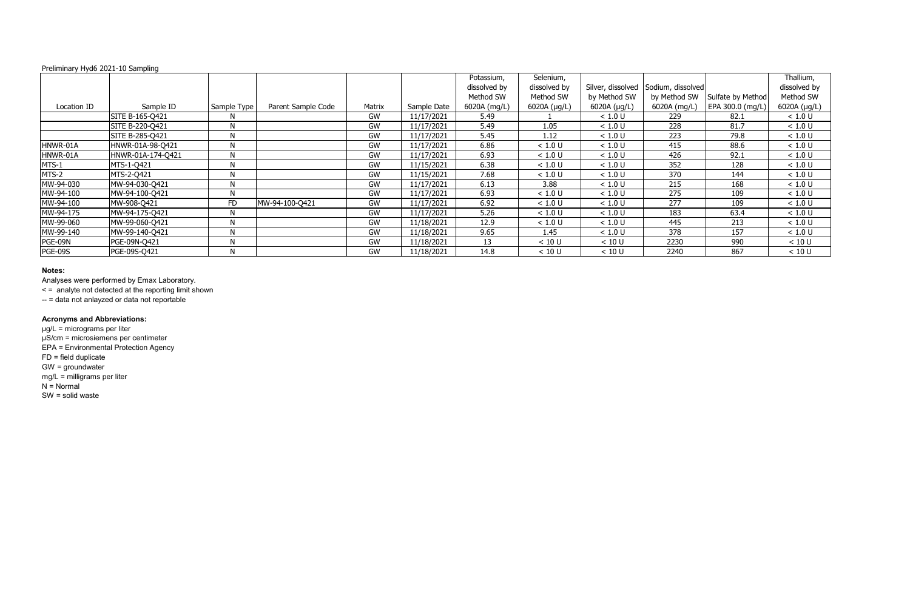# **Notes:**

Analyses were performed by Emax Laboratory.

< = analyte not detected at the reporting limit shown

-- = data not anlayzed or data not reportable

# **Acronyms and Abbreviations:**

|                |                   |             |                    |        |             | Potassium,   | Selenium,    |              |                                     |                   | Thallium,    |
|----------------|-------------------|-------------|--------------------|--------|-------------|--------------|--------------|--------------|-------------------------------------|-------------------|--------------|
|                |                   |             |                    |        |             | dissolved by | dissolved by |              | Silver, dissolved Sodium, dissolved |                   | dissolved by |
|                |                   |             |                    |        |             | Method SW    | Method SW    | by Method SW | by Method SW                        | Sulfate by Method | Method SW    |
| Location ID    | Sample ID         | Sample Type | Parent Sample Code | Matrix | Sample Date | 6020A (mg/L) | 6020A (µg/L) | 6020A (µg/L) | 6020A (mg/L)                        | EPA 300.0 (mg/L)  | 6020A (µg/L) |
|                | SITE B-165-Q421   | N           |                    | GW     | 11/17/2021  | 5.49         |              | < 1.0 U      | 229                                 | 82.1              | < 1.0 U      |
|                | SITE B-220-Q421   | N           |                    | GW     | 11/17/2021  | 5.49         | 1.05         | < 1.0 U      | 228                                 | 81.7              | < 1.0 U      |
|                | SITE B-285-Q421   | N           |                    | GW     | 11/17/2021  | 5.45         | 1.12         | < 1.0 U      | 223                                 | 79.8              | < 1.0 U      |
| HNWR-01A       | HNWR-01A-98-Q421  | N           |                    | GW     | 11/17/2021  | 6.86         | < 1.0 U      | < 1.0 U      | 415                                 | 88.6              | < 1.0 U      |
| HNWR-01A       | HNWR-01A-174-Q421 | N           |                    | GW     | 11/17/2021  | 6.93         | < 1.0 U      | < 1.0 U      | 426                                 | 92.1              | < 1.0 U      |
| MTS-1          | MTS-1-Q421        | N           |                    | GW     | 11/15/2021  | 6.38         | < 1.0 U      | < 1.0 U      | 352                                 | 128               | < 1.0 U      |
| MTS-2          | MTS-2-Q421        | N           |                    | GW     | 11/15/2021  | 7.68         | < 1.0 U      | < 1.0 U      | 370                                 | 144               | < 1.0 U      |
| MW-94-030      | MW-94-030-Q421    | N           |                    | GW     | 11/17/2021  | 6.13         | 3.88         | < 1.0 U      | 215                                 | 168               | < 1.0 U      |
| MW-94-100      | MW-94-100-Q421    | N           |                    | GW     | 11/17/2021  | 6.93         | < 1.0 U      | < 1.0 U      | 275                                 | 109               | < 1.0 U      |
| MW-94-100      | MW-908-Q421       | FD          | MW-94-100-Q421     | GW     | 11/17/2021  | 6.92         | < 1.0 U      | < 1.0 U      | 277                                 | 109               | $<1.0$ U     |
| MW-94-175      | MW-94-175-Q421    | N           |                    | GW     | 11/17/2021  | 5.26         | < 1.0 U      | < 1.0 U      | 183                                 | 63.4              | < 1.0 U      |
| MW-99-060      | MW-99-060-Q421    | N           |                    | GW     | 11/18/2021  | 12.9         | < 1.0 U      | < 1.0 U      | 445                                 | 213               | < 1.0 U      |
| MW-99-140      | MW-99-140-Q421    | N           |                    | GW     | 11/18/2021  | 9.65         | 1.45         | < 1.0 U      | 378                                 | 157               | < 1.0 U      |
| PGE-09N        | PGE-09N-Q421      | N           |                    | GW     | 11/18/2021  | 13           | < 10 U       | < 10 U       | 2230                                | 990               | < 10 U       |
| <b>PGE-09S</b> | PGE-09S-Q421      | N           |                    | GW     | 11/18/2021  | 14.8         | < 10 U       | < 10 U       | 2240                                | 867               | < 10 U       |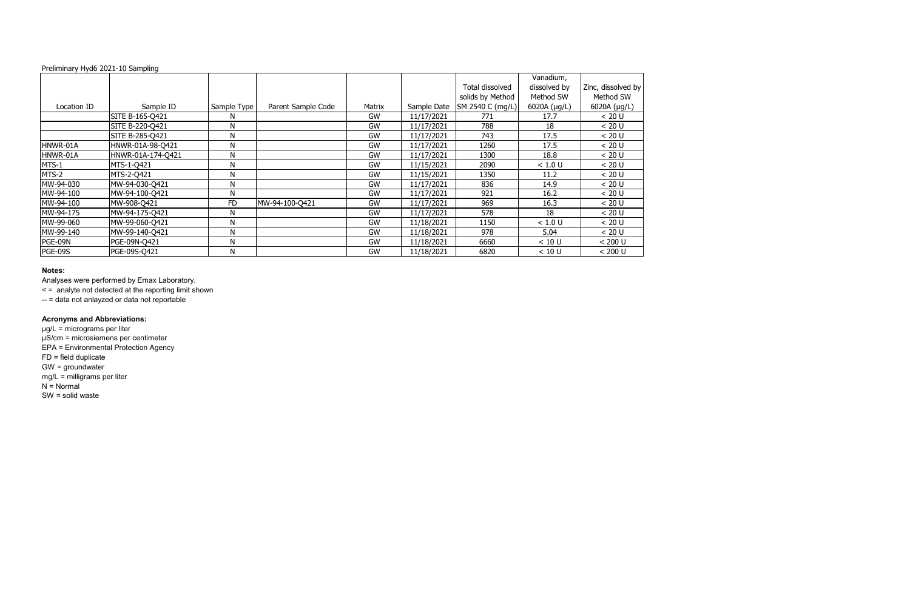# **Notes:**

Analyses were performed by Emax Laboratory.

|             |                   |             |                    |        |             |                  | Vanadium,    |                    |
|-------------|-------------------|-------------|--------------------|--------|-------------|------------------|--------------|--------------------|
|             |                   |             |                    |        |             | Total dissolved  | dissolved by | Zinc, dissolved by |
|             |                   |             |                    |        |             | solids by Method | Method SW    | Method SW          |
|             |                   |             |                    |        |             |                  |              |                    |
| Location ID | Sample ID         | Sample Type | Parent Sample Code | Matrix | Sample Date | SM 2540 C (mg/L) | 6020A (µg/L) | 6020A $(\mu g/L)$  |
|             | SITE B-165-Q421   | N           |                    | GW     | 11/17/2021  | 771              | 17.7         | < 20 U             |
|             | SITE B-220-Q421   | N           |                    | GW     | 11/17/2021  | 788              | 18           | < 20 U             |
|             | SITE B-285-Q421   | N           |                    | GW     | 11/17/2021  | 743              | 17.5         | < 20 U             |
| HNWR-01A    | HNWR-01A-98-Q421  | N           |                    | GW     | 11/17/2021  | 1260             | 17.5         | < 20 U             |
| HNWR-01A    | HNWR-01A-174-Q421 | N           |                    | GW     | 11/17/2021  | 1300             | 18.8         | < 20 U             |
| MTS-1       | MTS-1-Q421        | N           |                    | GW     | 11/15/2021  | 2090             | < 1.0 U      | < 20 U             |
| MTS-2       | MTS-2-Q421        | N           |                    | GW     | 11/15/2021  | 1350             | 11.2         | < 20 U             |
| MW-94-030   | MW-94-030-Q421    | N           |                    | GW     | 11/17/2021  | 836              | 14.9         | < 20 U             |
| MW-94-100   | MW-94-100-Q421    | N           |                    | GW     | 11/17/2021  | 921              | 16.2         | < 20 U             |
| MW-94-100   | MW-908-Q421       | <b>FD</b>   | MW-94-100-Q421     | GW     | 11/17/2021  | 969              | 16.3         | < 20 U             |
| MW-94-175   | MW-94-175-Q421    | N           |                    | GW     | 11/17/2021  | 578              | 18           | < 20 U             |
| MW-99-060   | MW-99-060-Q421    | N           |                    | GW     | 11/18/2021  | 1150             | < 1.0 U      | < 20 U             |
| MW-99-140   | MW-99-140-Q421    | N           |                    | GW     | 11/18/2021  | 978              | 5.04         | < 20 U             |
| PGE-09N     | PGE-09N-Q421      | N           |                    | GW     | 11/18/2021  | 6660             | < 10 U       | < 200 U            |
| PGE-09S     | PGE-09S-Q421      | N           |                    | GW     | 11/18/2021  | 6820             | < 10 U       | < 200 U            |

< = analyte not detected at the reporting limit shown

-- = data not anlayzed or data not reportable

# **Acronyms and Abbreviations:**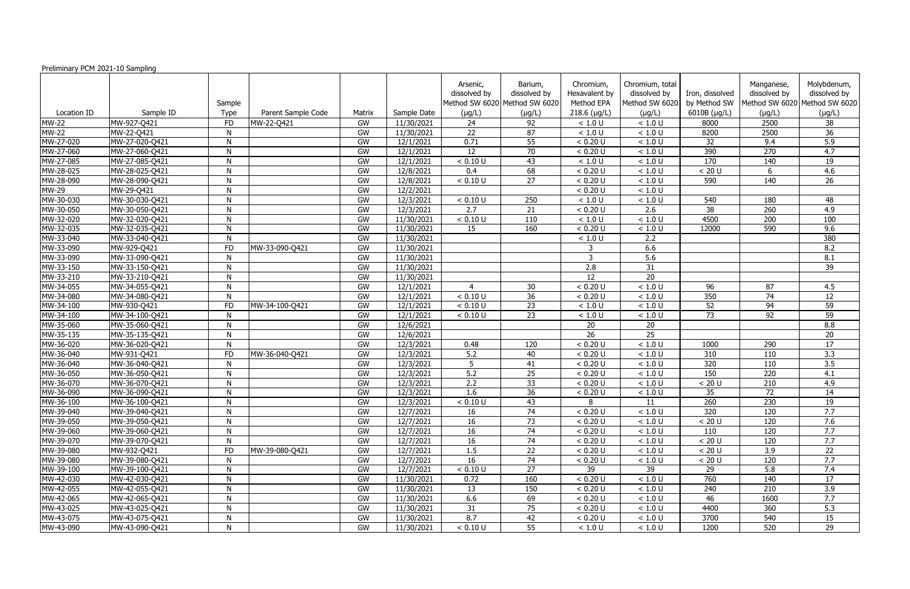| Preliminary PCM 2021-10 Sampling |                |              |                    |        |             |                          |                                                          |                                          |                                                   |                                 |                            |                                                              |
|----------------------------------|----------------|--------------|--------------------|--------|-------------|--------------------------|----------------------------------------------------------|------------------------------------------|---------------------------------------------------|---------------------------------|----------------------------|--------------------------------------------------------------|
|                                  |                | Sample       |                    |        |             | Arsenic,<br>dissolved by | Barium,<br>dissolved by<br>Method SW 6020 Method SW 6020 | Chromium,<br>Hexavalent by<br>Method EPA | Chromium, total<br>dissolved by<br>Method SW 6020 | Iron, dissolved<br>by Method SW | Manganese,<br>dissolved by | Molybdenum,<br>dissolved by<br>Method SW 6020 Method SW 6020 |
| Location ID                      | Sample ID      | Type         | Parent Sample Code | Matrix | Sample Date | (µg/L)                   | $(\mu g/L)$                                              | $218.6$ (µg/L)                           | $(\mu g/L)$                                       | 6010B (µg/L)                    | $(\mu g/L)$                | $(\mu g/L)$                                                  |
| <b>MW-22</b>                     | MW-927-Q421    | <b>FD</b>    | MW-22-Q421         | GW     | 11/30/2021  | 24                       | 92                                                       | < 1.0 U                                  | < 1.0 U                                           | 8000                            | 2500                       | 38                                                           |
| <b>MW-22</b>                     | MW-22-Q421     | N            |                    | GW     | 11/30/2021  | 22                       | 87                                                       | < 1.0 U                                  | < 1.0 U                                           | 8200                            | 2500                       | 36                                                           |
| MW-27-020                        | MW-27-020-Q421 | N            |                    | GW     | 12/1/2021   | 0.71                     | 55                                                       | < 0.20 U                                 | < 1.0 U                                           | 32                              | 9.4                        | 5.9                                                          |
| MW-27-060                        | MW-27-060-Q421 | N            |                    | GW     | 12/1/2021   | 12                       | 70                                                       | < 0.20 U                                 | < 1.0 U                                           | 390                             | 270                        | 4.7                                                          |
| MW-27-085                        | MW-27-085-Q421 | N            |                    | GW     | 12/1/2021   | < 0.10 U                 | 43                                                       | < 1.0 U                                  | < 1.0 U                                           | 170                             | 140                        | 19                                                           |
| MW-28-025                        | MW-28-025-Q421 | $\mathsf{N}$ |                    | GW     | 12/8/2021   | 0.4                      | 68                                                       | < 0.20 U                                 | < 1.0 U                                           | < 20 U                          | 6                          | 4.6                                                          |
| MW-28-090                        | MW-28-090-Q421 | N            |                    | GW     | 12/8/2021   | < 0.10 U                 | 27                                                       | < 0.20 U                                 | < 1.0 U                                           | 590                             | 140                        | 26                                                           |
| <b>MW-29</b>                     | MW-29-Q421     | $\mathsf{N}$ |                    | GW     | 12/2/2021   |                          |                                                          | < 0.20 U                                 | < 1.0 U                                           |                                 |                            |                                                              |
| MW-30-030                        | MW-30-030-Q421 | N            |                    | GW     | 12/3/2021   | < 0.10 U                 | 250                                                      | < 1.0 U                                  | < 1.0 U                                           | 540                             | 180                        | 48                                                           |
| MW-30-050                        | MW-30-050-Q421 | N            |                    | GW     | 12/3/2021   | $\overline{2.7}$         | 21                                                       | < 0.20 U                                 | 2.6                                               | 38                              | 260                        | 4.9                                                          |
| MW-32-020                        | MW-32-020-Q421 | $\mathsf{N}$ |                    | GW     | 11/30/2021  | < 0.10 U                 | 110                                                      | < 1.0 U                                  | < 1.0 U                                           | 4500                            | 200                        | 100                                                          |
| MW-32-035                        | MW-32-035-Q421 | N            |                    | GW     | 11/30/2021  | 15                       | 160                                                      | < 0.20 U                                 | < 1.0 U                                           | 12000                           | 590                        | 9.6                                                          |
| MW-33-040                        | MW-33-040-Q421 | N            |                    | GW     | 11/30/2021  |                          |                                                          | < 1.0 U                                  | 2.2                                               |                                 |                            | 380                                                          |
| MW-33-090                        | MW-929-Q421    | <b>FD</b>    | MW-33-090-Q421     | GW     | 11/30/2021  |                          |                                                          | 3                                        | 6.6                                               |                                 |                            | 8.2                                                          |
| MW-33-090                        | MW-33-090-Q421 | N            |                    | GW     | 11/30/2021  |                          |                                                          | 3                                        | 5.6                                               |                                 |                            | 8.1                                                          |
| MW-33-150                        | MW-33-150-Q421 | N            |                    | GW     | 11/30/2021  |                          |                                                          | 2.8                                      | 31                                                |                                 |                            | 39                                                           |
| MW-33-210                        | MW-33-210-Q421 | N            |                    | GW     | 11/30/2021  |                          |                                                          | 12 <sup>2</sup>                          | 20                                                |                                 |                            |                                                              |
| MW-34-055                        | MW-34-055-Q421 | N            |                    | GW     | 12/1/2021   | $\overline{4}$           | 30                                                       | < 0.20 U                                 | < 1.0 U                                           | 96                              | 87                         | 4.5                                                          |
| MW-34-080                        | MW-34-080-Q421 | N            |                    | GW     | 12/1/2021   | < 0.10 U                 | 36                                                       | < 0.20 U                                 | < 1.0 U                                           | 350                             | 74                         | 12                                                           |
| MW-34-100                        | MW-930-Q421    | <b>FD</b>    | MW-34-100-Q421     | GW     | 12/1/2021   | < 0.10 U                 | 23                                                       | < 1.0 U                                  | < 1.0 U                                           | 52                              | 94                         | 59                                                           |
| MW-34-100                        | MW-34-100-Q421 | $\mathsf{N}$ |                    | GW     | 12/1/2021   | < 0.10 U                 | 23                                                       | < 1.0 U                                  | < 1.0 U                                           | 73                              | 92                         | 59                                                           |
| MW-35-060                        | MW-35-060-Q421 | N            |                    | GW     | 12/6/2021   |                          |                                                          | 20                                       | 20                                                |                                 |                            | 8.8                                                          |
| MW-35-135                        | MW-35-135-Q421 | N            |                    | GW     | 12/6/2021   |                          |                                                          | 26                                       | 25                                                |                                 |                            | 20                                                           |
| MW-36-020                        | MW-36-020-Q421 | N            |                    | GW     | 12/3/2021   | 0.48                     | 120                                                      | < 0.20 U                                 | < 1.0 U                                           | 1000                            | 290                        | 17                                                           |
| MW-36-040                        | MW-931-Q421    | <b>FD</b>    | MW-36-040-Q421     | GW     | 12/3/2021   | 5.2                      | 40                                                       | < 0.20 U                                 | < 1.0 U                                           | 310                             | 110                        | 3.3                                                          |
| MW-36-040                        | MW-36-040-Q421 | N            |                    | GW     | 12/3/2021   | 5                        | 41                                                       | < 0.20 U                                 | < 1.0 U                                           | 320                             | 110                        | $\overline{3.5}$                                             |
| MW-36-050                        | MW-36-050-Q421 | N            |                    | GW     | 12/3/2021   | 5.2                      | 25                                                       | < 0.20 U                                 | < 1.0 U                                           | 150                             | 220                        | 4.1                                                          |
| MW-36-070                        | MW-36-070-Q421 | N            |                    | GW     | 12/3/2021   | 2.2                      | 33                                                       | < 0.20 U                                 | < 1.0 U                                           | < 20 U                          | 210                        | 4.9                                                          |
| MW-36-090                        | MW-36-090-Q421 | N            |                    | GW     | 12/3/2021   | 1.6                      | 36                                                       | < 0.20 U                                 | < 1.0 U                                           | 35                              | 72                         | 14                                                           |
| MW-36-100                        | MW-36-100-Q421 | N            |                    | GW     | 12/3/2021   | < 0.10 U                 | 43                                                       | 8                                        | 11                                                | 260                             | 230                        | 19                                                           |
| MW-39-040                        | MW-39-040-Q421 | $\mathsf{N}$ |                    | GW     | 12/7/2021   | 16                       | 74                                                       | < 0.20 U                                 | < 1.0 U                                           | 320                             | 120                        | 7.7                                                          |
| MW-39-050                        | MW-39-050-Q421 | N            |                    | GW     | 12/7/2021   | 16                       | 73                                                       | < 0.20 U                                 | < 1.0 U                                           | < 20 U                          | 120                        | 7.6                                                          |
| MW-39-060                        | MW-39-060-Q421 | N            |                    | GW     | 12/7/2021   | 16                       | 74                                                       | < 0.20 U                                 | < 1.0 U                                           | 110                             | 120                        | 7.7                                                          |
| MW-39-070                        | MW-39-070-Q421 | N            |                    | GW     | 12/7/2021   | 16                       | 74                                                       | < 0.20 U                                 | $<1.0$ U                                          | $< 20 U$                        | 120                        | 7.7                                                          |
| MW-39-080                        | MW-932-Q421    | <b>FD</b>    | MW-39-080-Q421     | GW     | 12/7/2021   | 1.5                      | 22                                                       | < 0.20 U                                 | < 1.0 U                                           | < 20 U                          | 3.9                        | 22                                                           |
| MW-39-080                        | MW-39-080-Q421 | N            |                    | GW     | 12/7/2021   | 16                       | 74                                                       | < 0.20 U                                 | < 1.0 U                                           | < 20 U                          | 120                        | 7.7                                                          |
| MW-39-100                        | MW-39-100-Q421 | $\mathsf{N}$ |                    | GW     | 12/7/2021   | < 0.10 U                 | 27                                                       | 39                                       | 39                                                | 29                              | 5.8                        | 7.4                                                          |
| MW-42-030                        | MW-42-030-Q421 | N            |                    | GW     | 11/30/2021  | 0.72                     | 160                                                      | < 0.20 U                                 | < 1.0 U                                           | 760                             | 140                        | 17                                                           |
| MW-42-055                        | MW-42-055-Q421 | $\mathsf{N}$ |                    | GW     | 11/30/2021  | 13                       | 150                                                      | < 0.20 U                                 | < 1.0 U                                           | 240                             | 210                        | 3.9                                                          |
| MW-42-065                        | MW-42-065-Q421 | N            |                    | GW     | 11/30/2021  | 6.6                      | 69                                                       | < 0.20 U                                 | < 1.0 U                                           | 46                              | 1600                       | 7.7                                                          |
| MW-43-025                        | MW-43-025-Q421 | N            |                    | GW     | 11/30/2021  | 31                       | 75                                                       | < 0.20 U                                 | < 1.0 U                                           | 4400                            | 360                        | 5.3                                                          |
| MW-43-075                        | MW-43-075-Q421 | ${\sf N}$    |                    | GW     | 11/30/2021  | 8.7                      | 42                                                       | < 0.20 U                                 | < 1.0 U                                           | 3700                            | 540                        | 15                                                           |
| MW-43-090                        | MW-43-090-Q421 | N            |                    | GW     | 11/30/2021  | < 0.10 U                 | 55                                                       | < 1.0 U                                  | $<1.0$ U                                          | 1200                            | 520                        | 29                                                           |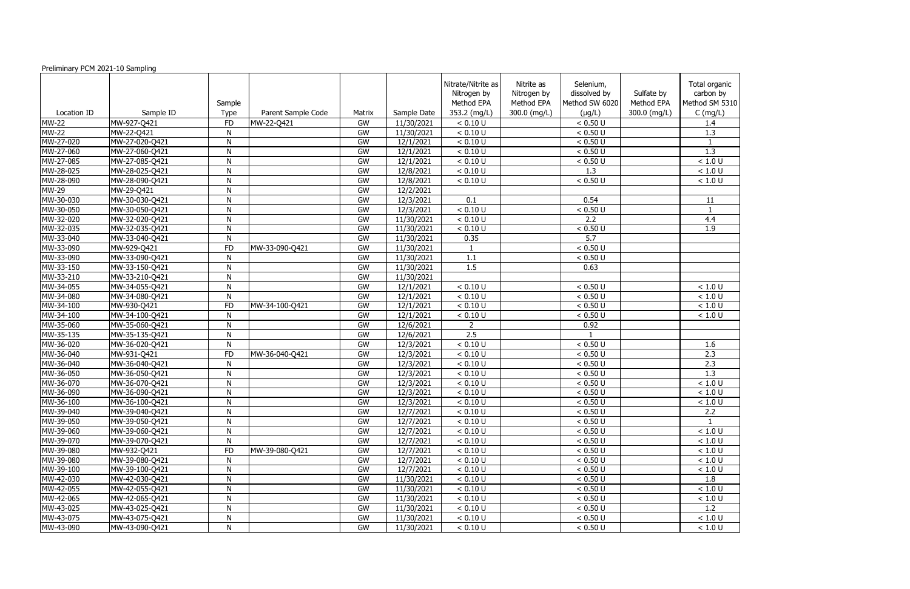| Preliminary PCM 2021-10 Sampling |                |                       |                    |        |             |                                                                 |                                                         |                                                            |                                          |                                                            |
|----------------------------------|----------------|-----------------------|--------------------|--------|-------------|-----------------------------------------------------------------|---------------------------------------------------------|------------------------------------------------------------|------------------------------------------|------------------------------------------------------------|
| Location ID                      | Sample ID      | Sample<br><b>Type</b> | Parent Sample Code | Matrix | Sample Date | Nitrate/Nitrite as<br>Nitrogen by<br>Method EPA<br>353.2 (mg/L) | Nitrite as<br>Nitrogen by<br>Method EPA<br>300.0 (mg/L) | Selenium,<br>dissolved by<br>Method SW 6020<br>$(\mu g/L)$ | Sulfate by<br>Method EPA<br>300.0 (mg/L) | Total organic<br>carbon by<br>Method SM 5310<br>$C$ (mg/L) |
| <b>MW-22</b>                     | MW-927-Q421    | <b>FD</b>             | MW-22-Q421         | GW     | 11/30/2021  | < 0.10 U                                                        |                                                         | < 0.50 U                                                   |                                          | 1.4                                                        |
| <b>MW-22</b>                     | MW-22-Q421     | N                     |                    | GW     | 11/30/2021  | < 0.10 U                                                        |                                                         | < 0.50 U                                                   |                                          | 1.3                                                        |
| MW-27-020                        | MW-27-020-Q421 | N                     |                    | GW     | 12/1/2021   | < 0.10 U                                                        |                                                         | < 0.50 U                                                   |                                          |                                                            |
| MW-27-060                        | MW-27-060-Q421 | N                     |                    | GW     | 12/1/2021   | < 0.10 U                                                        |                                                         | < 0.50 U                                                   |                                          | 1.3                                                        |
| MW-27-085                        | MW-27-085-Q421 | ${\sf N}$             |                    | GW     | 12/1/2021   | < 0.10 U                                                        |                                                         | < 0.50 U                                                   |                                          | < 1.0 U                                                    |
| MW-28-025                        | MW-28-025-Q421 | N                     |                    | GW     | 12/8/2021   | < 0.10 U                                                        |                                                         | 1.3                                                        |                                          | < 1.0 U                                                    |
| MW-28-090                        | MW-28-090-Q421 | $\mathsf{N}$          |                    | GW     | 12/8/2021   | < 0.10 U                                                        |                                                         | < 0.50 U                                                   |                                          | < 1.0 U                                                    |
| <b>MW-29</b>                     | MW-29-Q421     | N                     |                    | GW     | 12/2/2021   |                                                                 |                                                         |                                                            |                                          |                                                            |
| MW-30-030                        | MW-30-030-Q421 | ${\sf N}$             |                    | GW     | 12/3/2021   | 0.1                                                             |                                                         | 0.54                                                       |                                          | 11                                                         |
| MW-30-050                        | MW-30-050-Q421 | ${\sf N}$             |                    | GW     | 12/3/2021   | < 0.10 U                                                        |                                                         | < 0.50 U                                                   |                                          | $\overline{1}$                                             |
| MW-32-020                        | MW-32-020-Q421 | N                     |                    | GW     | 11/30/2021  | < 0.10 U                                                        |                                                         | 2.2                                                        |                                          | 4.4                                                        |
| MW-32-035                        | MW-32-035-Q421 | N                     |                    | GW     | 11/30/2021  | < 0.10 U                                                        |                                                         | < 0.50 U                                                   |                                          | 1.9                                                        |
| MW-33-040                        | MW-33-040-Q421 | ${\sf N}$             |                    | GW     | 11/30/2021  | 0.35                                                            |                                                         | 5.7                                                        |                                          |                                                            |
| MW-33-090                        | MW-929-Q421    | <b>FD</b>             | MW-33-090-Q421     | GW     | 11/30/2021  |                                                                 |                                                         | < 0.50 U                                                   |                                          |                                                            |
| MW-33-090                        | MW-33-090-Q421 | N                     |                    | GW     | 11/30/2021  | 1.1                                                             |                                                         | < 0.50 U                                                   |                                          |                                                            |
| MW-33-150                        | MW-33-150-Q421 | ${\sf N}$             |                    | GW     | 11/30/2021  | 1.5                                                             |                                                         | 0.63                                                       |                                          |                                                            |
| MW-33-210                        | MW-33-210-Q421 | N                     |                    | GW     | 11/30/2021  |                                                                 |                                                         |                                                            |                                          |                                                            |
| MW-34-055                        | MW-34-055-Q421 | ${\sf N}$             |                    | GW     | 12/1/2021   | < 0.10 U                                                        |                                                         | < 0.50 U                                                   |                                          | < 1.0 U                                                    |
| MW-34-080                        | MW-34-080-Q421 | ${\sf N}$             |                    | GW     | 12/1/2021   | < 0.10 U                                                        |                                                         | < 0.50 U                                                   |                                          | < 1.0 U                                                    |
| MW-34-100                        | MW-930-Q421    | <b>FD</b>             | MW-34-100-Q421     | GW     | 12/1/2021   | < 0.10 U                                                        |                                                         | < 0.50 U                                                   |                                          | < 1.0 U                                                    |
| MW-34-100                        | MW-34-100-Q421 | N                     |                    | GW     | 12/1/2021   | < 0.10 U                                                        |                                                         | < 0.50 U                                                   |                                          | < 1.0 U                                                    |
| MW-35-060                        | MW-35-060-Q421 | N                     |                    | GW     | 12/6/2021   | $\overline{2}$                                                  |                                                         | 0.92                                                       |                                          |                                                            |
| MW-35-135                        | MW-35-135-Q421 | N                     |                    | GW     | 12/6/2021   | $\overline{2.5}$                                                |                                                         |                                                            |                                          |                                                            |
| MW-36-020                        | MW-36-020-Q421 | ${\sf N}$             |                    | GW     | 12/3/2021   | < 0.10 U                                                        |                                                         | < 0.50 U                                                   |                                          | 1.6                                                        |
| MW-36-040                        | MW-931-Q421    | <b>FD</b>             | MW-36-040-Q421     | GW     | 12/3/2021   | < 0.10 U                                                        |                                                         | < 0.50 U                                                   |                                          | 2.3                                                        |
| MW-36-040                        | MW-36-040-Q421 | N                     |                    | GW     | 12/3/2021   | < 0.10 U                                                        |                                                         | < 0.50 U                                                   |                                          | 2.3                                                        |
| MW-36-050                        | MW-36-050-Q421 | ${\sf N}$             |                    | GW     | 12/3/2021   | < 0.10 U                                                        |                                                         | < 0.50 U                                                   |                                          | 1.3                                                        |
| MW-36-070                        | MW-36-070-Q421 | N                     |                    | GW     | 12/3/2021   | < 0.10 U                                                        |                                                         | < 0.50 U                                                   |                                          | < 1.0 U                                                    |
| MW-36-090                        | MW-36-090-Q421 | N                     |                    | GW     | 12/3/2021   | < 0.10 U                                                        |                                                         | < 0.50 U                                                   |                                          | < 1.0 U                                                    |
| MW-36-100                        | MW-36-100-Q421 | N                     |                    | GW     | 12/3/2021   | < 0.10 U                                                        |                                                         | < 0.50 U                                                   |                                          | < 1.0 U                                                    |
| MW-39-040                        | MW-39-040-Q421 | N                     |                    | GW     | 12/7/2021   | < 0.10 U                                                        |                                                         | < 0.50 U                                                   |                                          | 2.2                                                        |
| MW-39-050                        | MW-39-050-Q421 | N                     |                    | GW     | 12/7/2021   | < 0.10 U                                                        |                                                         | < 0.50 U                                                   |                                          |                                                            |
| MW-39-060                        | MW-39-060-Q421 | N                     |                    | GW     | 12/7/2021   | < 0.10 U                                                        |                                                         | < 0.50 U                                                   |                                          | < 1.0 U                                                    |
| MW-39-070                        | MW-39-070-Q421 | N                     |                    | GW     | 12/7/2021   | < 0.10 U                                                        |                                                         | < 0.50 U                                                   |                                          | < 1.0 U                                                    |
| MW-39-080                        | MW-932-Q421    | <b>FD</b>             | MW-39-080-Q421     | GW     | 12/7/2021   | < 0.10 U                                                        |                                                         | < 0.50 U                                                   |                                          | < 1.0 U                                                    |
| MW-39-080                        | MW-39-080-Q421 | N                     |                    | GW     | 12/7/2021   | < 0.10 U                                                        |                                                         | < 0.50 U                                                   |                                          | < 1.0 U                                                    |
| MW-39-100                        | MW-39-100-Q421 | N                     |                    | GW     | 12/7/2021   | < 0.10 U                                                        |                                                         | < 0.50 U                                                   |                                          | < 1.0 U                                                    |
| MW-42-030                        | MW-42-030-Q421 | N                     |                    | GW     | 11/30/2021  | < 0.10 U                                                        |                                                         | < 0.50 U                                                   |                                          | 1.8                                                        |
| MW-42-055                        | MW-42-055-Q421 | N                     |                    | GW     | 11/30/2021  | < 0.10 U                                                        |                                                         | < 0.50 U                                                   |                                          | < 1.0 U                                                    |
| MW-42-065                        | MW-42-065-Q421 | N                     |                    | GW     | 11/30/2021  | < 0.10 U                                                        |                                                         | < 0.50 U                                                   |                                          | < 1.0 U                                                    |
| MW-43-025                        | MW-43-025-Q421 | N                     |                    | GW     | 11/30/2021  | < 0.10 U                                                        |                                                         | < 0.50 U                                                   |                                          | 1.2                                                        |
| MW-43-075                        | MW-43-075-Q421 | N                     |                    | GW     | 11/30/2021  | < 0.10 U                                                        |                                                         | < 0.50 U                                                   |                                          | $<1.0$ U                                                   |
| MW-43-090                        | MW-43-090-Q421 | N                     |                    | GW     | 11/30/2021  | < 0.10 U                                                        |                                                         | $\leq 0.50 \text{ U}$                                      |                                          | $<1.0$ U                                                   |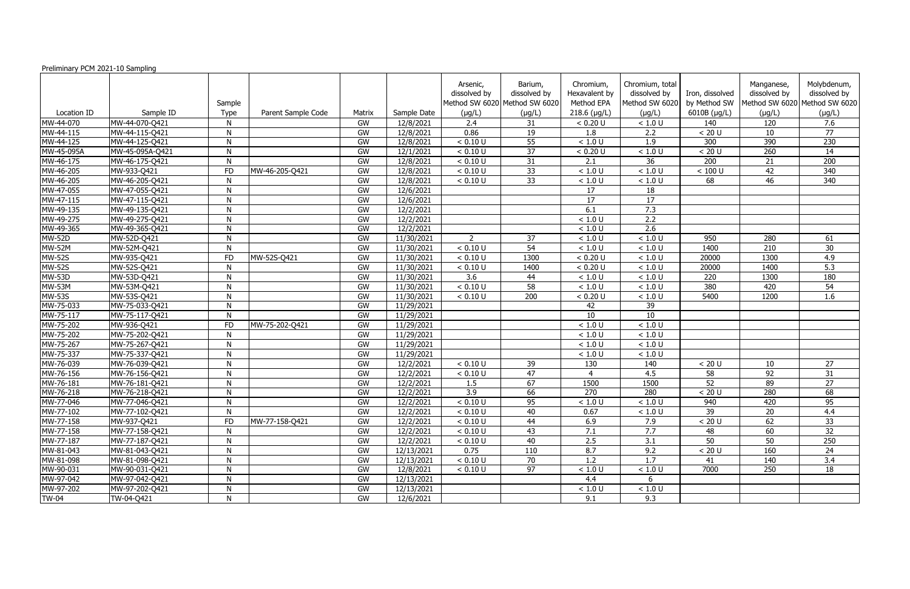| Preliminary PCM 2021-10 Sampling |                 |              |                    |        |             |                          |                                                          |                                          |                                                   |                                 |                            |                                                              |
|----------------------------------|-----------------|--------------|--------------------|--------|-------------|--------------------------|----------------------------------------------------------|------------------------------------------|---------------------------------------------------|---------------------------------|----------------------------|--------------------------------------------------------------|
|                                  |                 | Sample       |                    |        |             | Arsenic,<br>dissolved by | Barium,<br>dissolved by<br>Method SW 6020 Method SW 6020 | Chromium,<br>Hexavalent by<br>Method EPA | Chromium, total<br>dissolved by<br>Method SW 6020 | Iron, dissolved<br>by Method SW | Manganese,<br>dissolved by | Molybdenum,<br>dissolved by<br>Method SW 6020 Method SW 6020 |
| Location ID                      | Sample ID       | Type         | Parent Sample Code | Matrix | Sample Date | (µg/L)                   | $(\mu g/L)$                                              | $218.6$ (µg/L)                           | $(\mu g/L)$                                       | 6010B (µg/L)                    | $(\mu g/L)$                | $(\mu g/L)$                                                  |
| MW-44-070                        | MW-44-070-Q421  | N            |                    | GW     | 12/8/2021   | 2.4                      | 31                                                       | < 0.20 U                                 | < 1.0 U                                           | 140                             | 120                        | 7.6                                                          |
| MW-44-115                        | MW-44-115-Q421  | N            |                    | GW     | 12/8/2021   | 0.86                     | 19                                                       | 1.8                                      | 2.2                                               | < 20 U                          | 10                         | 77                                                           |
| MW-44-125                        | MW-44-125-Q421  | N            |                    | GW     | 12/8/2021   | < 0.10 U                 | 55                                                       | < 1.0 U                                  | 1.9                                               | 300                             | 390                        | 230                                                          |
| MW-45-095A                       | MW-45-095A-Q421 | N            |                    | GW     | 12/1/2021   | < 0.10 U                 | 37                                                       | < 0.20 U                                 | < 1.0 U                                           | < 20 U                          | 260                        | 14                                                           |
| MW-46-175                        | MW-46-175-Q421  | N            |                    | GW     | 12/8/2021   | < 0.10 U                 | 31                                                       | 2.1                                      | 36                                                | 200                             | 21                         | 200                                                          |
| MW-46-205                        | MW-933-Q421     | <b>FD</b>    | MW-46-205-Q421     | GW     | 12/8/2021   | < 0.10 U                 | 33                                                       | < 1.0 U                                  | < 1.0 U                                           | $< 100$ U                       | 42                         | 340                                                          |
| MW-46-205                        | MW-46-205-Q421  | $\mathsf{N}$ |                    | GW     | 12/8/2021   | < 0.10 U                 | 33                                                       | < 1.0 U                                  | < 1.0 U                                           | 68                              | 46                         | 340                                                          |
| MW-47-055                        | MW-47-055-Q421  | $\mathsf{N}$ |                    | GW     | 12/6/2021   |                          |                                                          | 17                                       | 18                                                |                                 |                            |                                                              |
| MW-47-115                        | MW-47-115-Q421  | N            |                    | GW     | 12/6/2021   |                          |                                                          | 17                                       | 17                                                |                                 |                            |                                                              |
| MW-49-135                        | MW-49-135-Q421  | N            |                    | GW     | 12/2/2021   |                          |                                                          | 6.1                                      | 7.3                                               |                                 |                            |                                                              |
| MW-49-275                        | MW-49-275-Q421  | $\mathsf{N}$ |                    | GW     | 12/2/2021   |                          |                                                          | < 1.0 U                                  | 2.2                                               |                                 |                            |                                                              |
| MW-49-365                        | MW-49-365-Q421  | N            |                    | GW     | 12/2/2021   |                          |                                                          | < 1.0 U                                  | 2.6                                               |                                 |                            |                                                              |
| <b>MW-52D</b>                    | MW-52D-Q421     | N            |                    | GW     | 11/30/2021  | 2                        | 37                                                       | < 1.0 U                                  | < 1.0 U                                           | 950                             | 280                        | 61                                                           |
| <b>MW-52M</b>                    | MW-52M-Q421     | N            |                    | GW     | 11/30/2021  | < 0.10 U                 | 54                                                       | < 1.0 U                                  | < 1.0 U                                           | 1400                            | 210                        | 30                                                           |
| <b>MW-52S</b>                    | MW-935-Q421     | <b>FD</b>    | MW-52S-Q421        | GW     | 11/30/2021  | < 0.10 U                 | 1300                                                     | < 0.20 U                                 | < 1.0 U                                           | 20000                           | 1300                       | 4.9                                                          |
| <b>MW-52S</b>                    | MW-52S-Q421     | N            |                    | GW     | 11/30/2021  | < 0.10 U                 | 1400                                                     | < 0.20 U                                 | < 1.0 U                                           | 20000                           | 1400                       | 5.3                                                          |
| <b>MW-53D</b>                    | MW-53D-Q421     | N            |                    | GW     | 11/30/2021  | 3.6                      | 44                                                       | $<1.0$ U                                 | < 1.0 U                                           | 220                             | 1300                       | 180                                                          |
| <b>MW-53M</b>                    | MW-53M-Q421     | N            |                    | GW     | 11/30/2021  | < 0.10 U                 | 58                                                       | < 1.0 U                                  | < 1.0 U                                           | 380                             | 420                        | 54                                                           |
| <b>MW-53S</b>                    | MW-53S-Q421     | N            |                    | GW     | 11/30/2021  | < 0.10 U                 | 200                                                      | < 0.20 U                                 | < 1.0 U                                           | 5400                            | 1200                       | 1.6                                                          |
| MW-75-033                        | MW-75-033-Q421  | $\mathsf{N}$ |                    | GW     | 11/29/2021  |                          |                                                          | 42                                       | 39                                                |                                 |                            |                                                              |
| MW-75-117                        | MW-75-117-Q421  | N            |                    | GW     | 11/29/2021  |                          |                                                          | 10                                       | 10                                                |                                 |                            |                                                              |
| MW-75-202                        | MW-936-Q421     | <b>FD</b>    | MW-75-202-Q421     | GW     | 11/29/2021  |                          |                                                          | < 1.0 U                                  | < 1.0 U                                           |                                 |                            |                                                              |
| MW-75-202                        | MW-75-202-Q421  | $\mathsf{N}$ |                    | GW     | 11/29/2021  |                          |                                                          | $< 1.0 U$                                | $<1.0$ U                                          |                                 |                            |                                                              |
| MW-75-267                        | MW-75-267-Q421  | N            |                    | GW     | 11/29/2021  |                          |                                                          | < 1.0 U                                  | < 1.0 U                                           |                                 |                            |                                                              |
| MW-75-337                        | MW-75-337-Q421  | N            |                    | GW     | 11/29/2021  |                          |                                                          | < 1.0 U                                  | < 1.0 U                                           |                                 |                            |                                                              |
| MW-76-039                        | MW-76-039-Q421  | N            |                    | GW     | 12/2/2021   | < 0.10 U                 | 39                                                       | 130                                      | 140                                               | < 20 U                          | 10                         | 27                                                           |
| MW-76-156                        | MW-76-156-Q421  | $\mathsf{N}$ |                    | GW     | 12/2/2021   | < 0.10 U                 | 47                                                       | $\overline{4}$                           | 4.5                                               | 58                              | 92                         | 31                                                           |
| MW-76-181                        | MW-76-181-Q421  | N            |                    | GW     | 12/2/2021   | 1.5                      | 67                                                       | 1500                                     | 1500                                              | 52                              | 89                         | 27                                                           |
| MW-76-218                        | MW-76-218-0421  | N            |                    | GW     | 12/2/2021   | 3.9                      | 66                                                       | 270                                      | 280                                               | < 20 U                          | 280                        | 68                                                           |
| MW-77-046                        | MW-77-046-Q421  | N            |                    | GW     | 12/2/2021   | < 0.10 U                 | 95                                                       | < 1.0 U                                  | < 1.0 U                                           | 940                             | 420                        | 95                                                           |
| MW-77-102                        | MW-77-102-Q421  | $\mathsf{N}$ |                    | GW     | 12/2/2021   | < 0.10 U                 | 40                                                       | 0.67                                     | $<1.0$ U                                          | 39                              | 20                         | 4.4                                                          |
| MW-77-158                        | MW-937-Q421     | <b>FD</b>    | MW-77-158-Q421     | GW     | 12/2/2021   | < 0.10 U                 | 44                                                       | 6.9                                      | 7.9                                               | < 20 U                          | 62                         | 33                                                           |
| MW-77-158                        | MW-77-158-Q421  | N            |                    | GW     | 12/2/2021   | < 0.10 U                 | 43                                                       | 7.1                                      | 7.7                                               | 48                              | 60                         | 32                                                           |
| MW-77-187                        | MW-77-187-Q421  | N            |                    | GW     | 12/2/2021   | < 0.10 U                 | 40                                                       | 2.5                                      | 3.1                                               | 50                              | 50                         | 250                                                          |
| MW-81-043                        | MW-81-043-Q421  | N            |                    | GW     | 12/13/2021  | 0.75                     | 110                                                      | 8.7                                      | 9.2                                               | < 20 U                          | 160                        | 24                                                           |
| MW-81-098                        | MW-81-098-Q421  | $\mathsf{N}$ |                    | GW     | 12/13/2021  | < 0.10 U                 | 70                                                       | 1.2                                      | 1.7                                               | 41                              | 140                        | 3.4                                                          |
| MW-90-031                        | MW-90-031-Q421  | N            |                    | GW     | 12/8/2021   | < 0.10 U                 | 97                                                       | $<1.0$ U                                 | $<1.0$ U                                          | 7000                            | 250                        | 18                                                           |
| MW-97-042                        | MW-97-042-Q421  | N            |                    | GW     | 12/13/2021  |                          |                                                          | 4.4                                      | 6                                                 |                                 |                            |                                                              |
| MW-97-202                        | MW-97-202-Q421  | N            |                    | GW     | 12/13/2021  |                          |                                                          | < 1.0 U                                  | < 1.0 U                                           |                                 |                            |                                                              |
| <b>TW-04</b>                     | TW-04-Q421      | N            |                    | GW     | 12/6/2021   |                          |                                                          | 9.1                                      | 9.3                                               |                                 |                            |                                                              |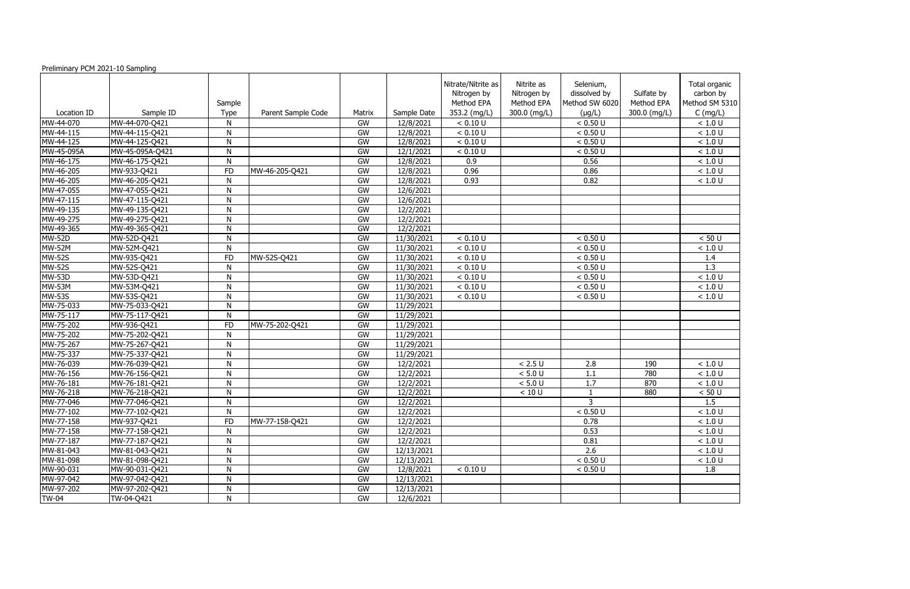Preliminary PCM 2021-10 Sampling

|                     |                 |                |                    |        |             | Nitrate/Nitrite as<br>Nitrogen by | Nitrite as<br>Nitrogen by | Selenium,<br>dissolved by | Sulfate by   | Total organic<br>carbon by |
|---------------------|-----------------|----------------|--------------------|--------|-------------|-----------------------------------|---------------------------|---------------------------|--------------|----------------------------|
|                     |                 | Sample         |                    |        |             | Method EPA                        | Method EPA                | Method SW 6020            | Method EPA   | Method SM 5310             |
| Location ID         | Sample ID       | <b>Type</b>    | Parent Sample Code | Matrix | Sample Date | 353.2 (mg/L)                      | 300.0 (mg/L)              | $(\mu g/L)$               | 300.0 (mg/L) | $C$ (mg/L)                 |
| MW-44-070           | MW-44-070-Q421  | N              |                    | GW     | 12/8/2021   | < 0.10 U                          |                           | < 0.50 U                  |              | < 1.0 U                    |
| MW-44-115           | MW-44-115-Q421  | N              |                    | GW     | 12/8/2021   | < 0.10 U                          |                           | < 0.50 U                  |              | $<1.0$ U                   |
| MW-44-125           | MW-44-125-Q421  | ${\sf N}$      |                    | GW     | 12/8/2021   | < 0.10 U                          |                           | < 0.50 U                  |              | $<1.0$ U                   |
| MW-45-095A          | MW-45-095A-Q421 | ${\sf N}$      |                    | GW     | 12/1/2021   | < 0.10 U                          |                           | < 0.50 U                  |              | $<1.0$ U                   |
| MW-46-175           | MW-46-175-Q421  | ${\sf N}$      |                    | GW     | 12/8/2021   | 0.9                               |                           | 0.56                      |              | < 1.0 U                    |
| MW-46-205           | MW-933-Q421     | <b>FD</b>      | MW-46-205-Q421     | GW     | 12/8/2021   | 0.96                              |                           | 0.86                      |              | < 1.0 U                    |
| MW-46-205           | MW-46-205-Q421  | ${\sf N}$      |                    | GW     | 12/8/2021   | 0.93                              |                           | 0.82                      |              | < 1.0 U                    |
| MW-47-055           | MW-47-055-Q421  | N              |                    | GW     | 12/6/2021   |                                   |                           |                           |              |                            |
| MW-47-115           | MW-47-115-Q421  | ${\sf N}$      |                    | GW     | 12/6/2021   |                                   |                           |                           |              |                            |
| MW-49-135           | MW-49-135-Q421  | $\mathsf{N}$   |                    | GW     | 12/2/2021   |                                   |                           |                           |              |                            |
| MW-49-275           | MW-49-275-Q421  | ${\sf N}$      |                    | GW     | 12/2/2021   |                                   |                           |                           |              |                            |
| MW-49-365           | MW-49-365-Q421  | ${\sf N}$      |                    | GW     | 12/2/2021   |                                   |                           |                           |              |                            |
| <b>MW-52D</b>       | MW-52D-Q421     | ${\sf N}$      |                    | GW     | 11/30/2021  | < 0.10 U                          |                           | < 0.50 U                  |              | < 50 U                     |
| <b>MW-52M</b>       | MW-52M-Q421     | $\mathsf{N}$   |                    | GW     | 11/30/2021  | < 0.10 U                          |                           | < 0.50 U                  |              | $<1.0$ U                   |
| <b>MW-52S</b>       | MW-935-Q421     | FD             | MW-52S-Q421        | GW     | 11/30/2021  | < 0.10 U                          |                           | < 0.50 U                  |              | 1.4                        |
| <b>MW-52S</b>       | MW-52S-Q421     | $\mathsf{N}$   |                    | GW     | 11/30/2021  | < 0.10 U                          |                           | < 0.50 U                  |              | $\overline{1.3}$           |
| <b>MW-53D</b>       | MW-53D-Q421     | ${\sf N}$      |                    | GW     | 11/30/2021  | < 0.10 U                          |                           | < 0.50 U                  |              | $<1.0$ U                   |
| $\overline{MW-53}M$ | MW-53M-Q421     | $\overline{N}$ |                    | GW     | 11/30/2021  | < 0.10 U                          |                           | < 0.50 U                  |              | < 1.0 U                    |
| <b>MW-53S</b>       | MW-53S-Q421     | ${\sf N}$      |                    | GW     | 11/30/2021  | < 0.10 U                          |                           | < 0.50 U                  |              | < 1.0 U                    |
| MW-75-033           | MW-75-033-Q421  | N              |                    | GW     | 11/29/2021  |                                   |                           |                           |              |                            |
| MW-75-117           | MW-75-117-Q421  | ${\sf N}$      |                    | GW     | 11/29/2021  |                                   |                           |                           |              |                            |
| MW-75-202           | MW-936-Q421     | <b>FD</b>      | MW-75-202-Q421     | GW     | 11/29/2021  |                                   |                           |                           |              |                            |
| MW-75-202           | MW-75-202-Q421  | ${\sf N}$      |                    | GW     | 11/29/2021  |                                   |                           |                           |              |                            |
| MW-75-267           | MW-75-267-Q421  | ${\sf N}$      |                    | GW     | 11/29/2021  |                                   |                           |                           |              |                            |
| MW-75-337           | MW-75-337-Q421  | ${\sf N}$      |                    | GW     | 11/29/2021  |                                   |                           |                           |              |                            |
| MW-76-039           | MW-76-039-Q421  | $\mathsf{N}$   |                    | GW     | 12/2/2021   |                                   | < 2.5 U                   | 2.8                       | 190          | $<1.0$ U                   |
| MW-76-156           | MW-76-156-Q421  | N              |                    | GW     | 12/2/2021   |                                   | < 5.0 U                   | 1.1                       | 780          | $<1.0$ U                   |
| MW-76-181           | MW-76-181-Q421  | ${\sf N}$      |                    | GW     | 12/2/2021   |                                   | < 5.0 U                   | 1.7                       | 870          | $<1.0$ U                   |
| MW-76-218           | MW-76-218-Q421  | ${\sf N}$      |                    | GW     | 12/2/2021   |                                   | < 10 U                    |                           | 880          | < 50 U                     |
| MW-77-046           | MW-77-046-Q421  | N              |                    | GW     | 12/2/2021   |                                   |                           | 3                         |              | 1.5                        |
| MW-77-102           | MW-77-102-Q421  | N              |                    | GW     | 12/2/2021   |                                   |                           | < 0.50 U                  |              | < 1.0 U                    |
| MW-77-158           | MW-937-Q421     | FD             | MW-77-158-Q421     | GW     | 12/2/2021   |                                   |                           | 0.78                      |              | < 1.0 U                    |
| MW-77-158           | MW-77-158-Q421  | N              |                    | GW     | 12/2/2021   |                                   |                           | 0.53                      |              | $<1.0$ U                   |
| MW-77-187           | MW-77-187-Q421  | ${\sf N}$      |                    | GW     | 12/2/2021   |                                   |                           | 0.81                      |              | $<1.0$ U                   |
| MW-81-043           | MW-81-043-Q421  | ${\sf N}$      |                    | GW     | 12/13/2021  |                                   |                           | 2.6                       |              | < 1.0 U                    |
| MW-81-098           | MW-81-098-Q421  | ${\sf N}$      |                    | GW     | 12/13/2021  |                                   |                           | < 0.50 U                  |              | $<1.0$ U                   |
| MW-90-031           | MW-90-031-Q421  | N              |                    | GW     | 12/8/2021   | < 0.10 U                          |                           | < 0.50 U                  |              | 1.8                        |
| MW-97-042           | MW-97-042-Q421  | N              |                    | GW     | 12/13/2021  |                                   |                           |                           |              |                            |
| MW-97-202           | MW-97-202-Q421  | N              |                    | GW     | 12/13/2021  |                                   |                           |                           |              |                            |
| <b>TW-04</b>        | TW-04-Q421      | $\mathsf{N}$   |                    | GW     | 12/6/2021   |                                   |                           |                           |              |                            |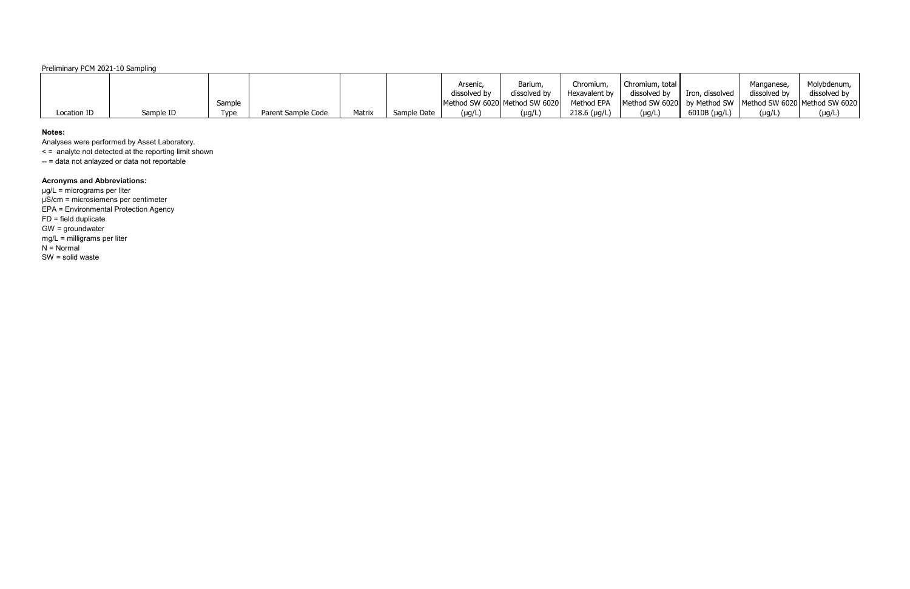## Preliminary PCM 2021-10 Sampling

|             |           |        |                    |        |             | Arsenic,     | <b>Barium</b>                 | Chromium        | Chromium, total                                               |                      | Manganese,   | Molybdenum,  |
|-------------|-----------|--------|--------------------|--------|-------------|--------------|-------------------------------|-----------------|---------------------------------------------------------------|----------------------|--------------|--------------|
|             |           |        |                    |        |             | dissolved by | dissolved by                  | Hexavalent by I | dissolved by                                                  | Iron, dissolved      | dissolved by | dissolved by |
|             |           | Sample |                    |        |             |              | Method SW 6020 Method SW 6020 | Method EPA      | Method SW 6020 by Method SW   Method SW 6020   Method SW 6020 |                      |              |              |
| Location ID | Sample ID | Type   | Parent Sample Code | Matrix | Sample Date | $(\mu g/L)$  | (µg/L                         | $218.6$ (µg/L)  | $(\mu g/L)$                                                   | $6010B$ ( $\mu$ g/L) | (µg/L        | $(\mu g/L)$  |

### **Notes:**

Analyses were performed by Asset Laboratory.

< = analyte not detected at the reporting limit shown

-- = data not anlayzed or data not reportable

# **Acronyms and Abbreviations:**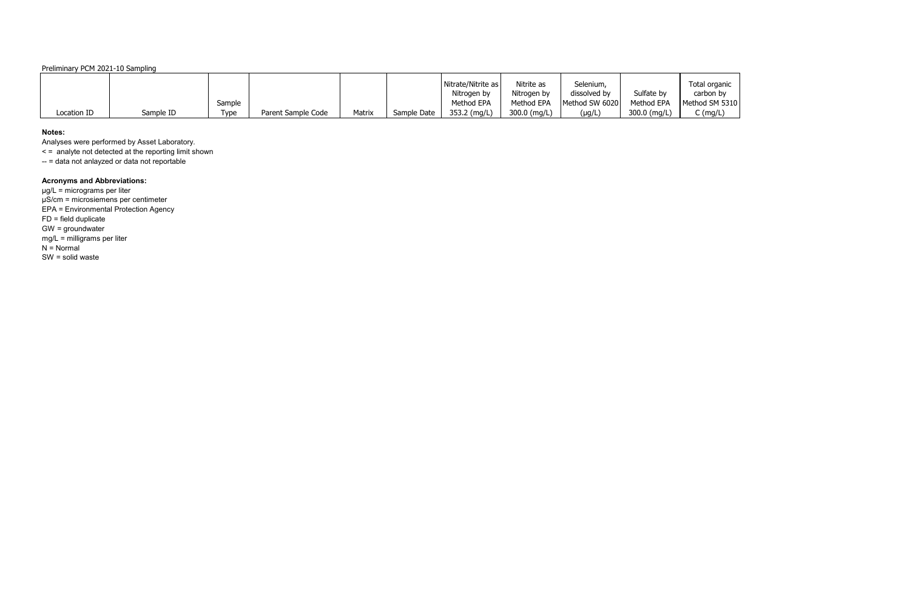## Preliminary PCM 2021-10 Sampling

|             |           |        |                    |        |             | Nitrate/Nitrite as | Nitrite as   | Selenium,      |              | Total organic  |
|-------------|-----------|--------|--------------------|--------|-------------|--------------------|--------------|----------------|--------------|----------------|
|             |           |        |                    |        |             | Nitrogen by        | Nitrogen by  | dissolved by   | Sulfate by   | carbon by      |
|             |           | Sample |                    |        |             | Method EPA         | Method EPA   | Method SW 6020 | Method EPA   | Method SM 5310 |
| Location ID | Sample ID | Type   | Parent Sample Code | Matrix | Sample Date | 353.2 (mg/L)       | 300.0 (mg/L) | (µg/L)         | 300.0 (mg/L) | $C$ (mg/L)     |

### **Notes:**

Analyses were performed by Asset Laboratory.

< = analyte not detected at the reporting limit shown

-- = data not anlayzed or data not reportable

# **Acronyms and Abbreviations:**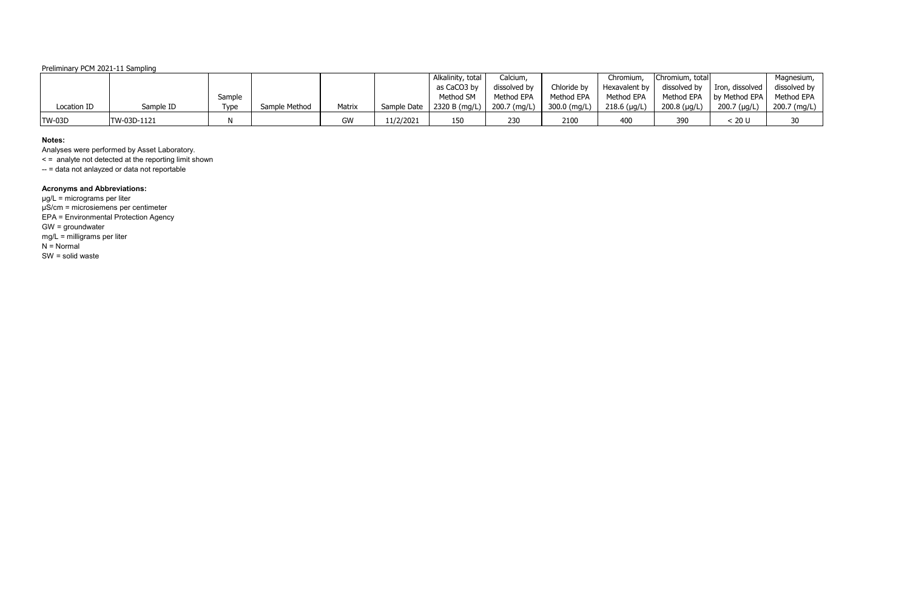## Preliminary PCM 2021-11 Sampling

|               |             |        |               |        |             | Alkalinity, total | Calcium,     |              | Chromium,      | Chromium, total |                                          | Magnesium,   |
|---------------|-------------|--------|---------------|--------|-------------|-------------------|--------------|--------------|----------------|-----------------|------------------------------------------|--------------|
|               |             |        |               |        |             | as CaCO3 by       | dissolved by | Chloride by  | Hexavalent by  |                 | dissolved by $\parallel$ Iron, dissolved | dissolved by |
|               |             | Sample |               |        |             | Method SM         | Method EPA   | Method EPA   | Method EPA     |                 | Method EPA   by Method EPA               | Method EPA   |
| Location ID   | Sample ID   | Type   | Sample Method | Matrix | Sample Date | 2320 B (mq/L)     | 200.7 (mg/L) | 300.0 (mg/L) | $218.6$ (µg/L) | $200.8$ (µg/L)  | 200.7 (µg/L)                             | 200.7 (mg/L) |
| <b>TW-03D</b> | TW-03D-1121 |        |               | GW     | 11/2/2021   | 150               | 230          | 2100         | 400            | 390             | < 20 U                                   | 30           |

### **Notes:**

Analyses were performed by Asset Laboratory.

< = analyte not detected at the reporting limit shown

-- = data not anlayzed or data not reportable

# **Acronyms and Abbreviations:**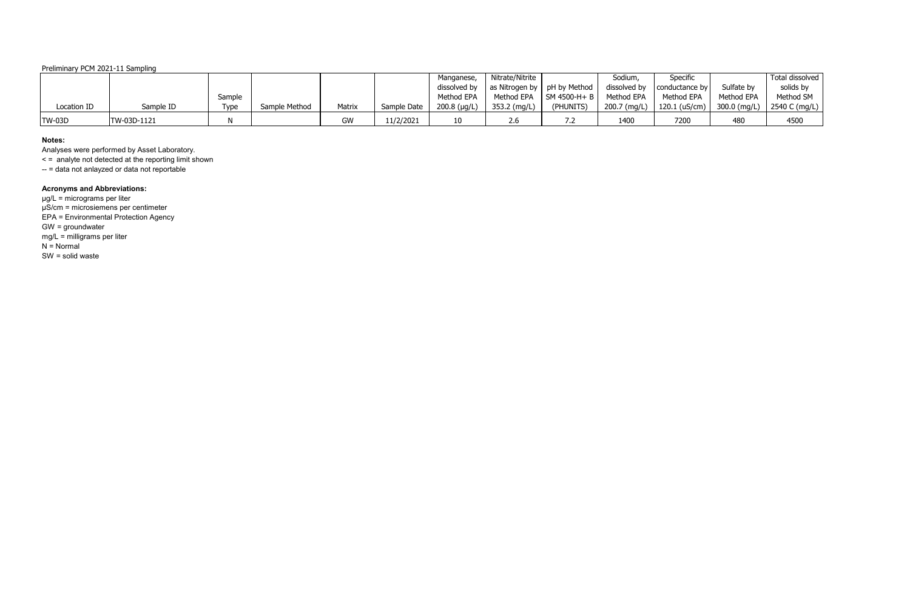## Preliminary PCM 2021-11 Sampling

|               |             |        |               |        |             | Manganese,     | Nitrate/Nitrite               |                             | Sodium,      | Specific        |                | Total dissolved |
|---------------|-------------|--------|---------------|--------|-------------|----------------|-------------------------------|-----------------------------|--------------|-----------------|----------------|-----------------|
|               |             |        |               |        |             | dissolved by   | as Nitrogen by   pH by Method |                             | dissolved by | conductance by  | Sulfate by     | solids by       |
|               |             | Sample |               |        |             | Method EPA     | Method EPA                    | $\blacksquare$ SM 4500-H+ B | Method EPA   | Method EPA      | Method EPA     | Method SM       |
| Location ID   | Sample ID   | Type   | Sample Method | Matrix | Sample Date | $200.8$ (µg/L) | 353.2 (mg/L)                  | (PHUNITS)                   | 200.7 (mg/L) | $120.1$ (uS/cm) | $300.0$ (mg/L) | 2540 C (mg/L)   |
| <b>TW-03D</b> | TW-03D-1121 |        |               | GW     | 11/2/2021   | 10             |                               |                             | 1400         | 7200            | 480            | 4500            |

### **Notes:**

Analyses were performed by Asset Laboratory.

< = analyte not detected at the reporting limit shown

-- = data not anlayzed or data not reportable

# **Acronyms and Abbreviations:**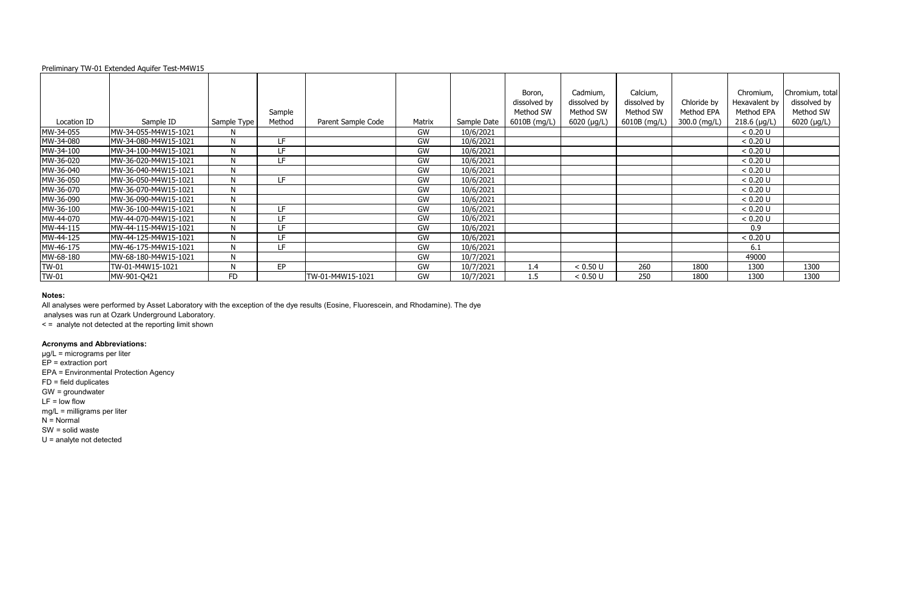|                     |                      |             |                  |                         |           |             | Boron,                    | Cadmium,                    | Calcium,                  |              | Chromium,                   | Chromium       |
|---------------------|----------------------|-------------|------------------|-------------------------|-----------|-------------|---------------------------|-----------------------------|---------------------------|--------------|-----------------------------|----------------|
|                     |                      |             |                  |                         |           |             | dissolved by<br>Method SW | dissolved by<br>Method SW   | dissolved by<br>Method SW | Chloride by  | Hexavalent by<br>Method EPA | dissolved      |
|                     |                      |             | Sample<br>Method |                         |           |             |                           |                             |                           | Method EPA   |                             | Method         |
| Location ID         | Sample ID            | Sample Type |                  | Parent Sample Code      | Matrix    | Sample Date | 6010B (mg/L)              | $6020$ (µg/L)               | 6010B (mg/L)              | 300.0 (mg/L) | $218.6$ (µg/L)              | $6020$ ( $\mu$ |
| MW-34-055           | MW-34-055-M4W15-1021 | N           |                  |                         | GW        | 10/6/2021   |                           |                             |                           |              | < 0.20 U                    |                |
| MW-34-080           | MW-34-080-M4W15-1021 | N           | I F              |                         | GW        | 10/6/2021   |                           |                             |                           |              | < 0.20 U                    |                |
| MW-34-100           | MW-34-100-M4W15-1021 | N           | LF.              |                         | GW        | 10/6/2021   |                           |                             |                           |              | < 0.20 U                    |                |
| MW-36-020           | MW-36-020-M4W15-1021 | N           | LF.              |                         | GW        | 10/6/2021   |                           |                             |                           |              | < 0.20 U                    |                |
| MW-36-040           | MW-36-040-M4W15-1021 | Ν           |                  |                         | GW        | 10/6/2021   |                           |                             |                           |              | < 0.20 U                    |                |
| MW-36-050           | MW-36-050-M4W15-1021 | N           | LF.              |                         | GW        | 10/6/2021   |                           |                             |                           |              | < 0.20 U                    |                |
| MW-36-070           | MW-36-070-M4W15-1021 | N           |                  |                         | GW        | 10/6/2021   |                           |                             |                           |              | < 0.20 U                    |                |
| MW-36-090           | MW-36-090-M4W15-1021 | N           |                  |                         | GW        | 10/6/2021   |                           |                             |                           |              | < 0.20 U                    |                |
| MW-36-100           | MW-36-100-M4W15-1021 | N           | LF.              |                         | GW        | 10/6/2021   |                           |                             |                           |              | < 0.20 U                    |                |
| MW-44-070           | MW-44-070-M4W15-1021 | N           | ΙF               |                         | GW        | 10/6/2021   |                           |                             |                           |              | < 0.20 U                    |                |
| MW-44-115           | MW-44-115-M4W15-1021 | N           | I F.             |                         | GW        | 10/6/2021   |                           |                             |                           |              | 0.9                         |                |
| MW-44-125           | MW-44-125-M4W15-1021 | N           | I F.             |                         | GW        | 10/6/2021   |                           |                             |                           |              | < 0.20 U                    |                |
| MW-46-175           | MW-46-175-M4W15-1021 | N           | LF               |                         | <b>GW</b> | 10/6/2021   |                           |                             |                           |              | 6.1                         |                |
| MW-68-180           | MW-68-180-M4W15-1021 | N           |                  |                         | GW        | 10/7/2021   |                           |                             |                           |              | 49000                       |                |
| TW-01               | TW-01-M4W15-1021     | N           | EP               |                         | GW        | 10/7/2021   | 1.4                       | < 0.50 U                    | 260                       | 1800         | 1300                        | 1300           |
| $T$ $\prime$ $\sim$ | 1111001011           | FD.         |                  | $T$ $M$ $A$ MARINE 1031 | $\sim$    | 101712021   | $\blacksquare$            | $\sim$ $\sim$ $\sim$ $\sim$ | $2F^{\prime}$             | 1000         | 1200                        | 1200           |

|             |                       |              | Sample |                    |        |             | Boron,<br>dissolved by<br>Method SW | Cadmium,<br>dissolved by<br>Method SW | Calcium,<br>dissolved by<br>Method SW | Chloride by<br>Method EPA | Chromium,<br>Hexavalent by<br>Method EPA | Chromium, total<br>dissolved by<br>Method SW |
|-------------|-----------------------|--------------|--------|--------------------|--------|-------------|-------------------------------------|---------------------------------------|---------------------------------------|---------------------------|------------------------------------------|----------------------------------------------|
| Location ID | Sample ID             | Sample Type  | Method | Parent Sample Code | Matrix | Sample Date | 6010B (mg/L)                        | $6020$ ( $\mu$ g/L)                   | 6010B (mg/L)                          | 300.0 (mg/L)              | $218.6$ (µg/L)                           | 6020 (µg/L)                                  |
| MW-34-055   | MW-34-055-M4W15-1021  |              |        |                    | GW     | 10/6/2021   |                                     |                                       |                                       |                           | < 0.20 U                                 |                                              |
| MW-34-080   | MW-34-080-M4W15-1021  | N            | LF     |                    | GW     | 10/6/2021   |                                     |                                       |                                       |                           | < 0.20 U                                 |                                              |
| MW-34-100   | MW-34-100-M4W15-1021  | N            | LF     |                    | GW     | 10/6/2021   |                                     |                                       |                                       |                           | < 0.20 U                                 |                                              |
| MW-36-020   | MW-36-020-M4W15-1021  | N            | LF.    |                    | GW     | 10/6/2021   |                                     |                                       |                                       |                           | < 0.20 U                                 |                                              |
| MW-36-040   | MW-36-040-M4W15-1021  | N            |        |                    | GW     | 10/6/2021   |                                     |                                       |                                       |                           | < 0.20 U                                 |                                              |
| MW-36-050   | IMW-36-050-M4W15-1021 | N            | LF     |                    | GW     | 10/6/2021   |                                     |                                       |                                       |                           | < 0.20 U                                 |                                              |
| MW-36-070   | MW-36-070-M4W15-1021  | N            |        |                    | GW     | 10/6/2021   |                                     |                                       |                                       |                           | < 0.20 U                                 |                                              |
| MW-36-090   | MW-36-090-M4W15-1021  | N            |        |                    | GW     | 10/6/2021   |                                     |                                       |                                       |                           | < 0.20 U                                 |                                              |
| MW-36-100   | MW-36-100-M4W15-1021  | $\mathsf{N}$ | LF     |                    | GW     | 10/6/2021   |                                     |                                       |                                       |                           | < 0.20 U                                 |                                              |
| MW-44-070   | IMW-44-070-M4W15-1021 | N            | LF     |                    | GW     | 10/6/2021   |                                     |                                       |                                       |                           | < 0.20 U                                 |                                              |
| MW-44-115   | MW-44-115-M4W15-1021  | N            | LF     |                    | GW     | 10/6/2021   |                                     |                                       |                                       |                           | 0.9                                      |                                              |
| MW-44-125   | MW-44-125-M4W15-1021  | N            | LF     |                    | GW     | 10/6/2021   |                                     |                                       |                                       |                           | < 0.20 U                                 |                                              |
| MW-46-175   | MW-46-175-M4W15-1021  | N            | LF.    |                    | GW     | 10/6/2021   |                                     |                                       |                                       |                           | 6.1                                      |                                              |
| MW-68-180   | MW-68-180-M4W15-1021  | N            |        |                    | GW     | 10/7/2021   |                                     |                                       |                                       |                           | 49000                                    |                                              |
| TW-01       | TW-01-M4W15-1021      | N            | EP     |                    | GW     | 10/7/2021   | 1.4                                 | < 0.50 U                              | 260                                   | 1800                      | 1300                                     | 1300                                         |
| TW-01       | MW-901-Q421           | <b>FD</b>    |        | TW-01-M4W15-1021   | GW     | 10/7/2021   | 1.5                                 | < 0.50 U                              | 250                                   | 1800                      | 1300                                     | 1300                                         |

### **Notes:**

All analyses were performed by Asset Laboratory with the exception of the dye results (Eosine, Fluorescein, and Rhodamine). The dye analyses was run at Ozark Underground Laboratory.

< = analyte not detected at the reporting limit shown

# **Acronyms and Abbreviations:**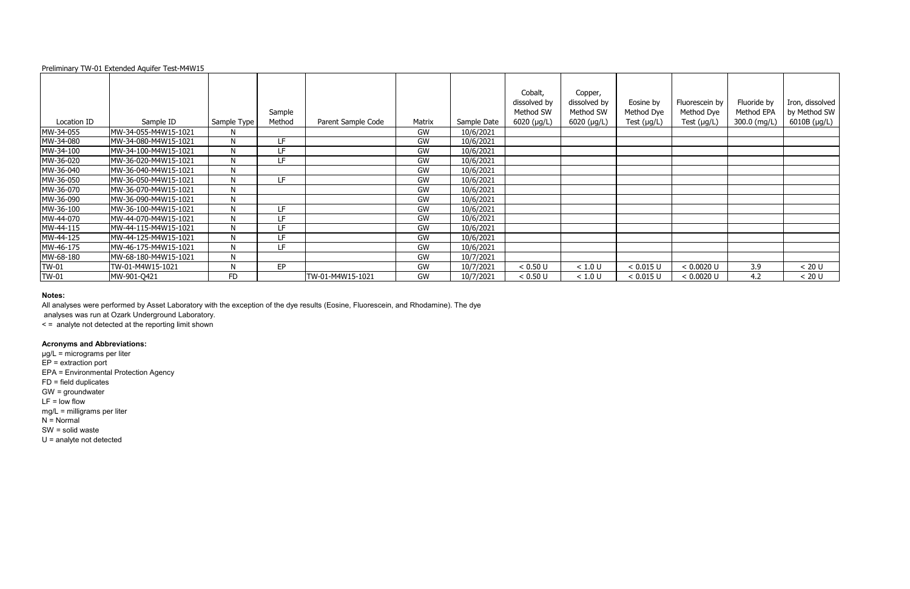| Preliminary TW-01 Extended Aquifer Test-M4W15 |  |
|-----------------------------------------------|--|
|-----------------------------------------------|--|

|              |                      |             |        |                    |        |             | Cobalt,           | Copper,       |                  |                  |              |                 |
|--------------|----------------------|-------------|--------|--------------------|--------|-------------|-------------------|---------------|------------------|------------------|--------------|-----------------|
|              |                      |             |        |                    |        |             | dissolved by      | dissolved by  | Eosine by        | Fluorescein by   | Fluoride by  | Iron, dissolved |
|              |                      |             | Sample |                    |        |             | Method SW         | Method SW     | Method Dye       | Method Dye       | Method EPA   | by Method SW    |
| Location ID  | Sample ID            | Sample Type | Method | Parent Sample Code | Matrix | Sample Date | 6020 ( $\mu$ g/L) | $6020$ (µg/L) | Test $(\mu g/L)$ | Test $(\mu g/L)$ | 300.0 (mg/L) | 6010B (µg/L)    |
| MW-34-055    | MW-34-055-M4W15-1021 | N           |        |                    | GW     | 10/6/2021   |                   |               |                  |                  |              |                 |
| MW-34-080    | MW-34-080-M4W15-1021 | ${\sf N}$   | LF.    |                    | GW     | 10/6/2021   |                   |               |                  |                  |              |                 |
| MW-34-100    | MW-34-100-M4W15-1021 | N           | LF     |                    | GW     | 10/6/2021   |                   |               |                  |                  |              |                 |
| MW-36-020    | MW-36-020-M4W15-1021 | N           | LF     |                    | GW     | 10/6/2021   |                   |               |                  |                  |              |                 |
| MW-36-040    | MW-36-040-M4W15-1021 | ${\sf N}$   |        |                    | GW     | 10/6/2021   |                   |               |                  |                  |              |                 |
| MW-36-050    | MW-36-050-M4W15-1021 | N           | LF     |                    | GW     | 10/6/2021   |                   |               |                  |                  |              |                 |
| MW-36-070    | MW-36-070-M4W15-1021 | N           |        |                    | GW     | 10/6/2021   |                   |               |                  |                  |              |                 |
| MW-36-090    | MW-36-090-M4W15-1021 | N           |        |                    | GW     | 10/6/2021   |                   |               |                  |                  |              |                 |
| MW-36-100    | MW-36-100-M4W15-1021 | N           | LF     |                    | GW     | 10/6/2021   |                   |               |                  |                  |              |                 |
| MW-44-070    | MW-44-070-M4W15-1021 | N           | LF.    |                    | GW     | 10/6/2021   |                   |               |                  |                  |              |                 |
| MW-44-115    | MW-44-115-M4W15-1021 | N           | LF     |                    | GW     | 10/6/2021   |                   |               |                  |                  |              |                 |
| MW-44-125    | MW-44-125-M4W15-1021 | N           | LF     |                    | GW     | 10/6/2021   |                   |               |                  |                  |              |                 |
| MW-46-175    | MW-46-175-M4W15-1021 | N           | LF     |                    | GW     | 10/6/2021   |                   |               |                  |                  |              |                 |
| MW-68-180    | MW-68-180-M4W15-1021 | N           |        |                    | GW     | 10/7/2021   |                   |               |                  |                  |              |                 |
| <b>TW-01</b> | TW-01-M4W15-1021     | N           | EP     |                    | GW     | 10/7/2021   | < 0.50 U          | < 1.0 U       | < 0.015 U        | < 0.0020 U       | 3.9          | < 20 U          |
| <b>TW-01</b> | MW-901-Q421          | <b>FD</b>   |        | TW-01-M4W15-1021   | GW     | 10/7/2021   | < 0.50 U          | < 1.0 U       | < 0.015 U        | < 0.0020 U       | 4.2          | < 20 U          |

### **Notes:**

All analyses were performed by Asset Laboratory with the exception of the dye results (Eosine, Fluorescein, and Rhodamine). The dye analyses was run at Ozark Underground Laboratory.

< = analyte not detected at the reporting limit shown

# **Acronyms and Abbreviations:**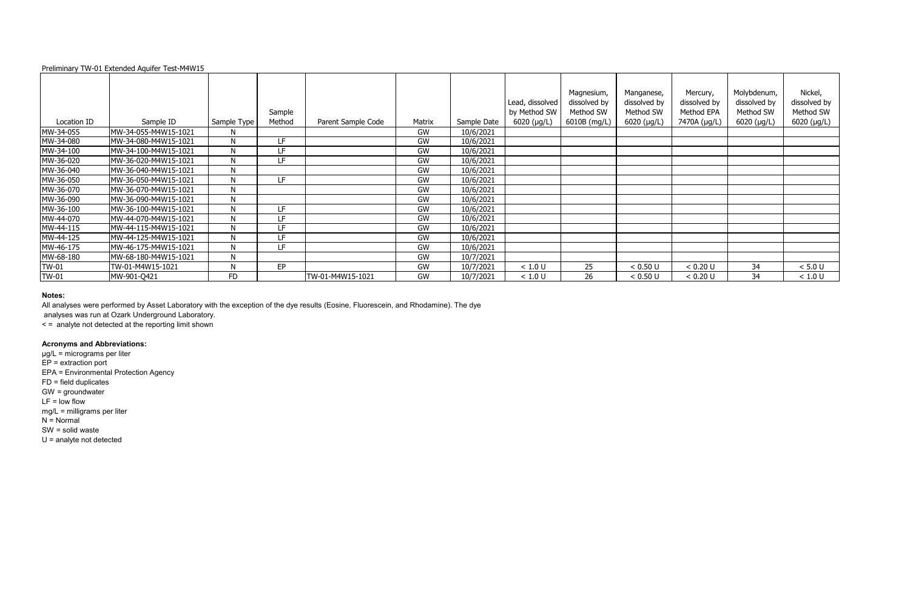|             |                       |             |        |                    |           |             |                   | Magnesium,   | Manganese,          |
|-------------|-----------------------|-------------|--------|--------------------|-----------|-------------|-------------------|--------------|---------------------|
|             |                       |             |        |                    |           |             | Lead, dissolved   | dissolved by | dissolved by        |
|             |                       |             | Sample |                    |           |             | by Method SW      | Method SW    | Method SW           |
| Location ID | Sample ID             | Sample Type | Method | Parent Sample Code | Matrix    | Sample Date | 6020 ( $\mu$ g/L) | 6010B (mg/L) | $6020$ ( $\mu$ g/L) |
| MW-34-055   | MW-34-055-M4W15-1021  | N.          |        |                    | <b>GW</b> | 10/6/2021   |                   |              |                     |
| MW-34-080   | MW-34-080-M4W15-1021  | N           | LF     |                    | GW        | 10/6/2021   |                   |              |                     |
| MW-34-100   | MW-34-100-M4W15-1021  | N           | LF     |                    | <b>GW</b> | 10/6/2021   |                   |              |                     |
| MW-36-020   | IMW-36-020-M4W15-1021 | N           | LF     |                    | GW        | 10/6/2021   |                   |              |                     |
| MW-36-040   | MW-36-040-M4W15-1021  | N           |        |                    | <b>GW</b> | 10/6/2021   |                   |              |                     |
| MW-36-050   | MW-36-050-M4W15-1021  | N           | LF     |                    | GW        | 10/6/2021   |                   |              |                     |
| MW-36-070   | IMW-36-070-M4W15-1021 | N           |        |                    | <b>GW</b> | 10/6/2021   |                   |              |                     |
| MW-36-090   | MW-36-090-M4W15-1021  | N           |        |                    | GW        | 10/6/2021   |                   |              |                     |
| MW-36-100   | MW-36-100-M4W15-1021  | N           | LF     |                    | GW        | 10/6/2021   |                   |              |                     |
| MW-44-070   | MW-44-070-M4W15-1021  | N           | LF     |                    | GW        | 10/6/2021   |                   |              |                     |
| MW-44-115   | MW-44-115-M4W15-1021  | N           | LF     |                    | GW        | 10/6/2021   |                   |              |                     |
| MW-44-125   | MW-44-125-M4W15-1021  | N           | LF     |                    | GW        | 10/6/2021   |                   |              |                     |
| MW-46-175   | MW-46-175-M4W15-1021  | N.          | LF     |                    | <b>GW</b> | 10/6/2021   |                   |              |                     |
| MW-68-180   | MW-68-180-M4W15-1021  | N           |        |                    | GW        | 10/7/2021   |                   |              |                     |
| TW-01       | TW-01-M4W15-1021      | N           | EP     |                    | GW        | 10/7/2021   | < 1.0 U           | 25           | < 0.50 U            |
| TW-01       | MW-901-Q421           | <b>FD</b>   |        | TW-01-M4W15-1021   | GW        | 10/7/2021   | < 1.0 U           | 26           | < 0.50 U            |

### **Notes:**

All analyses were performed by Asset Laboratory with the exception of the dye results (Eosine, Fluorescein, and Rhodamine). The dye analyses was run at Ozark Underground Laboratory.

< = analyte not detected at the reporting limit shown

# **Acronyms and Abbreviations:**

µg/L = micrograms per liter  $EP =$  extraction port EPA = Environmental Protection Agency FD = field duplicates GW = groundwater  $LF = low$  flow mg/L = milligrams per liter  $N =$  Normal SW = solid waste U = analyte not detected

| d, dissolved<br>Method SW<br>20 (µg/L) | Magnesium,<br>dissolved by<br>Method SW<br>6010B (mg/L) | Manganese,<br>dissolved by<br>Method SW<br>6020 (µg/L) | Mercury,<br>dissolved by<br>Method EPA<br>7470A (µg/L) | Molybdenum,<br>dissolved by<br>Method SW<br>6020 (µg/L) | Nickel,<br>dissolved by<br>Method SW<br>6020 (µg/L) |
|----------------------------------------|---------------------------------------------------------|--------------------------------------------------------|--------------------------------------------------------|---------------------------------------------------------|-----------------------------------------------------|
|                                        |                                                         |                                                        |                                                        |                                                         |                                                     |
|                                        |                                                         |                                                        |                                                        |                                                         |                                                     |
|                                        |                                                         |                                                        |                                                        |                                                         |                                                     |
|                                        |                                                         |                                                        |                                                        |                                                         |                                                     |
|                                        |                                                         |                                                        |                                                        |                                                         |                                                     |
|                                        |                                                         |                                                        |                                                        |                                                         |                                                     |
|                                        |                                                         |                                                        |                                                        |                                                         |                                                     |
|                                        |                                                         |                                                        |                                                        |                                                         |                                                     |
|                                        |                                                         |                                                        |                                                        |                                                         |                                                     |
|                                        |                                                         |                                                        |                                                        |                                                         |                                                     |
|                                        |                                                         |                                                        |                                                        |                                                         |                                                     |
|                                        |                                                         |                                                        |                                                        |                                                         |                                                     |
|                                        |                                                         |                                                        |                                                        |                                                         |                                                     |
|                                        |                                                         |                                                        |                                                        |                                                         |                                                     |
| < 1.0 U                                | 25                                                      | < 0.50 U                                               | < 0.20 U                                               | 34                                                      | < 5.0 U                                             |
| < 1.0 U                                | 26                                                      | < 0.50 U                                               | < 0.20 U                                               | 34                                                      | < 1.0 U                                             |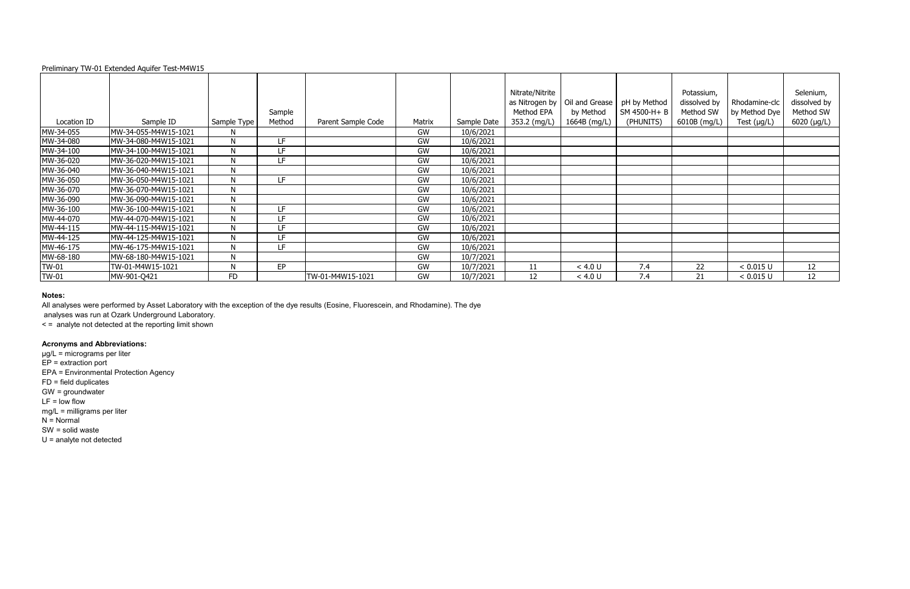|              |                       |              |        |                    |           |             | Nitrate/Nitrite |                |              |
|--------------|-----------------------|--------------|--------|--------------------|-----------|-------------|-----------------|----------------|--------------|
|              |                       |              |        |                    |           |             | as Nitrogen by  | Oil and Grease | pH by Method |
|              |                       |              | Sample |                    |           |             | Method EPA      | by Method      | SM 4500-H+B  |
| Location ID  | Sample ID             | Sample Type  | Method | Parent Sample Code | Matrix    | Sample Date | 353.2 (mg/L)    | 1664B (mg/L)   | (PHUNITS)    |
| MW-34-055    | MW-34-055-M4W15-1021  | N.           |        |                    | GW        | 10/6/2021   |                 |                |              |
| MW-34-080    | MW-34-080-M4W15-1021  | N            | LF     |                    | GW        | 10/6/2021   |                 |                |              |
| MW-34-100    | MW-34-100-M4W15-1021  | N            | LF     |                    | GW        | 10/6/2021   |                 |                |              |
| MW-36-020    | MW-36-020-M4W15-1021  | N            | LF     |                    | GW        | 10/6/2021   |                 |                |              |
| MW-36-040    | MW-36-040-M4W15-1021  | N            |        |                    | GW        | 10/6/2021   |                 |                |              |
| MW-36-050    | MW-36-050-M4W15-1021  | N            | LF     |                    | GW        | 10/6/2021   |                 |                |              |
| MW-36-070    | IMW-36-070-M4W15-1021 | N            |        |                    | <b>GW</b> | 10/6/2021   |                 |                |              |
| MW-36-090    | MW-36-090-M4W15-1021  | N            |        |                    | GW        | 10/6/2021   |                 |                |              |
| MW-36-100    | MW-36-100-M4W15-1021  | N            | LF     |                    | GW        | 10/6/2021   |                 |                |              |
| MW-44-070    | MW-44-070-M4W15-1021  | $\mathsf{N}$ | LF     |                    | GW        | 10/6/2021   |                 |                |              |
| MW-44-115    | MW-44-115-M4W15-1021  | N            | LF     |                    | GW        | 10/6/2021   |                 |                |              |
| MW-44-125    | MW-44-125-M4W15-1021  | N            | LF     |                    | GW        | 10/6/2021   |                 |                |              |
| MW-46-175    | MW-46-175-M4W15-1021  | N            | LF     |                    | GW        | 10/6/2021   |                 |                |              |
| MW-68-180    | IMW-68-180-M4W15-1021 | N            |        |                    | GW        | 10/7/2021   |                 |                |              |
| TW-01        | TW-01-M4W15-1021      | N            | EP     |                    | GW        | 10/7/2021   | 11              | < 4.0 U        | 7.4          |
| <b>TW-01</b> | MW-901-Q421           | <b>FD</b>    |        | TW-01-M4W15-1021   | GW        | 10/7/2021   | 12              | < 4.0 U        | 7.4          |

## **Notes:**

All analyses were performed by Asset Laboratory with the exception of the dye results (Eosine, Fluorescein, and Rhodamine). The dye analyses was run at Ozark Underground Laboratory.

< = analyte not detected at the reporting limit shown

### **Acronyms and Abbreviations:**

| e/Nitrite<br>ogen by<br>od EPA<br>(mg/L) | Oil and Grease<br>by Method<br>1664B (mg/L) | pH by Method<br>SM 4500-H+ B<br>(PHUNITS) | Potassium,<br>dissolved by<br>Method SW<br>6010B (mg/L) | Rhodamine-clc<br>by Method Dye<br>Test $(\mu g/L)$ | Selenium,<br>dissolved by<br>Method SW<br>6020 (µg/L) |
|------------------------------------------|---------------------------------------------|-------------------------------------------|---------------------------------------------------------|----------------------------------------------------|-------------------------------------------------------|
|                                          |                                             |                                           |                                                         |                                                    |                                                       |
|                                          |                                             |                                           |                                                         |                                                    |                                                       |
|                                          |                                             |                                           |                                                         |                                                    |                                                       |
|                                          |                                             |                                           |                                                         |                                                    |                                                       |
|                                          |                                             |                                           |                                                         |                                                    |                                                       |
|                                          |                                             |                                           |                                                         |                                                    |                                                       |
|                                          |                                             |                                           |                                                         |                                                    |                                                       |
|                                          |                                             |                                           |                                                         |                                                    |                                                       |
|                                          |                                             |                                           |                                                         |                                                    |                                                       |
|                                          |                                             |                                           |                                                         |                                                    |                                                       |
|                                          |                                             |                                           |                                                         |                                                    |                                                       |
|                                          |                                             |                                           |                                                         |                                                    |                                                       |
|                                          |                                             |                                           |                                                         |                                                    |                                                       |
|                                          |                                             |                                           |                                                         |                                                    |                                                       |
| <u>11</u>                                | < 4.0 U                                     | 7.4                                       | 22                                                      | < 0.015 U                                          | 12                                                    |
| 12                                       | < 4.0 U                                     | 7.4                                       | 21                                                      | < 0.015 U                                          | 12                                                    |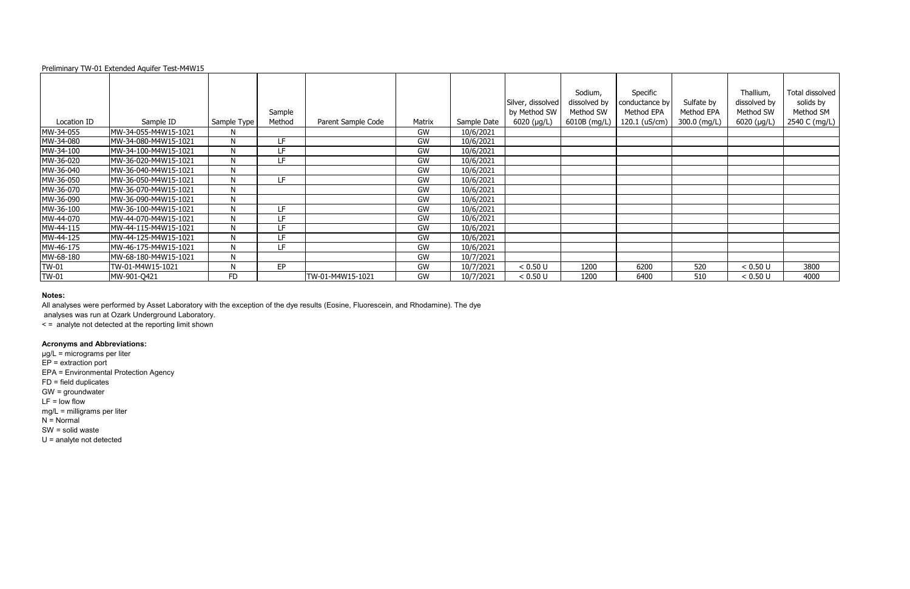|             |                       |             |        |                    |        |             |                   | Sodium,      |
|-------------|-----------------------|-------------|--------|--------------------|--------|-------------|-------------------|--------------|
|             |                       |             |        |                    |        |             | Silver, dissolved | dissolved by |
|             |                       |             | Sample |                    |        |             | by Method SW      | Method SW    |
| Location ID | Sample ID             | Sample Type | Method | Parent Sample Code | Matrix | Sample Date | 6020 (µg/L)       | 6010B (mg/L) |
| MW-34-055   | MW-34-055-M4W15-1021  | N           |        |                    | GW     | 10/6/2021   |                   |              |
| MW-34-080   | MW-34-080-M4W15-1021  | N           | LF     |                    | GW     | 10/6/2021   |                   |              |
| MW-34-100   | MW-34-100-M4W15-1021  | N           | LF     |                    | GW     | 10/6/2021   |                   |              |
| MW-36-020   | MW-36-020-M4W15-1021  | N           | LF     |                    | GW     | 10/6/2021   |                   |              |
| MW-36-040   | MW-36-040-M4W15-1021  | N           |        |                    | GW     | 10/6/2021   |                   |              |
| MW-36-050   | MW-36-050-M4W15-1021  | N           | LF     |                    | GW     | 10/6/2021   |                   |              |
| MW-36-070   | IMW-36-070-M4W15-1021 | N           |        |                    | GW     | 10/6/2021   |                   |              |
| MW-36-090   | MW-36-090-M4W15-1021  | N           |        |                    | GW     | 10/6/2021   |                   |              |
| MW-36-100   | MW-36-100-M4W15-1021  | N           | LF     |                    | GW     | 10/6/2021   |                   |              |
| MW-44-070   | MW-44-070-M4W15-1021  | N           | LF     |                    | GW     | 10/6/2021   |                   |              |
| MW-44-115   | MW-44-115-M4W15-1021  | N           | LF     |                    | GW     | 10/6/2021   |                   |              |
| MW-44-125   | MW-44-125-M4W15-1021  | N           | LF     |                    | GW     | 10/6/2021   |                   |              |
| MW-46-175   | MW-46-175-M4W15-1021  | N           | LF     |                    | GW     | 10/6/2021   |                   |              |
| MW-68-180   | MW-68-180-M4W15-1021  | N           |        |                    | GW     | 10/7/2021   |                   |              |
| TW-01       | TW-01-M4W15-1021      | N           | EP     |                    | GW     | 10/7/2021   | < 0.50 U          | 1200         |
| TW-01       | MW-901-Q421           | <b>FD</b>   |        | TW-01-M4W15-1021   | GW     | 10/7/2021   | < 0.50 U          | 1200         |
|             |                       |             |        |                    |        |             |                   |              |

### **Notes:**

All analyses were performed by Asset Laboratory with the exception of the dye results (Eosine, Fluorescein, and Rhodamine). The dye analyses was run at Ozark Underground Laboratory.

< = analyte not detected at the reporting limit shown

# **Acronyms and Abbreviations:**

µg/L = micrograms per liter  $EP =$  extraction port EPA = Environmental Protection Agency FD = field duplicates GW = groundwater  $LF = low$  flow mg/L = milligrams per liter  $N =$  Normal SW = solid waste U = analyte not detected

| er, dissolved<br>Method SW<br>020 (µg/L) | Sodium,<br>dissolved by<br>Method SW<br>6010B (mg/L) | Specific<br>conductance by<br>Method EPA<br>120.1 (uS/cm) | Sulfate by<br>Method EPA<br>300.0 (mg/L) | Thallium,<br>dissolved by<br>Method SW<br>6020 (µg/L) | Total dissolved<br>solids by<br>Method SM<br>2540 C (mg/L) |
|------------------------------------------|------------------------------------------------------|-----------------------------------------------------------|------------------------------------------|-------------------------------------------------------|------------------------------------------------------------|
|                                          |                                                      |                                                           |                                          |                                                       |                                                            |
|                                          |                                                      |                                                           |                                          |                                                       |                                                            |
|                                          |                                                      |                                                           |                                          |                                                       |                                                            |
|                                          |                                                      |                                                           |                                          |                                                       |                                                            |
|                                          |                                                      |                                                           |                                          |                                                       |                                                            |
|                                          |                                                      |                                                           |                                          |                                                       |                                                            |
|                                          |                                                      |                                                           |                                          |                                                       |                                                            |
|                                          |                                                      |                                                           |                                          |                                                       |                                                            |
|                                          |                                                      |                                                           |                                          |                                                       |                                                            |
|                                          |                                                      |                                                           |                                          |                                                       |                                                            |
|                                          |                                                      |                                                           |                                          |                                                       |                                                            |
|                                          |                                                      |                                                           |                                          |                                                       |                                                            |
|                                          |                                                      |                                                           |                                          |                                                       |                                                            |
|                                          |                                                      |                                                           |                                          |                                                       |                                                            |
| < 0.50 U                                 | 1200                                                 | 6200                                                      | 520                                      | < 0.50 U                                              | 3800                                                       |
| < 0.50 U                                 | 1200                                                 | 6400                                                      | 510                                      | < 0.50 U                                              | 4000                                                       |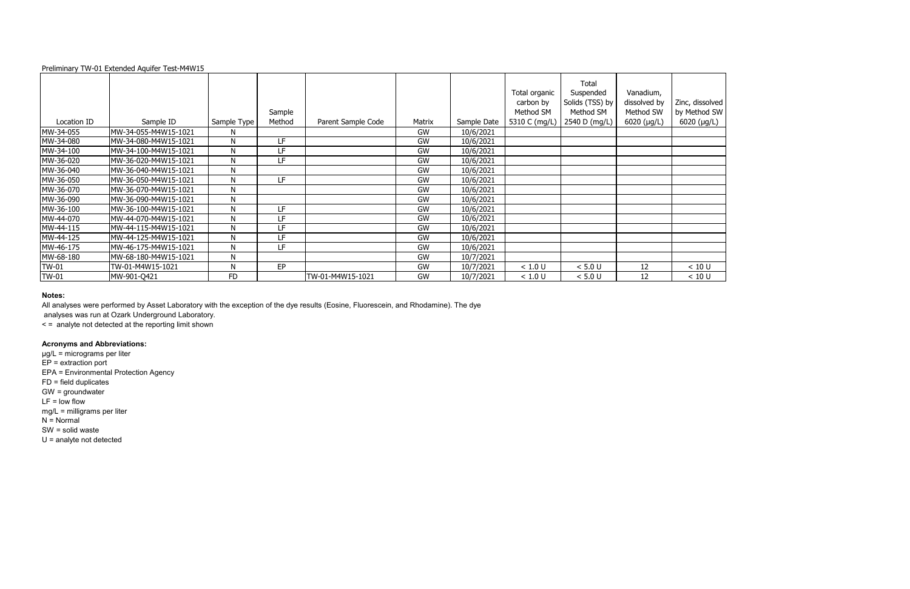### **Notes:**

All analyses were performed by Asset Laboratory with the exception of the dye results (Eosine, Fluorescein, and Rhodamine). The dye analyses was run at Ozark Underground Laboratory.

< = analyte not detected at the reporting limit shown

# **Acronyms and Abbreviations:**

|              |                      |              | Sample |                    |           |             | Total organic<br>carbon by<br>Method SM | Total<br>Suspended<br>Solids (TSS) by<br>Method SM | Vanadium,<br>dissolved by<br>Method SW | Zinc, disso<br>by Method |
|--------------|----------------------|--------------|--------|--------------------|-----------|-------------|-----------------------------------------|----------------------------------------------------|----------------------------------------|--------------------------|
| Location ID  | Sample ID            | Sample Type  | Method | Parent Sample Code | Matrix    | Sample Date | 5310 C (mg/L)                           | 2540 D (mg/L)                                      | $6020$ ( $\mu$ g/L)                    | $6020$ (µg               |
| MW-34-055    | MW-34-055-M4W15-1021 | N            |        |                    | <b>GW</b> | 10/6/2021   |                                         |                                                    |                                        |                          |
| MW-34-080    | MW-34-080-M4W15-1021 | N            | LF     |                    | <b>GW</b> | 10/6/2021   |                                         |                                                    |                                        |                          |
| MW-34-100    | MW-34-100-M4W15-1021 | N            | LF     |                    | GW        | 10/6/2021   |                                         |                                                    |                                        |                          |
| MW-36-020    | MW-36-020-M4W15-1021 | N            | LF     |                    | GW        | 10/6/2021   |                                         |                                                    |                                        |                          |
| MW-36-040    | MW-36-040-M4W15-1021 | N            |        |                    | <b>GW</b> | 10/6/2021   |                                         |                                                    |                                        |                          |
| MW-36-050    | MW-36-050-M4W15-1021 | N            | LF     |                    | <b>GW</b> | 10/6/2021   |                                         |                                                    |                                        |                          |
| MW-36-070    | MW-36-070-M4W15-1021 | N            |        |                    | GW        | 10/6/2021   |                                         |                                                    |                                        |                          |
| MW-36-090    | MW-36-090-M4W15-1021 | N            |        |                    | <b>GW</b> | 10/6/2021   |                                         |                                                    |                                        |                          |
| MW-36-100    | MW-36-100-M4W15-1021 | $\mathsf{N}$ | LF     |                    | GW        | 10/6/2021   |                                         |                                                    |                                        |                          |
| MW-44-070    | MW-44-070-M4W15-1021 | N            | LF     |                    | GW        | 10/6/2021   |                                         |                                                    |                                        |                          |
| MW-44-115    | MW-44-115-M4W15-1021 | N            | LF     |                    | GW        | 10/6/2021   |                                         |                                                    |                                        |                          |
| MW-44-125    | MW-44-125-M4W15-1021 | N            | LF     |                    | <b>GW</b> | 10/6/2021   |                                         |                                                    |                                        |                          |
| MW-46-175    | MW-46-175-M4W15-1021 | N            | LF     |                    | <b>GW</b> | 10/6/2021   |                                         |                                                    |                                        |                          |
| MW-68-180    | MW-68-180-M4W15-1021 | $\mathsf{N}$ |        |                    | GW        | 10/7/2021   |                                         |                                                    |                                        |                          |
| <b>TW-01</b> | TW-01-M4W15-1021     | N            | EP     |                    | GW        | 10/7/2021   | < 1.0 U                                 | $< 5.0 U$                                          | 12                                     | < 10 U                   |
| <b>TW-01</b> | MW-901-Q421          | <b>FD</b>    |        | TW-01-M4W15-1021   | GW        | 10/7/2021   | < 1.0 U                                 | < 5.0 U                                            | 12                                     | < 10 U                   |

| Zinc, dissolved<br>by Method SW<br>6020 (µg/L) |
|------------------------------------------------|
|                                                |
|                                                |
|                                                |
|                                                |
|                                                |
|                                                |
|                                                |
|                                                |
|                                                |
|                                                |
|                                                |
|                                                |
|                                                |
|                                                |
| 10 U                                           |
| < 10<br>U                                      |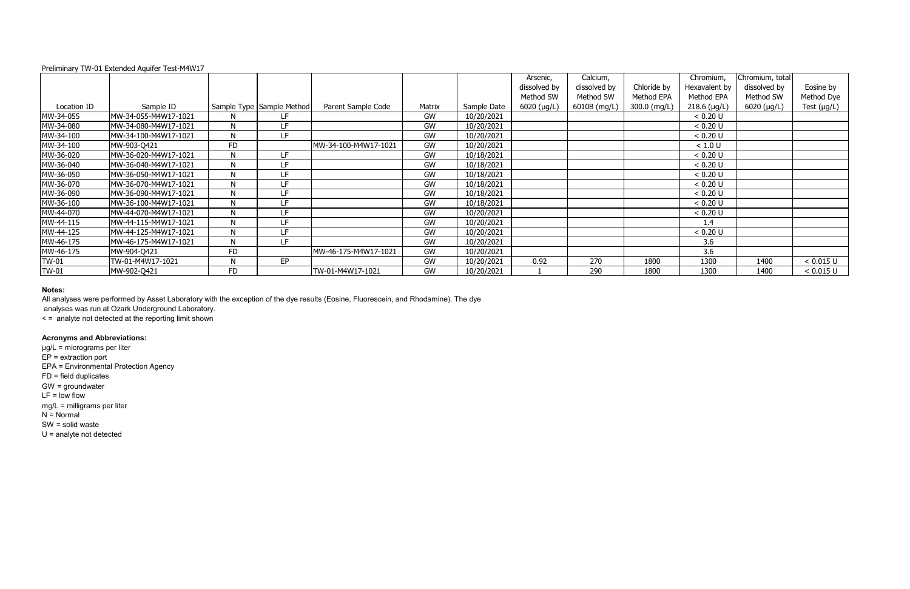|              |                      |              |                             |                      |           |             | Arsenic,          | Calcium,     |              | Chromium,      | Chromium, total     |                  |
|--------------|----------------------|--------------|-----------------------------|----------------------|-----------|-------------|-------------------|--------------|--------------|----------------|---------------------|------------------|
|              |                      |              |                             |                      |           |             | dissolved by      | dissolved by | Chloride by  | Hexavalent by  | dissolved by        | Eosine by        |
|              |                      |              |                             |                      |           |             | Method SW         | Method SW    | Method EPA   | Method EPA     | Method SW           | Method Dye       |
| Location ID  | Sample ID            |              | Sample Type   Sample Method | Parent Sample Code   | Matrix    | Sample Date | 6020 ( $\mu$ g/L) | 6010B (mg/L) | 300.0 (mg/L) | $218.6$ (µg/L) | $6020 \, (\mu g/L)$ | Test $(\mu g/L)$ |
| MW-34-055    | MW-34-055-M4W17-1021 | N            | LF                          |                      | GW        | 10/20/2021  |                   |              |              | < 0.20 U       |                     |                  |
| MW-34-080    | MW-34-080-M4W17-1021 | N            | LF                          |                      | GW        | 10/20/2021  |                   |              |              | < 0.20 U       |                     |                  |
| MW-34-100    | MW-34-100-M4W17-1021 | N            | LF                          |                      | GW        | 10/20/2021  |                   |              |              | < 0.20 U       |                     |                  |
| MW-34-100    | MW-903-Q421          | FD           |                             | MW-34-100-M4W17-1021 | GW        | 10/20/2021  |                   |              |              | < 1.0 U        |                     |                  |
| MW-36-020    | MW-36-020-M4W17-1021 | N            | LF.                         |                      | GW        | 10/18/2021  |                   |              |              | < 0.20 U       |                     |                  |
| MW-36-040    | MW-36-040-M4W17-1021 | N            | LF                          |                      | GW        | 10/18/2021  |                   |              |              | < 0.20 U       |                     |                  |
| MW-36-050    | MW-36-050-M4W17-1021 | $\mathsf{N}$ | LF                          |                      | GW        | 10/18/2021  |                   |              |              | < 0.20 U       |                     |                  |
| MW-36-070    | MW-36-070-M4W17-1021 | N            | LF                          |                      | GW        | 10/18/2021  |                   |              |              | < 0.20 U       |                     |                  |
| MW-36-090    | MW-36-090-M4W17-1021 | N            | LF                          |                      | GW        | 10/18/2021  |                   |              |              | < 0.20 U       |                     |                  |
| MW-36-100    | MW-36-100-M4W17-1021 | N            | LF                          |                      | GW        | 10/18/2021  |                   |              |              | < 0.20 U       |                     |                  |
| MW-44-070    | MW-44-070-M4W17-1021 | N            | LF                          |                      | GW        | 10/20/2021  |                   |              |              | < 0.20 U       |                     |                  |
| MW-44-115    | MW-44-115-M4W17-1021 | N            | LF                          |                      | GW        | 10/20/2021  |                   |              |              | 1.4            |                     |                  |
| MW-44-125    | MW-44-125-M4W17-1021 | N            | LF                          |                      | GW        | 10/20/2021  |                   |              |              | < 0.20 U       |                     |                  |
| MW-46-175    | MW-46-175-M4W17-1021 | N            | LF                          |                      | GW        | 10/20/2021  |                   |              |              | 3.6            |                     |                  |
| MW-46-175    | MW-904-Q421          | <b>FD</b>    |                             | MW-46-175-M4W17-1021 | GW        | 10/20/2021  |                   |              |              | 3.6            |                     |                  |
| <b>TW-01</b> | TW-01-M4W17-1021     | N            | EP                          |                      | GW        | 10/20/2021  | 0.92              | 270          | 1800         | 1300           | 1400                | < 0.015 U        |
| <b>TW-01</b> | MW-902-Q421          | <b>FD</b>    |                             | TW-01-M4W17-1021     | <b>GW</b> | 10/20/2021  |                   | 290          | 1800         | 1300           | 1400                | < 0.015 U        |

#### **Notes:**

analyses was run at Ozark Underground Laboratory.

< = analyte not detected at the reporting limit shown

# **Acronyms and Abbreviations:**

µg/L = micrograms per liter EP = extraction port EPA = Environmental Protection Agency FD = field duplicates GW = groundwater LF = low flow mg/L = milligrams per liter  $N = Normal$ SW = solid waste U = analyte not detected

All analyses were performed by Asset Laboratory with the exception of the dye results (Eosine, Fluorescein, and Rhodamine). The dye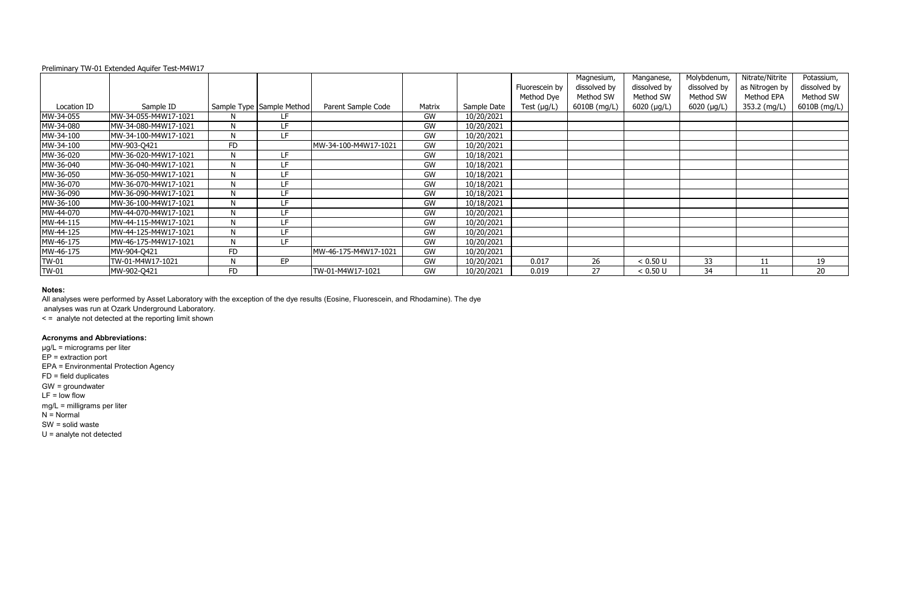|              | $\sim$ . Community Time of Extended August 1 1 200 1 1 1 1 1 2 7 |           |                           |                      |        |             | Fluorescein by   | Magnesium,<br>dissolved by | Manganese,<br>dissolved by | Molybdenum,<br>dissolved by | Nitrate/Nitrite<br>as Nitrogen by | Potassium,<br>dissolved by |
|--------------|------------------------------------------------------------------|-----------|---------------------------|----------------------|--------|-------------|------------------|----------------------------|----------------------------|-----------------------------|-----------------------------------|----------------------------|
|              |                                                                  |           |                           |                      |        |             | Method Dye       | Method SW                  | Method SW                  | Method SW                   | Method EPA                        | Method SW                  |
| Location ID  | Sample ID                                                        |           | Sample Type Sample Method | Parent Sample Code   | Matrix | Sample Date | Test $(\mu g/L)$ | 6010B (mg/L)               | $6020$ (µg/L)              | $6020$ (µg/L)               | 353.2 (mg/L)                      | 6010B (mg/L)               |
| MW-34-055    | MW-34-055-M4W17-1021                                             | N         | LF.                       |                      | GW     | 10/20/2021  |                  |                            |                            |                             |                                   |                            |
| MW-34-080    | MW-34-080-M4W17-1021                                             | Ν         | LF                        |                      | GW     | 10/20/2021  |                  |                            |                            |                             |                                   |                            |
| MW-34-100    | MW-34-100-M4W17-1021                                             | N         | LF                        |                      | GW     | 10/20/2021  |                  |                            |                            |                             |                                   |                            |
| MW-34-100    | MW-903-Q421                                                      | <b>FD</b> |                           | MW-34-100-M4W17-1021 | GW     | 10/20/2021  |                  |                            |                            |                             |                                   |                            |
| MW-36-020    | MW-36-020-M4W17-1021                                             | N         | LF.                       |                      | GW     | 10/18/2021  |                  |                            |                            |                             |                                   |                            |
| MW-36-040    | MW-36-040-M4W17-1021                                             | Ν         | <b>LF</b>                 |                      | GW     | 10/18/2021  |                  |                            |                            |                             |                                   |                            |
| MW-36-050    | MW-36-050-M4W17-1021                                             | N         | LF                        |                      | GW     | 10/18/2021  |                  |                            |                            |                             |                                   |                            |
| MW-36-070    | MW-36-070-M4W17-1021                                             | N         | LF                        |                      | GW     | 10/18/2021  |                  |                            |                            |                             |                                   |                            |
| MW-36-090    | MW-36-090-M4W17-1021                                             |           | LF                        |                      | GW     | 10/18/2021  |                  |                            |                            |                             |                                   |                            |
| MW-36-100    | MW-36-100-M4W17-1021                                             | N         | LF                        |                      | GW     | 10/18/2021  |                  |                            |                            |                             |                                   |                            |
| MW-44-070    | MW-44-070-M4W17-1021                                             | N         | LF                        |                      | GW     | 10/20/2021  |                  |                            |                            |                             |                                   |                            |
| MW-44-115    | MW-44-115-M4W17-1021                                             | N         | LF                        |                      | GW     | 10/20/2021  |                  |                            |                            |                             |                                   |                            |
| MW-44-125    | MW-44-125-M4W17-1021                                             | N         | LF                        |                      | GW     | 10/20/2021  |                  |                            |                            |                             |                                   |                            |
| MW-46-175    | MW-46-175-M4W17-1021                                             | N         | LF                        |                      | GW     | 10/20/2021  |                  |                            |                            |                             |                                   |                            |
| MW-46-175    | MW-904-Q421                                                      | <b>FD</b> |                           | MW-46-175-M4W17-1021 | GW     | 10/20/2021  |                  |                            |                            |                             |                                   |                            |
| TW-01        | TW-01-M4W17-1021                                                 | Ν         | EP                        |                      | GW     | 10/20/2021  | 0.017            | 26                         | < 0.50 U                   | 33                          | 11                                | 19                         |
| <b>TW-01</b> | MW-902-Q421                                                      | <b>FD</b> |                           | TW-01-M4W17-1021     | GW     | 10/20/2021  | 0.019            | 27                         | < 0.50 U                   | 34                          |                                   | 20                         |

#### **Notes:**

analyses was run at Ozark Underground Laboratory.

< = analyte not detected at the reporting limit shown

# **Acronyms and Abbreviations:**

µg/L = micrograms per liter EP = extraction port EPA = Environmental Protection Agency FD = field duplicates GW = groundwater LF = low flow mg/L = milligrams per liter  $N = Normal$ SW = solid waste U = analyte not detected

All analyses were performed by Asset Laboratory with the exception of the dye results (Eosine, Fluorescein, and Rhodamine). The dye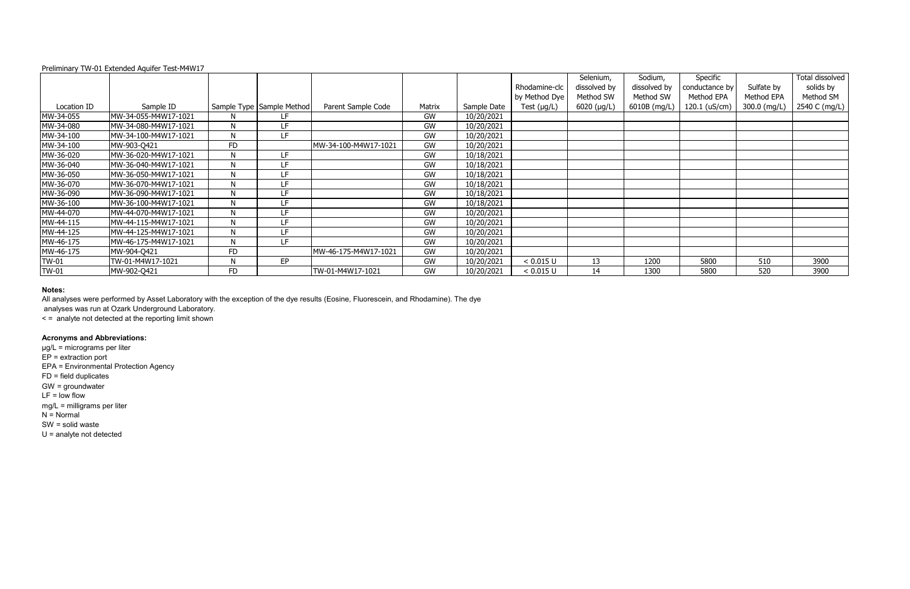|              |                      |           |                           |                      |        |             |                  | Selenium,     | Sodium,      | Specific       |              | Total dissolved |
|--------------|----------------------|-----------|---------------------------|----------------------|--------|-------------|------------------|---------------|--------------|----------------|--------------|-----------------|
|              |                      |           |                           |                      |        |             | Rhodamine-clc    | dissolved by  | dissolved by | conductance by | Sulfate by   | solids by       |
|              |                      |           |                           |                      |        |             | by Method Dye    | Method SW     | Method SW    | Method EPA     | Method EPA   | Method SM       |
| Location ID  | Sample ID            |           | Sample Type Sample Method | Parent Sample Code   | Matrix | Sample Date | Test $(\mu g/L)$ | $6020$ (µg/L) | 6010B (mg/L) | 120.1 (uS/cm)  | 300.0 (mg/L) | 2540 C (mg/L)   |
| MW-34-055    | MW-34-055-M4W17-1021 | N.        | LF                        |                      | GW     | 10/20/2021  |                  |               |              |                |              |                 |
| MW-34-080    | MW-34-080-M4W17-1021 | N         | LF                        |                      | GW     | 10/20/2021  |                  |               |              |                |              |                 |
| MW-34-100    | MW-34-100-M4W17-1021 | N         | LF                        |                      | GW     | 10/20/2021  |                  |               |              |                |              |                 |
| MW-34-100    | MW-903-Q421          | <b>FD</b> |                           | MW-34-100-M4W17-1021 | GW     | 10/20/2021  |                  |               |              |                |              |                 |
| MW-36-020    | MW-36-020-M4W17-1021 | N         | LF                        |                      | GW     | 10/18/2021  |                  |               |              |                |              |                 |
| MW-36-040    | MW-36-040-M4W17-1021 | N         | LF                        |                      | GW     | 10/18/2021  |                  |               |              |                |              |                 |
| MW-36-050    | MW-36-050-M4W17-1021 | N         | LF                        |                      | GW     | 10/18/2021  |                  |               |              |                |              |                 |
| MW-36-070    | MW-36-070-M4W17-1021 | N         | LF                        |                      | GW     | 10/18/2021  |                  |               |              |                |              |                 |
| MW-36-090    | MW-36-090-M4W17-1021 | N         | LF                        |                      | GW     | 10/18/2021  |                  |               |              |                |              |                 |
| MW-36-100    | MW-36-100-M4W17-1021 | N         | LF                        |                      | GW     | 10/18/2021  |                  |               |              |                |              |                 |
| MW-44-070    | MW-44-070-M4W17-1021 | N         | LF                        |                      | GW     | 10/20/2021  |                  |               |              |                |              |                 |
| MW-44-115    | MW-44-115-M4W17-1021 | N         | LF                        |                      | GW     | 10/20/2021  |                  |               |              |                |              |                 |
| MW-44-125    | MW-44-125-M4W17-1021 | N         | LF                        |                      | GW     | 10/20/2021  |                  |               |              |                |              |                 |
| MW-46-175    | MW-46-175-M4W17-1021 | N         | LF                        |                      | GW     | 10/20/2021  |                  |               |              |                |              |                 |
| MW-46-175    | MW-904-Q421          | <b>FD</b> |                           | MW-46-175-M4W17-1021 | GW     | 10/20/2021  |                  |               |              |                |              |                 |
| <b>TW-01</b> | TW-01-M4W17-1021     | N         | EP                        |                      | GW     | 10/20/2021  | < 0.015 U        | 13            | 1200         | 5800           | 510          | 3900            |
| <b>TW-01</b> | MW-902-Q421          | <b>FD</b> |                           | TW-01-M4W17-1021     | GW     | 10/20/2021  | < 0.015 U        | 14            | 1300         | 5800           | 520          | 3900            |

#### **Notes:**

analyses was run at Ozark Underground Laboratory.

< = analyte not detected at the reporting limit shown

# **Acronyms and Abbreviations:**

µg/L = micrograms per liter EP = extraction port EPA = Environmental Protection Agency FD = field duplicates GW = groundwater LF = low flow mg/L = milligrams per liter  $N = Normal$ SW = solid waste U = analyte not detected

All analyses were performed by Asset Laboratory with the exception of the dye results (Eosine, Fluorescein, and Rhodamine). The dye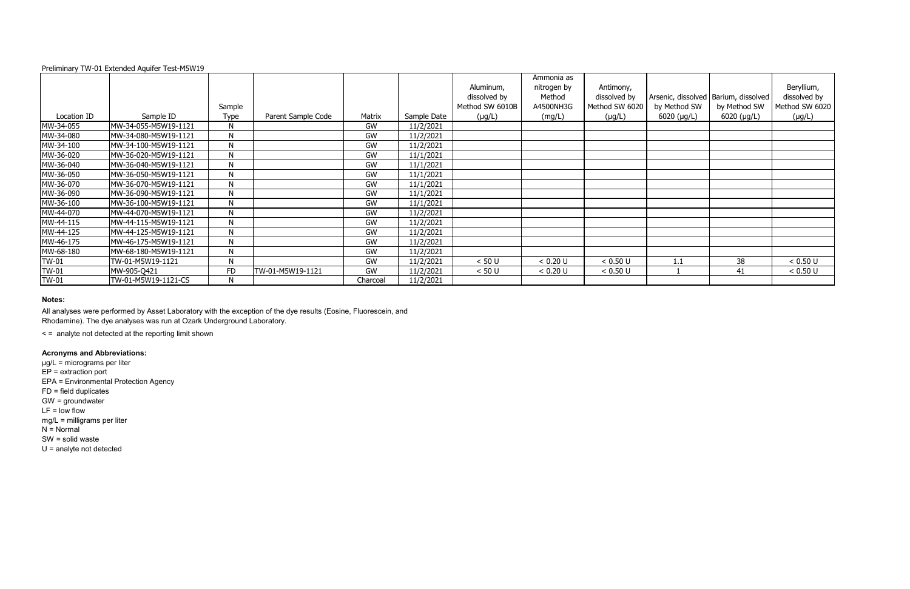|              |                      | Sample    |                    |           |             | Aluminum,<br>dissolved by<br>Method SW 6010B | Ammonia as<br>nitrogen by<br>Method<br>A4500NH3G | Antimony,<br>dissolved by<br>Method SW 6020 | by Method SW | Arsenic, dissolved   Barium, dissolved<br>by Method SW | Beryllium,<br>dissolved by<br>Method SW 6020 |
|--------------|----------------------|-----------|--------------------|-----------|-------------|----------------------------------------------|--------------------------------------------------|---------------------------------------------|--------------|--------------------------------------------------------|----------------------------------------------|
| Location ID  | Sample ID            | Type      | Parent Sample Code | Matrix    | Sample Date | $(\mu g/L)$                                  | (mg/L)                                           | $(\mu g/L)$                                 | 6020 (µg/L)  | $6020$ ( $\mu$ g/L)                                    | $(\mu g/L)$                                  |
| MW-34-055    | MW-34-055-M5W19-1121 | N         |                    | GW        | 11/2/2021   |                                              |                                                  |                                             |              |                                                        |                                              |
| MW-34-080    | MW-34-080-M5W19-1121 | N         |                    | GW        | 11/2/2021   |                                              |                                                  |                                             |              |                                                        |                                              |
| MW-34-100    | MW-34-100-M5W19-1121 | N         |                    | <b>GW</b> | 11/2/2021   |                                              |                                                  |                                             |              |                                                        |                                              |
| MW-36-020    | MW-36-020-M5W19-1121 | N         |                    | GW        | 11/1/2021   |                                              |                                                  |                                             |              |                                                        |                                              |
| MW-36-040    | MW-36-040-M5W19-1121 | N         |                    | GW        | 11/1/2021   |                                              |                                                  |                                             |              |                                                        |                                              |
| MW-36-050    | MW-36-050-M5W19-1121 | N         |                    | GW        | 11/1/2021   |                                              |                                                  |                                             |              |                                                        |                                              |
| MW-36-070    | MW-36-070-M5W19-1121 | N         |                    | GW        | 11/1/2021   |                                              |                                                  |                                             |              |                                                        |                                              |
| MW-36-090    | MW-36-090-M5W19-1121 | N         |                    | GW        | 11/1/2021   |                                              |                                                  |                                             |              |                                                        |                                              |
| MW-36-100    | MW-36-100-M5W19-1121 | ${\sf N}$ |                    | GW        | 11/1/2021   |                                              |                                                  |                                             |              |                                                        |                                              |
| MW-44-070    | MW-44-070-M5W19-1121 | N         |                    | GW        | 11/2/2021   |                                              |                                                  |                                             |              |                                                        |                                              |
| MW-44-115    | MW-44-115-M5W19-1121 | N         |                    | GW        | 11/2/2021   |                                              |                                                  |                                             |              |                                                        |                                              |
| MW-44-125    | MW-44-125-M5W19-1121 | N         |                    | GW        | 11/2/2021   |                                              |                                                  |                                             |              |                                                        |                                              |
| MW-46-175    | MW-46-175-M5W19-1121 | N         |                    | GW        | 11/2/2021   |                                              |                                                  |                                             |              |                                                        |                                              |
| MW-68-180    | MW-68-180-M5W19-1121 | N         |                    | GW        | 11/2/2021   |                                              |                                                  |                                             |              |                                                        |                                              |
| <b>TW-01</b> | TW-01-M5W19-1121     | N         |                    | GW        | 11/2/2021   | < 50 U                                       | < 0.20 U                                         | < 0.50 U                                    | 1.1          | 38                                                     | < 0.50 U                                     |
| <b>TW-01</b> | MW-905-Q421          | FD        | TW-01-M5W19-1121   | <b>GW</b> | 11/2/2021   | < 50 U                                       | < 0.20 U                                         | < 0.50 U                                    |              | 41                                                     | < 0.50 U                                     |
| <b>TW-01</b> | TW-01-M5W19-1121-CS  | N         |                    | Charcoal  | 11/2/2021   |                                              |                                                  |                                             |              |                                                        |                                              |

### **Notes:**

< = analyte not detected at the reporting limit shown

# **Acronyms and Abbreviations:**

µg/L = micrograms per liter EP = extraction port EPA = Environmental Protection Agency FD = field duplicates GW = groundwater  $LF = low$  flow mg/L = milligrams per liter  $N =$  Normal SW = solid waste U = analyte not detected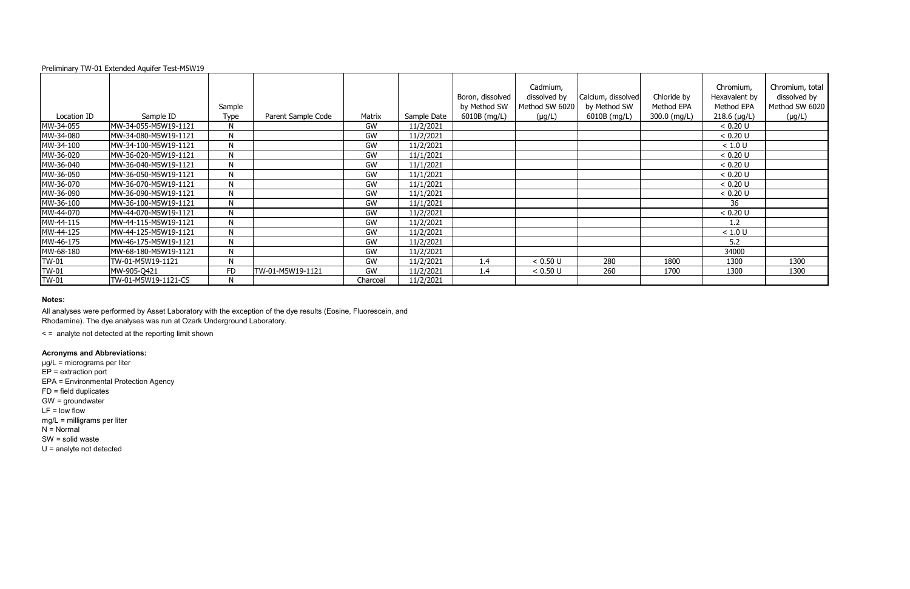### **Notes:**

< = analyte not detected at the reporting limit shown

|              | $\frac{1}{2}$ . The state is the state of $\frac{1}{2}$ in the state is the state of $\frac{1}{2}$ |              |                    |           |             |                                  |                                            |                                    |                           |                                          |                                                   |
|--------------|----------------------------------------------------------------------------------------------------|--------------|--------------------|-----------|-------------|----------------------------------|--------------------------------------------|------------------------------------|---------------------------|------------------------------------------|---------------------------------------------------|
|              |                                                                                                    | Sample       |                    |           |             | Boron, dissolved<br>by Method SW | Cadmium,<br>dissolved by<br>Method SW 6020 | Calcium, dissolved<br>by Method SW | Chloride by<br>Method EPA | Chromium,<br>Hexavalent by<br>Method EPA | Chromium, total<br>dissolved by<br>Method SW 6020 |
| Location ID  | Sample ID                                                                                          | Type         | Parent Sample Code | Matrix    | Sample Date | 6010B (mg/L)                     | $(\mu g/L)$                                | 6010B (mg/L)                       | 300.0 (mg/L)              | $218.6$ (µg/L)                           | $(\mu g/L)$                                       |
| MW-34-055    | MW-34-055-M5W19-1121                                                                               | N            |                    | GW        | 11/2/2021   |                                  |                                            |                                    |                           | < 0.20 U                                 |                                                   |
| MW-34-080    | MW-34-080-M5W19-1121                                                                               | N            |                    | GW        | 11/2/2021   |                                  |                                            |                                    |                           | < 0.20 U                                 |                                                   |
| MW-34-100    | MW-34-100-M5W19-1121                                                                               | N            |                    | GW        | 11/2/2021   |                                  |                                            |                                    |                           | < 1.0 U                                  |                                                   |
| MW-36-020    | MW-36-020-M5W19-1121                                                                               | N            |                    | GW        | 11/1/2021   |                                  |                                            |                                    |                           | < 0.20 U                                 |                                                   |
| MW-36-040    | MW-36-040-M5W19-1121                                                                               | N            |                    | GW        | 11/1/2021   |                                  |                                            |                                    |                           | < 0.20 U                                 |                                                   |
| MW-36-050    | MW-36-050-M5W19-1121                                                                               | $\mathsf{N}$ |                    | GW        | 11/1/2021   |                                  |                                            |                                    |                           | < 0.20 U                                 |                                                   |
| MW-36-070    | MW-36-070-M5W19-1121                                                                               | $\mathsf{N}$ |                    | <b>GW</b> | 11/1/2021   |                                  |                                            |                                    |                           | < 0.20 U                                 |                                                   |
| MW-36-090    | MW-36-090-M5W19-1121                                                                               | N            |                    | <b>GW</b> | 11/1/2021   |                                  |                                            |                                    |                           | < 0.20 U                                 |                                                   |
| MW-36-100    | MW-36-100-M5W19-1121                                                                               | $\mathsf{N}$ |                    | GW        | 11/1/2021   |                                  |                                            |                                    |                           | 36                                       |                                                   |
| MW-44-070    | MW-44-070-M5W19-1121                                                                               | $\mathsf{N}$ |                    | GW        | 11/2/2021   |                                  |                                            |                                    |                           | < 0.20 U                                 |                                                   |
| MW-44-115    | MW-44-115-M5W19-1121                                                                               | N            |                    | GW        | 11/2/2021   |                                  |                                            |                                    |                           | 1.2                                      |                                                   |
| MW-44-125    | MW-44-125-M5W19-1121                                                                               | $\mathsf{N}$ |                    | GW        | 11/2/2021   |                                  |                                            |                                    |                           | $<1.0$ U                                 |                                                   |
| MW-46-175    | MW-46-175-M5W19-1121                                                                               | $\mathsf{N}$ |                    | GW        | 11/2/2021   |                                  |                                            |                                    |                           | 5.2                                      |                                                   |
| MW-68-180    | MW-68-180-M5W19-1121                                                                               | $\mathsf{N}$ |                    | GW        | 11/2/2021   |                                  |                                            |                                    |                           | 34000                                    |                                                   |
| <b>TW-01</b> | TW-01-M5W19-1121                                                                                   | N            |                    | GW        | 11/2/2021   | 1.4                              | < 0.50 U                                   | 280                                | 1800                      | 1300                                     | 1300                                              |
| TW-01        | MW-905-Q421                                                                                        | <b>FD</b>    | TW-01-M5W19-1121   | <b>GW</b> | 11/2/2021   | 1.4                              | < 0.50 U                                   | 260                                | 1700                      | 1300                                     | 1300                                              |
| <b>TW-01</b> | TW-01-M5W19-1121-CS                                                                                | N            |                    | Charcoal  | 11/2/2021   |                                  |                                            |                                    |                           |                                          |                                                   |

# **Acronyms and Abbreviations:**

µg/L = micrograms per liter EP = extraction port EPA = Environmental Protection Agency FD = field duplicates GW = groundwater  $LF = low$  flow mg/L = milligrams per liter  $N =$  Normal SW = solid waste U = analyte not detected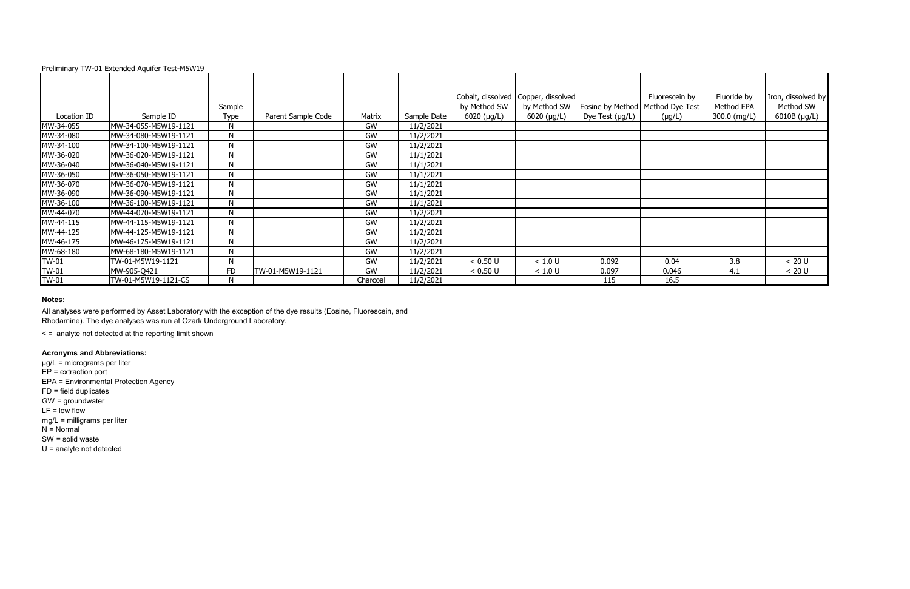|              |                      | Sample       |                    |          |             | by Method SW  | Cobalt, dissolved   Copper, dissolved  <br>by Method SW | Eosine by Method   Method Dye Test | Fluorescein by | Fluoride by<br>Method EPA | Iron, dissolved by<br>Method SW |
|--------------|----------------------|--------------|--------------------|----------|-------------|---------------|---------------------------------------------------------|------------------------------------|----------------|---------------------------|---------------------------------|
| Location ID  | Sample ID            | Type         | Parent Sample Code | Matrix   | Sample Date | $6020$ (µg/L) | $6020$ ( $\mu$ g/L)                                     | Dye Test $(\mu g/L)$               | $(\mu g/L)$    | 300.0 (mg/L)              | 6010B (µg/L)                    |
| MW-34-055    | MW-34-055-M5W19-1121 | N            |                    | GW       | 11/2/2021   |               |                                                         |                                    |                |                           |                                 |
| MW-34-080    | MW-34-080-M5W19-1121 | $\mathsf{N}$ |                    | GW       | 11/2/2021   |               |                                                         |                                    |                |                           |                                 |
| MW-34-100    | MW-34-100-M5W19-1121 | N            |                    | GW       | 11/2/2021   |               |                                                         |                                    |                |                           |                                 |
| MW-36-020    | MW-36-020-M5W19-1121 | N            |                    | GW       | 11/1/2021   |               |                                                         |                                    |                |                           |                                 |
| MW-36-040    | MW-36-040-M5W19-1121 | N            |                    | GW       | 11/1/2021   |               |                                                         |                                    |                |                           |                                 |
| MW-36-050    | MW-36-050-M5W19-1121 | $\mathsf{N}$ |                    | GW       | 11/1/2021   |               |                                                         |                                    |                |                           |                                 |
| MW-36-070    | MW-36-070-M5W19-1121 | N            |                    | GW       | 11/1/2021   |               |                                                         |                                    |                |                           |                                 |
| MW-36-090    | MW-36-090-M5W19-1121 | N            |                    | GW       | 11/1/2021   |               |                                                         |                                    |                |                           |                                 |
| MW-36-100    | MW-36-100-M5W19-1121 | $\mathsf{N}$ |                    | GW       | 11/1/2021   |               |                                                         |                                    |                |                           |                                 |
| MW-44-070    | MW-44-070-M5W19-1121 | N            |                    | GW       | 11/2/2021   |               |                                                         |                                    |                |                           |                                 |
| MW-44-115    | MW-44-115-M5W19-1121 | $\mathsf{N}$ |                    | GW       | 11/2/2021   |               |                                                         |                                    |                |                           |                                 |
| MW-44-125    | MW-44-125-M5W19-1121 | N            |                    | GW       | 11/2/2021   |               |                                                         |                                    |                |                           |                                 |
| MW-46-175    | MW-46-175-M5W19-1121 | N            |                    | GW       | 11/2/2021   |               |                                                         |                                    |                |                           |                                 |
| MW-68-180    | MW-68-180-M5W19-1121 | N            |                    | GW       | 11/2/2021   |               |                                                         |                                    |                |                           |                                 |
| <b>TW-01</b> | TW-01-M5W19-1121     | N            |                    | GW       | 11/2/2021   | < 0.50 U      | < 1.0 U                                                 | 0.092                              | 0.04           | 3.8                       | < 20 U                          |
| <b>TW-01</b> | MW-905-Q421          | <b>FD</b>    | TW-01-M5W19-1121   | GW       | 11/2/2021   | < 0.50 U      | < 1.0 U                                                 | 0.097                              | 0.046          | 4.1                       | < 20 U                          |
| <b>TW-01</b> | TW-01-M5W19-1121-CS  | N.           |                    | Charcoal | 11/2/2021   |               |                                                         | 115                                | 16.5           |                           |                                 |

### **Notes:**

< = analyte not detected at the reporting limit shown

# **Acronyms and Abbreviations:**

µg/L = micrograms per liter EP = extraction port EPA = Environmental Protection Agency FD = field duplicates GW = groundwater  $LF = low$  flow mg/L = milligrams per liter  $N =$  Normal SW = solid waste U = analyte not detected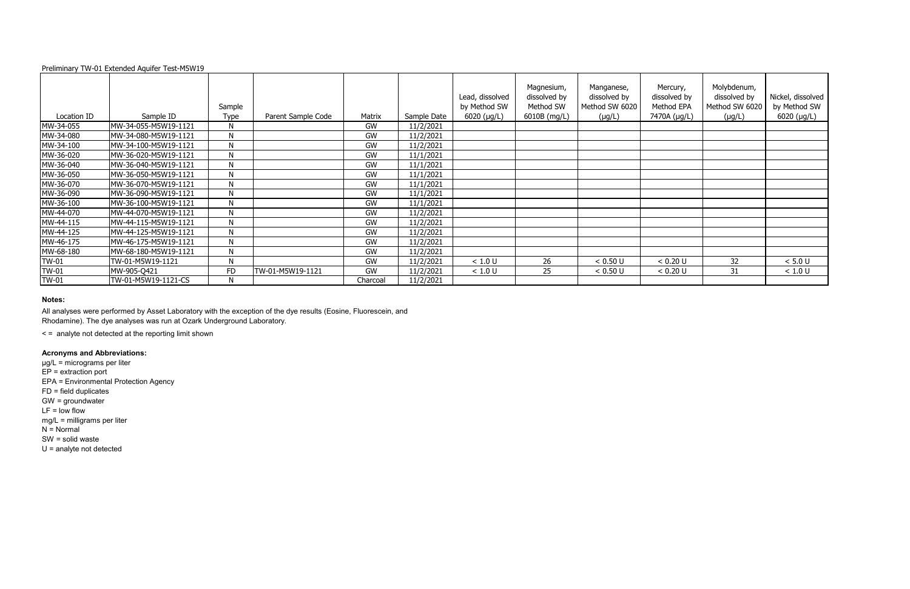### **Notes:**

|              |                      |              |                    |           |             | Lead, dissolved     | Magnesium,<br>dissolved by | Manganese,<br>dissolved by | Mercury,<br>dissolved by | Molybdenum,<br>dissolved by | Nickel, dissolved |
|--------------|----------------------|--------------|--------------------|-----------|-------------|---------------------|----------------------------|----------------------------|--------------------------|-----------------------------|-------------------|
|              |                      | Sample       |                    |           |             | by Method SW        | Method SW                  | Method SW 6020             | Method EPA               | Method SW 6020              | by Method SW      |
| Location ID  | Sample ID            | Type         | Parent Sample Code | Matrix    | Sample Date | $6020$ ( $\mu$ g/L) | 6010B (mg/L)               | $(\mu g/L)$                | 7470A (µg/L)             | $(\mu g/L)$                 | $6020$ (µg/L)     |
| MW-34-055    | MW-34-055-M5W19-1121 | N            |                    | GW        | 11/2/2021   |                     |                            |                            |                          |                             |                   |
| MW-34-080    | MW-34-080-M5W19-1121 | N            |                    | GW        | 11/2/2021   |                     |                            |                            |                          |                             |                   |
| MW-34-100    | MW-34-100-M5W19-1121 | N            |                    | GW        | 11/2/2021   |                     |                            |                            |                          |                             |                   |
| MW-36-020    | MW-36-020-M5W19-1121 | N            |                    | GW        | 11/1/2021   |                     |                            |                            |                          |                             |                   |
| MW-36-040    | MW-36-040-M5W19-1121 | N            |                    | <b>GW</b> | 11/1/2021   |                     |                            |                            |                          |                             |                   |
| MW-36-050    | MW-36-050-M5W19-1121 | N            |                    | GW        | 11/1/2021   |                     |                            |                            |                          |                             |                   |
| MW-36-070    | MW-36-070-M5W19-1121 | N            |                    | <b>GW</b> | 11/1/2021   |                     |                            |                            |                          |                             |                   |
| MW-36-090    | MW-36-090-M5W19-1121 | N            |                    | GW        | 11/1/2021   |                     |                            |                            |                          |                             |                   |
| MW-36-100    | MW-36-100-M5W19-1121 | $\mathsf{N}$ |                    | <b>GW</b> | 11/1/2021   |                     |                            |                            |                          |                             |                   |
| MW-44-070    | MW-44-070-M5W19-1121 | $\mathsf{N}$ |                    | <b>GW</b> | 11/2/2021   |                     |                            |                            |                          |                             |                   |
| MW-44-115    | MW-44-115-M5W19-1121 | $\mathsf{N}$ |                    | GW        | 11/2/2021   |                     |                            |                            |                          |                             |                   |
| MW-44-125    | MW-44-125-M5W19-1121 | N            |                    | GW        | 11/2/2021   |                     |                            |                            |                          |                             |                   |
| MW-46-175    | MW-46-175-M5W19-1121 | N            |                    | GW        | 11/2/2021   |                     |                            |                            |                          |                             |                   |
| MW-68-180    | MW-68-180-M5W19-1121 | N            |                    | <b>GW</b> | 11/2/2021   |                     |                            |                            |                          |                             |                   |
| <b>TW-01</b> | TW-01-M5W19-1121     | N            |                    | <b>GW</b> | 11/2/2021   | < 1.0 U             | 26                         | < 0.50 U                   | < 0.20 U                 | 32                          | < 5.0 U           |
| <b>TW-01</b> | MW-905-Q421          | FD           | TW-01-M5W19-1121   | GW        | 11/2/2021   | < 1.0 U             | 25                         | < 0.50 U                   | < 0.20 U                 | 31                          | < 1.0 U           |
| <b>TW-01</b> | TW-01-M5W19-1121-CS  | N            |                    | Charcoal  | 11/2/2021   |                     |                            |                            |                          |                             |                   |

< = analyte not detected at the reporting limit shown

# **Acronyms and Abbreviations:**

µg/L = micrograms per liter EP = extraction port EPA = Environmental Protection Agency FD = field duplicates GW = groundwater  $LF = low$  flow mg/L = milligrams per liter  $N =$  Normal SW = solid waste U = analyte not detected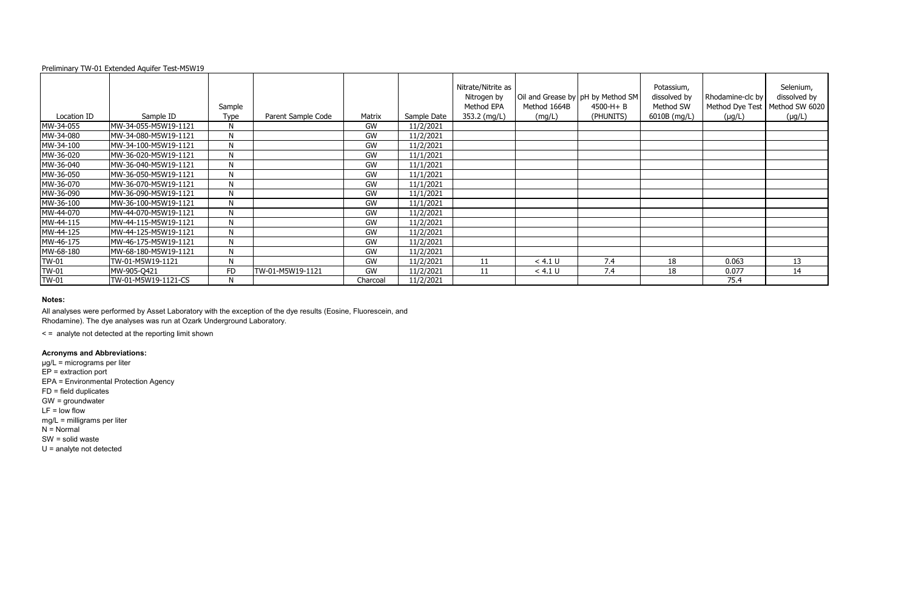|              |                      | Sample       |                    |           |             | Nitrate/Nitrite as<br>Nitrogen by<br>Method EPA | Method 1664B | Oil and Grease by pH by Method SM<br>$4500-H + B$ | Potassium,<br>dissolved by<br>Method SW | Rhodamine-clc by<br>Method Dye Test | Selenium,<br>dissolved by<br>Method SW 6020 |
|--------------|----------------------|--------------|--------------------|-----------|-------------|-------------------------------------------------|--------------|---------------------------------------------------|-----------------------------------------|-------------------------------------|---------------------------------------------|
| Location ID  | Sample ID            | Type         | Parent Sample Code | Matrix    | Sample Date | 353.2 (mg/L)                                    | (mg/L)       | (PHUNITS)                                         | 6010B (mg/L)                            | $(\mu g/L)$                         | $(\mu g/L)$                                 |
| MW-34-055    | MW-34-055-M5W19-1121 | N            |                    | GW        | 11/2/2021   |                                                 |              |                                                   |                                         |                                     |                                             |
| MW-34-080    | MW-34-080-M5W19-1121 | N            |                    | GW        | 11/2/2021   |                                                 |              |                                                   |                                         |                                     |                                             |
| MW-34-100    | MW-34-100-M5W19-1121 | N            |                    | GW        | 11/2/2021   |                                                 |              |                                                   |                                         |                                     |                                             |
| MW-36-020    | MW-36-020-M5W19-1121 | $\mathsf{N}$ |                    | GW        | 11/1/2021   |                                                 |              |                                                   |                                         |                                     |                                             |
| MW-36-040    | MW-36-040-M5W19-1121 | N            |                    | GW        | 11/1/2021   |                                                 |              |                                                   |                                         |                                     |                                             |
| MW-36-050    | MW-36-050-M5W19-1121 | N            |                    | <b>GW</b> | 11/1/2021   |                                                 |              |                                                   |                                         |                                     |                                             |
| MW-36-070    | MW-36-070-M5W19-1121 | $\mathsf{N}$ |                    | GW        | 11/1/2021   |                                                 |              |                                                   |                                         |                                     |                                             |
| MW-36-090    | MW-36-090-M5W19-1121 | N            |                    | GW        | 11/1/2021   |                                                 |              |                                                   |                                         |                                     |                                             |
| MW-36-100    | MW-36-100-M5W19-1121 | $\mathsf{N}$ |                    | <b>GW</b> | 11/1/2021   |                                                 |              |                                                   |                                         |                                     |                                             |
| MW-44-070    | MW-44-070-M5W19-1121 | $\mathsf{N}$ |                    | <b>GW</b> | 11/2/2021   |                                                 |              |                                                   |                                         |                                     |                                             |
| MW-44-115    | MW-44-115-M5W19-1121 | $\mathsf{N}$ |                    | <b>GW</b> | 11/2/2021   |                                                 |              |                                                   |                                         |                                     |                                             |
| MW-44-125    | MW-44-125-M5W19-1121 | N            |                    | <b>GW</b> | 11/2/2021   |                                                 |              |                                                   |                                         |                                     |                                             |
| MW-46-175    | MW-46-175-M5W19-1121 | $\mathsf{N}$ |                    | GW        | 11/2/2021   |                                                 |              |                                                   |                                         |                                     |                                             |
| MW-68-180    | MW-68-180-M5W19-1121 | N            |                    | <b>GW</b> | 11/2/2021   |                                                 |              |                                                   |                                         |                                     |                                             |
| <b>TW-01</b> | TW-01-M5W19-1121     | $\mathsf{N}$ |                    | <b>GW</b> | 11/2/2021   | 11                                              | < 4.1 U      | 7.4                                               | 18                                      | 0.063                               | 13                                          |
| <b>TW-01</b> | MW-905-Q421          | <b>FD</b>    | TW-01-M5W19-1121   | GW        | 11/2/2021   | 11                                              | < 4.1 U      | 7.4                                               | 18                                      | 0.077                               | 14                                          |
| <b>TW-01</b> | TW-01-M5W19-1121-CS  | N            |                    | Charcoal  | 11/2/2021   |                                                 |              |                                                   |                                         | 75.4                                |                                             |

### **Notes:**

< = analyte not detected at the reporting limit shown

# **Acronyms and Abbreviations:**

µg/L = micrograms per liter EP = extraction port EPA = Environmental Protection Agency FD = field duplicates GW = groundwater  $LF = low$  flow mg/L = milligrams per liter  $N =$  Normal SW = solid waste U = analyte not detected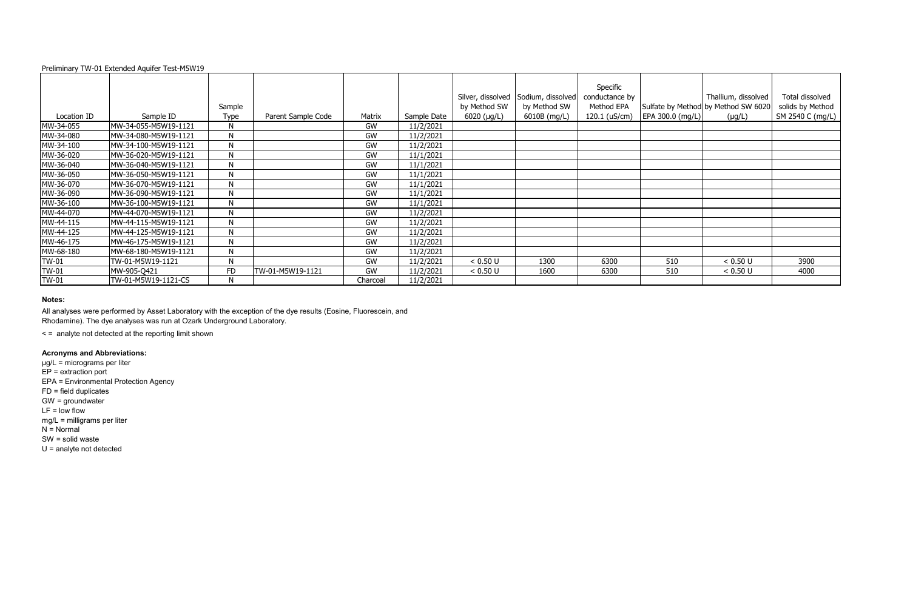|              |                      | Sample       |                    |           |             | Silver, dissolved<br>by Method SW | Sodium, dissolved<br>by Method SW | Specific<br>conductance by<br>Method EPA |                  | Thallium, dissolved<br>Sulfate by Method by Method SW 6020 | Total dissolved<br>solids by Method |
|--------------|----------------------|--------------|--------------------|-----------|-------------|-----------------------------------|-----------------------------------|------------------------------------------|------------------|------------------------------------------------------------|-------------------------------------|
| Location ID  | Sample ID            | Type         | Parent Sample Code | Matrix    | Sample Date | $6020$ ( $\mu$ g/L)               | 6010B (mg/L)                      | 120.1 (uS/cm)                            | EPA 300.0 (mg/L) | $(\mu g/L)$                                                | SM 2540 C (mg/L)                    |
| MW-34-055    | MW-34-055-M5W19-1121 | N            |                    | GW        | 11/2/2021   |                                   |                                   |                                          |                  |                                                            |                                     |
| MW-34-080    | MW-34-080-M5W19-1121 | $\mathsf{N}$ |                    | GW        | 11/2/2021   |                                   |                                   |                                          |                  |                                                            |                                     |
| MW-34-100    | MW-34-100-M5W19-1121 | N            |                    | GW        | 11/2/2021   |                                   |                                   |                                          |                  |                                                            |                                     |
| MW-36-020    | MW-36-020-M5W19-1121 | Ν            |                    | GW        | 11/1/2021   |                                   |                                   |                                          |                  |                                                            |                                     |
| MW-36-040    | MW-36-040-M5W19-1121 | N            |                    | GW        | 11/1/2021   |                                   |                                   |                                          |                  |                                                            |                                     |
| MW-36-050    | MW-36-050-M5W19-1121 | N            |                    | GW        | 11/1/2021   |                                   |                                   |                                          |                  |                                                            |                                     |
| MW-36-070    | MW-36-070-M5W19-1121 | N            |                    | GW        | 11/1/2021   |                                   |                                   |                                          |                  |                                                            |                                     |
| MW-36-090    | MW-36-090-M5W19-1121 | N            |                    | <b>GW</b> | 11/1/2021   |                                   |                                   |                                          |                  |                                                            |                                     |
| MW-36-100    | MW-36-100-M5W19-1121 | $\mathsf{N}$ |                    | GW        | 11/1/2021   |                                   |                                   |                                          |                  |                                                            |                                     |
| MW-44-070    | MW-44-070-M5W19-1121 | N            |                    | GW        | 11/2/2021   |                                   |                                   |                                          |                  |                                                            |                                     |
| MW-44-115    | MW-44-115-M5W19-1121 | N            |                    | GW        | 11/2/2021   |                                   |                                   |                                          |                  |                                                            |                                     |
| MW-44-125    | MW-44-125-M5W19-1121 | N            |                    | GW        | 11/2/2021   |                                   |                                   |                                          |                  |                                                            |                                     |
| MW-46-175    | MW-46-175-M5W19-1121 | N            |                    | GW        | 11/2/2021   |                                   |                                   |                                          |                  |                                                            |                                     |
| MW-68-180    | MW-68-180-M5W19-1121 | N            |                    | GW        | 11/2/2021   |                                   |                                   |                                          |                  |                                                            |                                     |
| <b>TW-01</b> | TW-01-M5W19-1121     | N            |                    | GW        | 11/2/2021   | < 0.50 U                          | 1300                              | 6300                                     | 510              | < 0.50 U                                                   | 3900                                |
| TW-01        | MW-905-Q421          | <b>FD</b>    | TW-01-M5W19-1121   | <b>GW</b> | 11/2/2021   | < 0.50 U                          | 1600                              | 6300                                     | 510              | < 0.50 U                                                   | 4000                                |
| <b>TW-01</b> | TW-01-M5W19-1121-CS  |              |                    | Charcoal  | 11/2/2021   |                                   |                                   |                                          |                  |                                                            |                                     |

### **Notes:**

< = analyte not detected at the reporting limit shown

# **Acronyms and Abbreviations:**

µg/L = micrograms per liter EP = extraction port EPA = Environmental Protection Agency FD = field duplicates GW = groundwater  $LF = low$  flow mg/L = milligrams per liter  $N =$  Normal SW = solid waste U = analyte not detected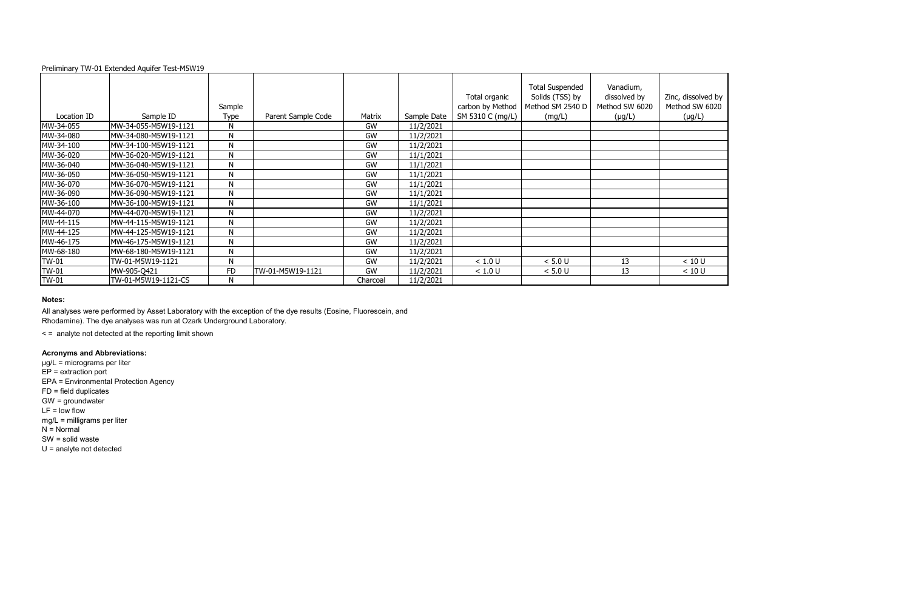|              |                      | Sample    |                    |          |             | Total organic<br>carbon by Method | <b>Total Suspended</b><br>Solids (TSS) by<br>Method SM 2540 D | Vanadium,<br>dissolved by<br>Method SW 6020 | Zinc, dissolved by<br>Method SW 6020 |
|--------------|----------------------|-----------|--------------------|----------|-------------|-----------------------------------|---------------------------------------------------------------|---------------------------------------------|--------------------------------------|
| Location ID  | Sample ID            | Type      | Parent Sample Code | Matrix   | Sample Date | SM 5310 C (mg/L)                  | (mg/L)                                                        | $(\mu g/L)$                                 | $(\mu g/L)$                          |
| MW-34-055    | MW-34-055-M5W19-1121 | N         |                    | GW       | 11/2/2021   |                                   |                                                               |                                             |                                      |
| MW-34-080    | MW-34-080-M5W19-1121 | N         |                    | GW       | 11/2/2021   |                                   |                                                               |                                             |                                      |
| MW-34-100    | MW-34-100-M5W19-1121 | N         |                    | GW       | 11/2/2021   |                                   |                                                               |                                             |                                      |
| MW-36-020    | MW-36-020-M5W19-1121 | N         |                    | GW       | 11/1/2021   |                                   |                                                               |                                             |                                      |
| MW-36-040    | MW-36-040-M5W19-1121 | N         |                    | GW       | 11/1/2021   |                                   |                                                               |                                             |                                      |
| MW-36-050    | MW-36-050-M5W19-1121 | N         |                    | GW       | 11/1/2021   |                                   |                                                               |                                             |                                      |
| MW-36-070    | MW-36-070-M5W19-1121 | N         |                    | GW       | 11/1/2021   |                                   |                                                               |                                             |                                      |
| MW-36-090    | MW-36-090-M5W19-1121 | N         |                    | GW       | 11/1/2021   |                                   |                                                               |                                             |                                      |
| MW-36-100    | MW-36-100-M5W19-1121 | N         |                    | GW       | 11/1/2021   |                                   |                                                               |                                             |                                      |
| MW-44-070    | MW-44-070-M5W19-1121 | N         |                    | GW       | 11/2/2021   |                                   |                                                               |                                             |                                      |
| MW-44-115    | MW-44-115-M5W19-1121 | N         |                    | GW       | 11/2/2021   |                                   |                                                               |                                             |                                      |
| MW-44-125    | MW-44-125-M5W19-1121 | N         |                    | GW       | 11/2/2021   |                                   |                                                               |                                             |                                      |
| MW-46-175    | MW-46-175-M5W19-1121 | N         |                    | GW       | 11/2/2021   |                                   |                                                               |                                             |                                      |
| MW-68-180    | MW-68-180-M5W19-1121 | N         |                    | GW       | 11/2/2021   |                                   |                                                               |                                             |                                      |
| TW-01        | TW-01-M5W19-1121     | N         |                    | GW       | 11/2/2021   | < 1.0 U                           | < 5.0 U                                                       | 13                                          | < 10 U                               |
| <b>TW-01</b> | MW-905-Q421          | <b>FD</b> | TW-01-M5W19-1121   | GW       | 11/2/2021   | < 1.0 U                           | < 5.0 U                                                       | 13                                          | < 10 U                               |
| <b>TW-01</b> | TW-01-M5W19-1121-CS  | N         |                    | Charcoal | 11/2/2021   |                                   |                                                               |                                             |                                      |

### **Notes:**

< = analyte not detected at the reporting limit shown

# **Acronyms and Abbreviations:**

µg/L = micrograms per liter EP = extraction port EPA = Environmental Protection Agency FD = field duplicates GW = groundwater  $LF = low$  flow mg/L = milligrams per liter  $N =$  Normal SW = solid waste U = analyte not detected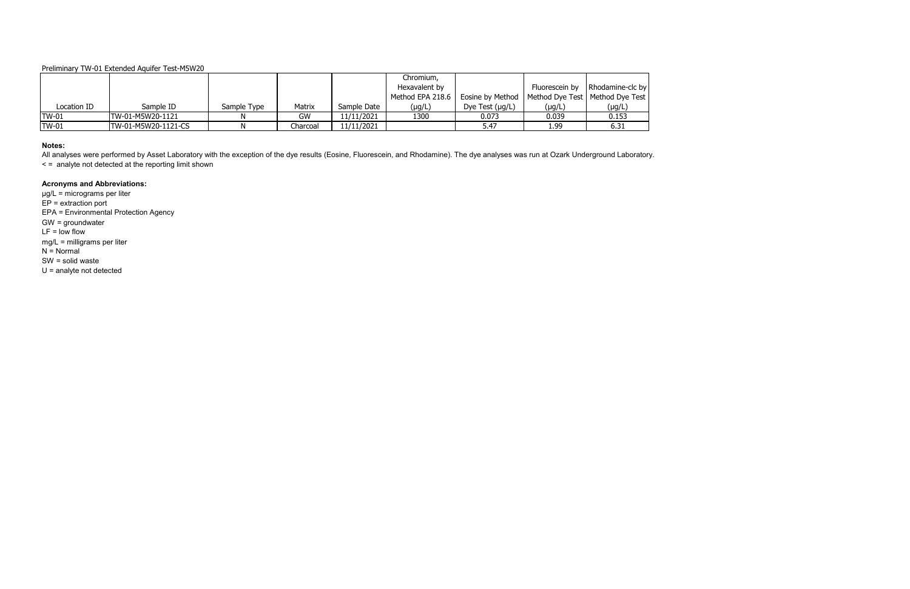|              |                     |             |          |             | Chromium,                            |                      |                |                                   |
|--------------|---------------------|-------------|----------|-------------|--------------------------------------|----------------------|----------------|-----------------------------------|
|              |                     |             |          |             | Hexavalent by                        |                      | Fluorescein by | Rhodamine-clc by                  |
|              |                     |             |          |             | Method EPA 218.6<br>Eosine by Method |                      |                | Method Dye Test   Method Dye Test |
| Location ID  | Sample ID           | Sample Type | Matrix   | Sample Date | (µg/L)                               | Dye Test $(\mu g/L)$ | (µg/L)         | (µg/L)                            |
| <b>TW-01</b> | TW-01-M5W20-1121    |             | GW       | 11/11/2021  | 1300                                 | 0.073                | 0.039          | 0.153                             |
| <b>TW-01</b> | TW-01-M5W20-1121-CS |             | Charcoal | 11/11/2021  |                                      | 5.47                 | 1.99           | 6.31                              |

All analyses were performed by Asset Laboratory with the exception of the dye results (Eosine, Fluorescein, and Rhodamine). The dye analyses was run at Ozark Underground Laboratory. < = analyte not detected at the reporting limit shown

#### **Notes:**

# **Acronyms and Abbreviations:**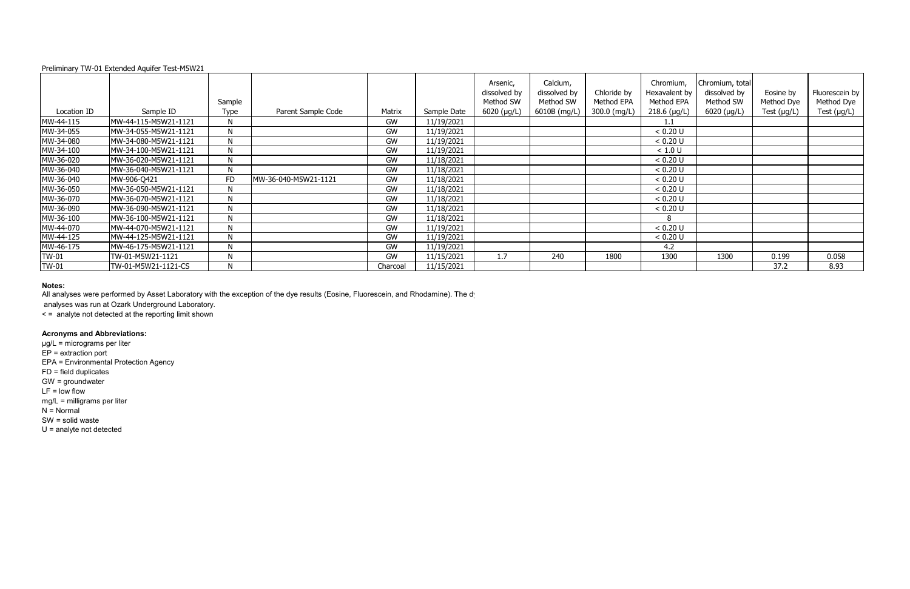|              | Preliminary TW-01 Extended Aquifer Test-M5W21 |           |                      |           |             |                                       |                                       |                           |                                          |                                              |                         |                              |
|--------------|-----------------------------------------------|-----------|----------------------|-----------|-------------|---------------------------------------|---------------------------------------|---------------------------|------------------------------------------|----------------------------------------------|-------------------------|------------------------------|
|              |                                               | Sample    |                      |           |             | Arsenic,<br>dissolved by<br>Method SW | Calcium,<br>dissolved by<br>Method SW | Chloride by<br>Method EPA | Chromium,<br>Hexavalent by<br>Method EPA | Chromium, total<br>dissolved by<br>Method SW | Eosine by<br>Method Dye | Fluorescein by<br>Method Dye |
| Location ID  | Sample ID                                     | Type      | Parent Sample Code   | Matrix    | Sample Date | $6020 \, (\mu g/L)$                   | 6010B (mg/L)                          | 300.0 (mg/L)              | $218.6$ (µg/L)                           | $6020$ (µg/L)                                | Test $(\mu g/L)$        | Test $(\mu g/L)$             |
| MW-44-115    | MW-44-115-M5W21-1121                          | N         |                      | GW        | 11/19/2021  |                                       |                                       |                           |                                          |                                              |                         |                              |
| MW-34-055    | MW-34-055-M5W21-1121                          | N         |                      | <b>GW</b> | 11/19/2021  |                                       |                                       |                           | < 0.20 U                                 |                                              |                         |                              |
| MW-34-080    | MW-34-080-M5W21-1121                          | N         |                      | GW        | 11/19/2021  |                                       |                                       |                           | < 0.20 U                                 |                                              |                         |                              |
| MW-34-100    | MW-34-100-M5W21-1121                          | N         |                      | <b>GW</b> | 11/19/2021  |                                       |                                       |                           | < 1.0 U                                  |                                              |                         |                              |
| MW-36-020    | MW-36-020-M5W21-1121                          | N         |                      | <b>GW</b> | 11/18/2021  |                                       |                                       |                           | < 0.20 U                                 |                                              |                         |                              |
| MW-36-040    | MW-36-040-M5W21-1121                          | N         |                      | GW        | 11/18/2021  |                                       |                                       |                           | < 0.20 U                                 |                                              |                         |                              |
| MW-36-040    | MW-906-Q421                                   | <b>FD</b> | MW-36-040-M5W21-1121 | GW        | 11/18/2021  |                                       |                                       |                           | < 0.20 U                                 |                                              |                         |                              |
| MW-36-050    | MW-36-050-M5W21-1121                          | N         |                      | GW        | 11/18/2021  |                                       |                                       |                           | < 0.20 U                                 |                                              |                         |                              |
| MW-36-070    | MW-36-070-M5W21-1121                          | N         |                      | GW        | 11/18/2021  |                                       |                                       |                           | < 0.20 U                                 |                                              |                         |                              |
| MW-36-090    | MW-36-090-M5W21-1121                          | N         |                      | GW        | 11/18/2021  |                                       |                                       |                           | < 0.20 U                                 |                                              |                         |                              |
| MW-36-100    | MW-36-100-M5W21-1121                          | N         |                      | GW        | 11/18/2021  |                                       |                                       |                           |                                          |                                              |                         |                              |
| MW-44-070    | MW-44-070-M5W21-1121                          | N         |                      | <b>GW</b> | 11/19/2021  |                                       |                                       |                           | < 0.20 U                                 |                                              |                         |                              |
| MW-44-125    | MW-44-125-M5W21-1121                          | N         |                      | <b>GW</b> | 11/19/2021  |                                       |                                       |                           | < 0.20 U                                 |                                              |                         |                              |
| MW-46-175    | MW-46-175-M5W21-1121                          | N         |                      | GW        | 11/19/2021  |                                       |                                       |                           | 4.2                                      |                                              |                         |                              |
| <b>TW-01</b> | TW-01-M5W21-1121                              | N         |                      | <b>GW</b> | 11/15/2021  | 1.7                                   | 240                                   | 1800                      | 1300                                     | 1300                                         | 0.199                   | 0.058                        |
| <b>TW-01</b> | TW-01-M5W21-1121-CS                           | N         |                      | Charcoal  | 11/15/2021  |                                       |                                       |                           |                                          |                                              | 37.2                    | 8.93                         |

#### **Notes:**

All analyses were performed by Asset Laboratory with the exception of the dye results (Eosine, Fluorescein, and Rhodamine). The dy

analyses was run at Ozark Underground Laboratory.

< = analyte not detected at the reporting limit shown

# **Acronyms and Abbreviations:**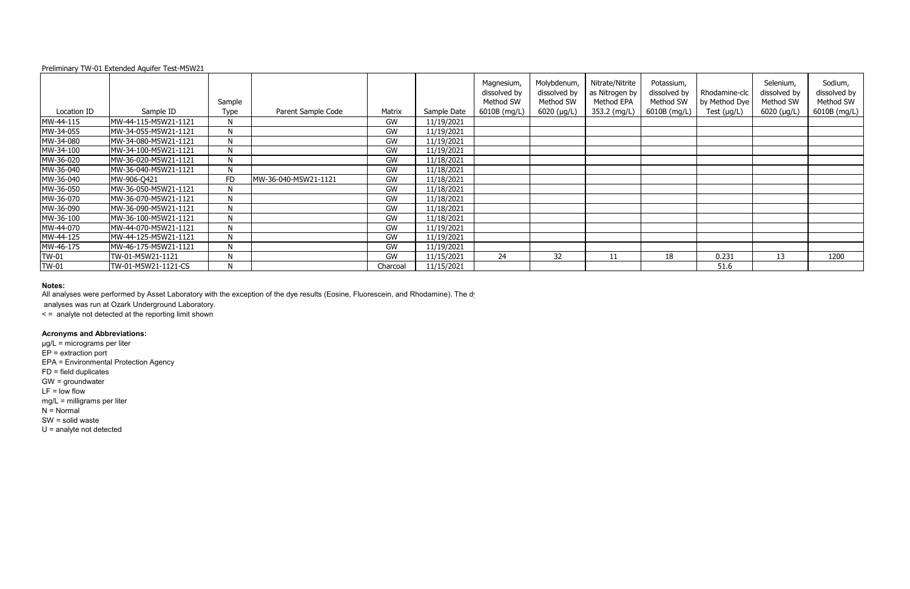# **Notes:**

All analyses were performed by Asset Laboratory with the exception of the dye results (Eosine, Fluorescein, and Rhodamine). The dy

|              | Preliminary TW-01 Extended Aquifer Test-M5W21 |           |                      |           |             |                                         |                                          |                                                 |                                         |                                |                                        |                                      |
|--------------|-----------------------------------------------|-----------|----------------------|-----------|-------------|-----------------------------------------|------------------------------------------|-------------------------------------------------|-----------------------------------------|--------------------------------|----------------------------------------|--------------------------------------|
|              |                                               | Sample    |                      |           |             | Magnesium,<br>dissolved by<br>Method SW | Molybdenum,<br>dissolved by<br>Method SW | Nitrate/Nitrite<br>as Nitrogen by<br>Method EPA | Potassium,<br>dissolved by<br>Method SW | Rhodamine-clc<br>by Method Dye | Selenium,<br>dissolved by<br>Method SW | Sodium,<br>dissolved by<br>Method SW |
| Location ID  | Sample ID                                     | Type      | Parent Sample Code   | Matrix    | Sample Date | 6010B (mg/L)                            | 6020 (µg/L)                              | 353.2 (mg/L)                                    | 6010B (mg/L)                            | Test $(\mu g/L)$               | $6020$ ( $\mu$ g/L)                    | 6010B (mg/L)                         |
| MW-44-115    | MW-44-115-M5W21-1121                          | N         |                      | GW        | 11/19/2021  |                                         |                                          |                                                 |                                         |                                |                                        |                                      |
| MW-34-055    | MW-34-055-M5W21-1121                          | N         |                      | <b>GW</b> | 11/19/2021  |                                         |                                          |                                                 |                                         |                                |                                        |                                      |
| MW-34-080    | MW-34-080-M5W21-1121                          | N         |                      | <b>GW</b> | 11/19/2021  |                                         |                                          |                                                 |                                         |                                |                                        |                                      |
| MW-34-100    | MW-34-100-M5W21-1121                          | N         |                      | GW        | 11/19/2021  |                                         |                                          |                                                 |                                         |                                |                                        |                                      |
| MW-36-020    | MW-36-020-M5W21-1121                          | N         |                      | <b>GW</b> | 11/18/2021  |                                         |                                          |                                                 |                                         |                                |                                        |                                      |
| MW-36-040    | MW-36-040-M5W21-1121                          | N         |                      | GW        | 11/18/2021  |                                         |                                          |                                                 |                                         |                                |                                        |                                      |
| MW-36-040    | MW-906-Q421                                   | <b>FD</b> | MW-36-040-M5W21-1121 | GW        | 11/18/2021  |                                         |                                          |                                                 |                                         |                                |                                        |                                      |
| MW-36-050    | MW-36-050-M5W21-1121                          | N         |                      | GW        | 11/18/2021  |                                         |                                          |                                                 |                                         |                                |                                        |                                      |
| MW-36-070    | MW-36-070-M5W21-1121                          | N         |                      | GW        | 11/18/2021  |                                         |                                          |                                                 |                                         |                                |                                        |                                      |
| MW-36-090    | MW-36-090-M5W21-1121                          | N         |                      | GW        | 11/18/2021  |                                         |                                          |                                                 |                                         |                                |                                        |                                      |
| MW-36-100    | MW-36-100-M5W21-1121                          | N         |                      | <b>GW</b> | 11/18/2021  |                                         |                                          |                                                 |                                         |                                |                                        |                                      |
| MW-44-070    | MW-44-070-M5W21-1121                          | N         |                      | <b>GW</b> | 11/19/2021  |                                         |                                          |                                                 |                                         |                                |                                        |                                      |
| MW-44-125    | MW-44-125-M5W21-1121                          | N         |                      | GW        | 11/19/2021  |                                         |                                          |                                                 |                                         |                                |                                        |                                      |
| MW-46-175    | MW-46-175-M5W21-1121                          | N         |                      | <b>GW</b> | 11/19/2021  |                                         |                                          |                                                 |                                         |                                |                                        |                                      |
| <b>TW-01</b> | TW-01-M5W21-1121                              | N         |                      | <b>GW</b> | 11/15/2021  | 24                                      | 32                                       | 11                                              | 18                                      | 0.231                          | 13                                     | 1200                                 |
| <b>TW-01</b> | TW-01-M5W21-1121-CS                           | N         |                      | Charcoal  | 11/15/2021  |                                         |                                          |                                                 |                                         | 51.6                           |                                        |                                      |

analyses was run at Ozark Underground Laboratory.

< = analyte not detected at the reporting limit shown

# **Acronyms and Abbreviations:**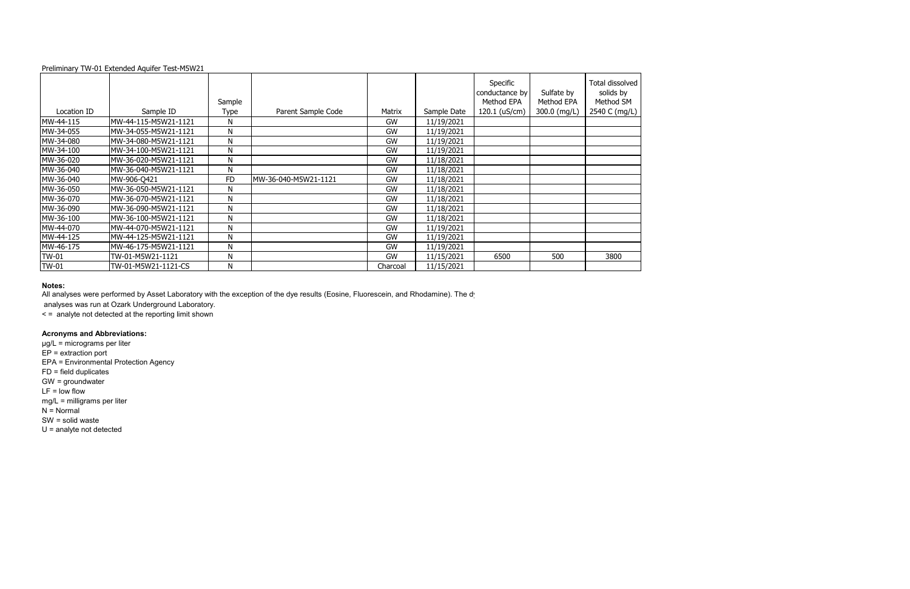|              | $\sim$ . The distribution of $\sim$ 2. External called the second state in $\sim$ |           |                      |           |             |                |                |                 |
|--------------|-----------------------------------------------------------------------------------|-----------|----------------------|-----------|-------------|----------------|----------------|-----------------|
|              |                                                                                   |           |                      |           |             | Specific       |                | Total dissolved |
|              |                                                                                   |           |                      |           |             | conductance by | Sulfate by     | solids by       |
|              |                                                                                   | Sample    |                      |           |             | Method EPA     | Method EPA     | Method SM       |
| Location ID  | Sample ID                                                                         | Type      | Parent Sample Code   | Matrix    | Sample Date | 120.1 (uS/cm)  | 300.0 $(mg/L)$ | 2540 C (mg/L)   |
| MW-44-115    | MW-44-115-M5W21-1121                                                              | N         |                      | GW        | 11/19/2021  |                |                |                 |
| MW-34-055    | MW-34-055-M5W21-1121                                                              | N         |                      | GW        | 11/19/2021  |                |                |                 |
| MW-34-080    | MW-34-080-M5W21-1121                                                              | N         |                      | GW        | 11/19/2021  |                |                |                 |
| MW-34-100    | MW-34-100-M5W21-1121                                                              | N         |                      | <b>GW</b> | 11/19/2021  |                |                |                 |
| MW-36-020    | MW-36-020-M5W21-1121                                                              | N         |                      | GW        | 11/18/2021  |                |                |                 |
| MW-36-040    | MW-36-040-M5W21-1121                                                              | N         |                      | GW        | 11/18/2021  |                |                |                 |
| MW-36-040    | MW-906-Q421                                                                       | <b>FD</b> | MW-36-040-M5W21-1121 | GW        | 11/18/2021  |                |                |                 |
| MW-36-050    | MW-36-050-M5W21-1121                                                              | N         |                      | GW        | 11/18/2021  |                |                |                 |
| MW-36-070    | MW-36-070-M5W21-1121                                                              | N         |                      | GW        | 11/18/2021  |                |                |                 |
| MW-36-090    | MW-36-090-M5W21-1121                                                              | N         |                      | GW        | 11/18/2021  |                |                |                 |
| MW-36-100    | MW-36-100-M5W21-1121                                                              | N         |                      | GW        | 11/18/2021  |                |                |                 |
| MW-44-070    | MW-44-070-M5W21-1121                                                              | N         |                      | GW        | 11/19/2021  |                |                |                 |
| MW-44-125    | MW-44-125-M5W21-1121                                                              | N         |                      | GW        | 11/19/2021  |                |                |                 |
| MW-46-175    | MW-46-175-M5W21-1121                                                              | N         |                      | GW        | 11/19/2021  |                |                |                 |
| <b>TW-01</b> | TW-01-M5W21-1121                                                                  | N         |                      | GW        | 11/15/2021  | 6500           | 500            | 3800            |
| <b>TW-01</b> | TW-01-M5W21-1121-CS                                                               | N         |                      | Charcoal  | 11/15/2021  |                |                |                 |

#### **Notes:**

All analyses were performed by Asset Laboratory with the exception of the dye results (Eosine, Fluorescein, and Rhodamine). The dy

analyses was run at Ozark Underground Laboratory.

< = analyte not detected at the reporting limit shown

# **Acronyms and Abbreviations:**